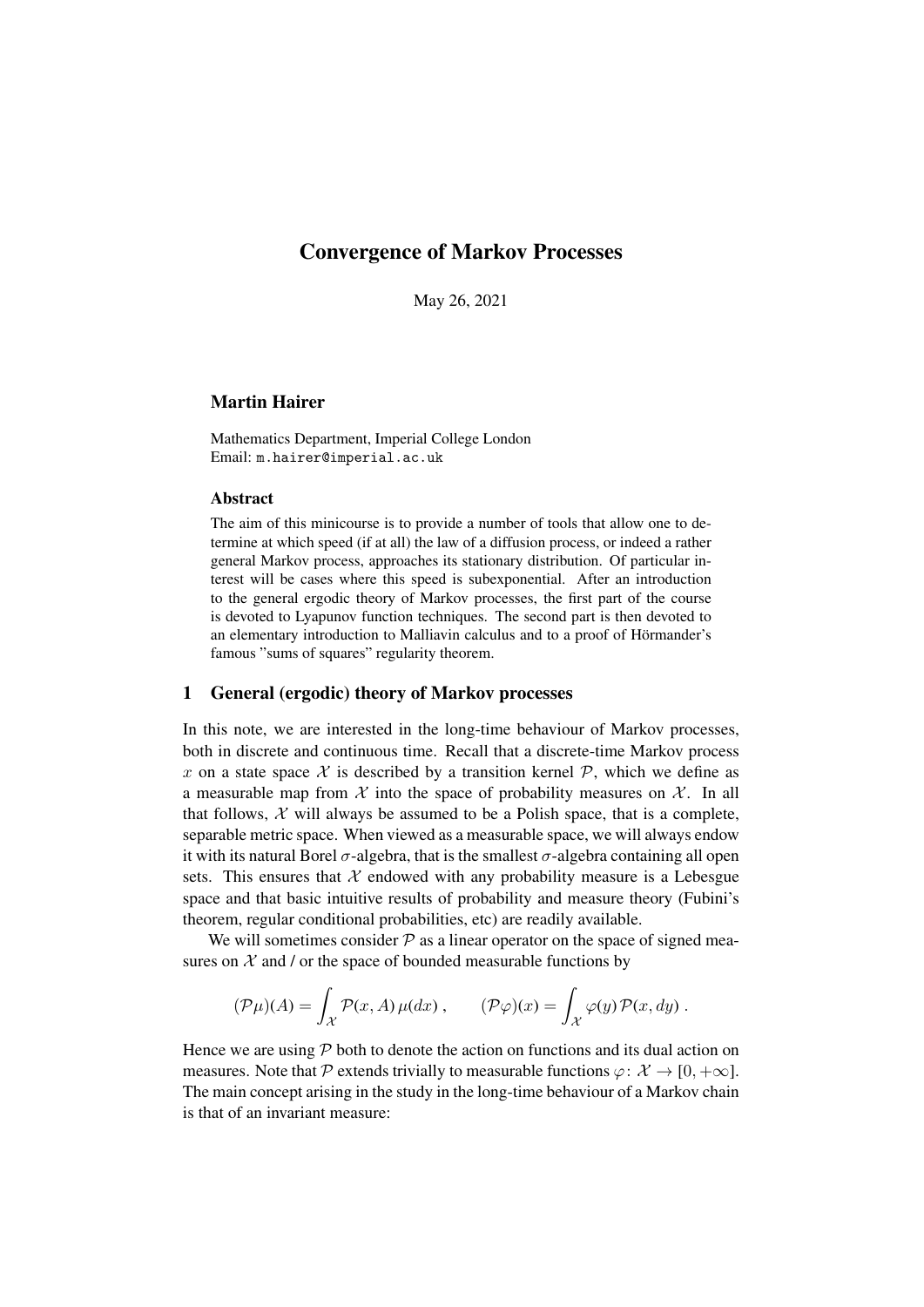# Convergence of Markov Processes

May 26, 2021

# Martin Hairer

Mathematics Department, Imperial College London Email: m.hairer@imperial.ac.uk

# Abstract

The aim of this minicourse is to provide a number of tools that allow one to determine at which speed (if at all) the law of a diffusion process, or indeed a rather general Markov process, approaches its stationary distribution. Of particular interest will be cases where this speed is subexponential. After an introduction to the general ergodic theory of Markov processes, the first part of the course is devoted to Lyapunov function techniques. The second part is then devoted to an elementary introduction to Malliavin calculus and to a proof of Hörmander's famous "sums of squares" regularity theorem.

# 1 General (ergodic) theory of Markov processes

In this note, we are interested in the long-time behaviour of Markov processes, both in discrete and continuous time. Recall that a discrete-time Markov process x on a state space  $\mathcal X$  is described by a transition kernel  $\mathcal P$ , which we define as a measurable map from  $\mathcal X$  into the space of probability measures on  $\mathcal X$ . In all that follows,  $X$  will always be assumed to be a Polish space, that is a complete, separable metric space. When viewed as a measurable space, we will always endow it with its natural Borel  $\sigma$ -algebra, that is the smallest  $\sigma$ -algebra containing all open sets. This ensures that  $X$  endowed with any probability measure is a Lebesgue space and that basic intuitive results of probability and measure theory (Fubini's theorem, regular conditional probabilities, etc) are readily available.

We will sometimes consider  $P$  as a linear operator on the space of signed measures on  $X$  and / or the space of bounded measurable functions by

$$
(\mathcal{P}\mu)(A) = \int_{\mathcal{X}} \mathcal{P}(x, A) \,\mu(dx) \,, \qquad (\mathcal{P}\varphi)(x) = \int_{\mathcal{X}} \varphi(y) \,\mathcal{P}(x, dy) \,.
$$

Hence we are using  $P$  both to denote the action on functions and its dual action on measures. Note that P extends trivially to measurable functions  $\varphi: \mathcal{X} \to [0, +\infty]$ . The main concept arising in the study in the long-time behaviour of a Markov chain is that of an invariant measure: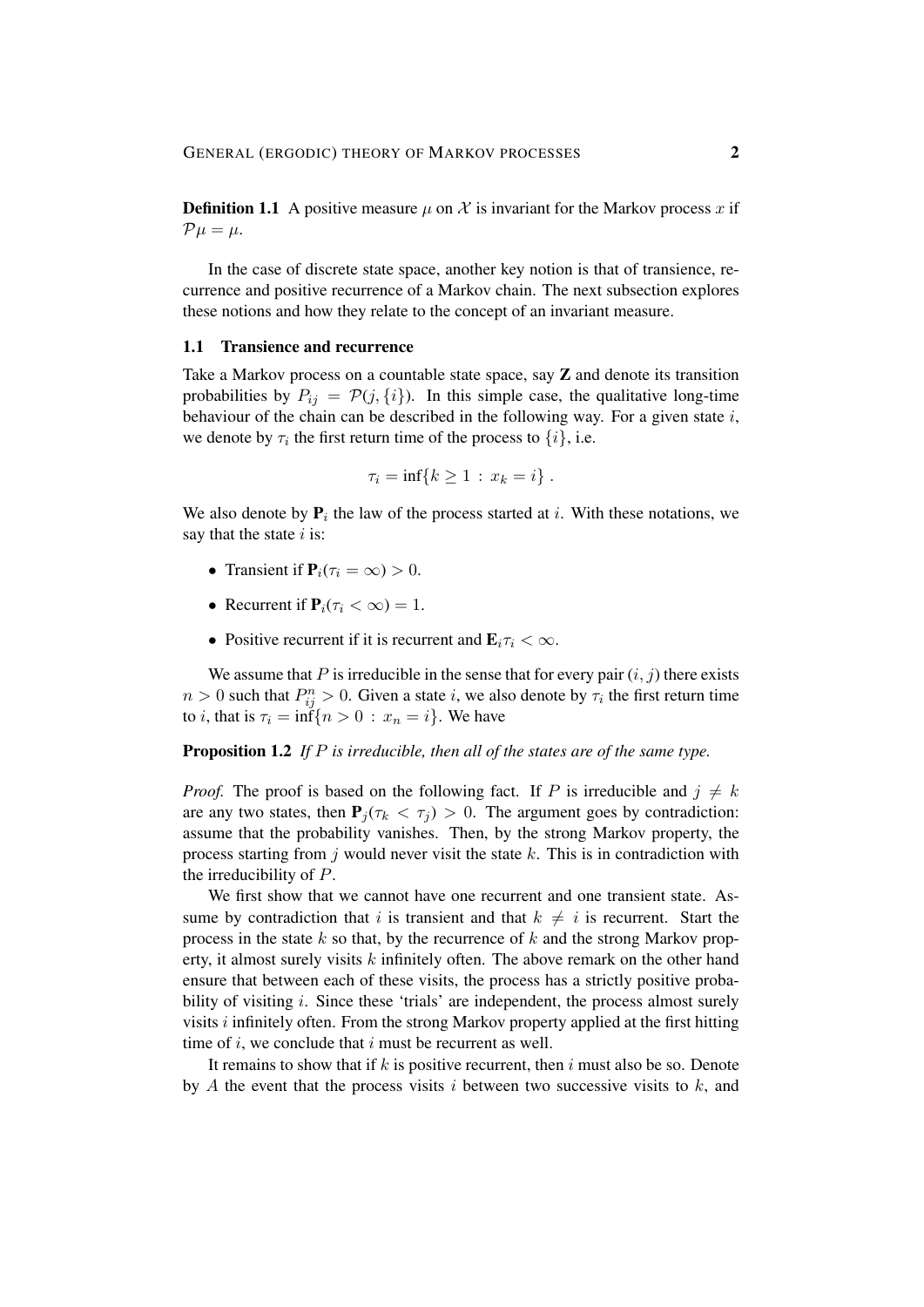**Definition 1.1** A positive measure  $\mu$  on X is invariant for the Markov process x if  $\mathcal{P}\mu = \mu.$ 

In the case of discrete state space, another key notion is that of transience, recurrence and positive recurrence of a Markov chain. The next subsection explores these notions and how they relate to the concept of an invariant measure.

#### 1.1 Transience and recurrence

Take a Markov process on a countable state space, say  $Z$  and denote its transition probabilities by  $P_{ij} = \mathcal{P}(j, \{i\})$ . In this simple case, the qualitative long-time behaviour of the chain can be described in the following way. For a given state i, we denote by  $\tau_i$  the first return time of the process to  $\{i\}$ , i.e.

$$
\tau_i = \inf\{k \geq 1 \,:\, x_k = i\} \;.
$$

We also denote by  $P_i$  the law of the process started at i. With these notations, we say that the state  $i$  is:

- Transient if  $P_i(\tau_i = \infty) > 0$ .
- Recurrent if  $P_i(\tau_i < \infty) = 1$ .
- Positive recurrent if it is recurrent and  $\mathbf{E}_i \tau_i < \infty$ .

We assume that P is irreducible in the sense that for every pair  $(i, j)$  there exists  $n > 0$  such that  $P_{ij}^n > 0$ . Given a state i, we also denote by  $\tau_i$  the first return time to *i*, that is  $\tau_i = \inf\{n > 0 : x_n = i\}$ . We have

Proposition 1.2 *If* P *is irreducible, then all of the states are of the same type.*

*Proof.* The proof is based on the following fact. If P is irreducible and  $j \neq k$ are any two states, then  $P_i(\tau_k < \tau_i) > 0$ . The argument goes by contradiction: assume that the probability vanishes. Then, by the strong Markov property, the process starting from j would never visit the state  $k$ . This is in contradiction with the irreducibility of P.

We first show that we cannot have one recurrent and one transient state. Assume by contradiction that i is transient and that  $k \neq i$  is recurrent. Start the process in the state  $k$  so that, by the recurrence of  $k$  and the strong Markov property, it almost surely visits  $k$  infinitely often. The above remark on the other hand ensure that between each of these visits, the process has a strictly positive probability of visiting  $i$ . Since these 'trials' are independent, the process almost surely visits  $i$  infinitely often. From the strong Markov property applied at the first hitting time of  $i$ , we conclude that  $i$  must be recurrent as well.

It remains to show that if k is positive recurrent, then i must also be so. Denote by A the event that the process visits  $i$  between two successive visits to  $k$ , and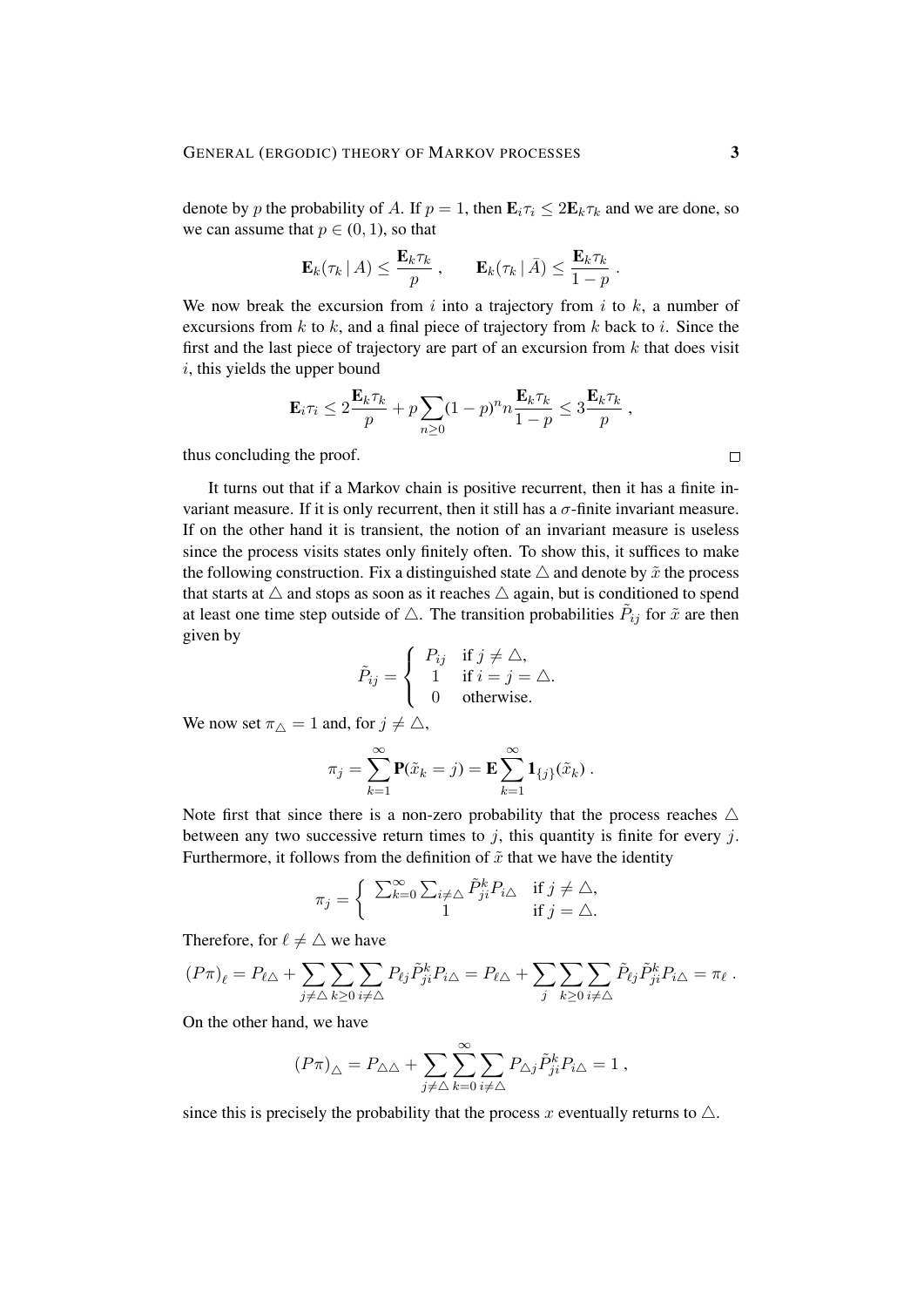denote by p the probability of A. If  $p = 1$ , then  $\mathbf{E}_i \tau_i \leq 2\mathbf{E}_k \tau_k$  and we are done, so we can assume that  $p \in (0, 1)$ , so that

$$
\mathbf{E}_k(\tau_k \mid A) \leq \frac{\mathbf{E}_k \tau_k}{p} , \qquad \mathbf{E}_k(\tau_k \mid \bar{A}) \leq \frac{\mathbf{E}_k \tau_k}{1-p} .
$$

We now break the excursion from i into a trajectory from i to  $k$ , a number of excursions from  $k$  to  $k$ , and a final piece of trajectory from  $k$  back to  $i$ . Since the first and the last piece of trajectory are part of an excursion from  $k$  that does visit  $i$ , this yields the upper bound

$$
\mathbf{E}_i \tau_i \leq 2 \frac{\mathbf{E}_k \tau_k}{p} + p \sum_{n \geq 0} (1-p)^n n \frac{\mathbf{E}_k \tau_k}{1-p} \leq 3 \frac{\mathbf{E}_k \tau_k}{p} ,
$$

thus concluding the proof.

It turns out that if a Markov chain is positive recurrent, then it has a finite invariant measure. If it is only recurrent, then it still has a  $\sigma$ -finite invariant measure. If on the other hand it is transient, the notion of an invariant measure is useless since the process visits states only finitely often. To show this, it suffices to make the following construction. Fix a distinguished state  $\triangle$  and denote by  $\tilde{x}$  the process that starts at  $\triangle$  and stops as soon as it reaches  $\triangle$  again, but is conditioned to spend at least one time step outside of  $\triangle$ . The transition probabilities  $\tilde{P}_{ij}$  for  $\tilde{x}$  are then given by

$$
\tilde{P}_{ij} = \begin{cases}\nP_{ij} & \text{if } j \neq \triangle, \\
1 & \text{if } i = j = \triangle, \\
0 & \text{otherwise.}\n\end{cases}
$$

We now set  $\pi_{\triangle} = 1$  and, for  $j \neq \triangle$ ,

$$
\pi_j = \sum_{k=1}^{\infty} \mathbf{P}(\tilde{x}_k = j) = \mathbf{E} \sum_{k=1}^{\infty} \mathbf{1}_{\{j\}}(\tilde{x}_k) .
$$

Note first that since there is a non-zero probability that the process reaches  $\triangle$ between any two successive return times to  $j$ , this quantity is finite for every  $j$ . Furthermore, it follows from the definition of  $\tilde{x}$  that we have the identity

$$
\pi_j = \left\{ \begin{array}{cc} \sum_{k=0}^{\infty} \sum_{i \neq \triangle} \tilde{P}_{ji}^k P_{i\triangle} & \text{if } j \neq \triangle, \\ 1 & \text{if } j = \triangle. \end{array} \right.
$$

Therefore, for  $\ell \neq \triangle$  we have

$$
(P\pi)_{\ell} = P_{\ell\Delta} + \sum_{j\neq \Delta}\sum_{k\geq 0}\sum_{i\neq \Delta} P_{\ell j}\tilde{P}_{ji}^k P_{i\Delta} = P_{\ell\Delta} + \sum_j \sum_{k\geq 0}\sum_{i\neq \Delta} \tilde{P}_{\ell j}\tilde{P}_{ji}^k P_{i\Delta} = \pi_{\ell}.
$$

On the other hand, we have

$$
\label{eq:3.1} (P\pi)_{\triangle}=P_{\triangle\triangle}+\sum_{j\neq \triangle}\sum_{k=0}^{\infty}\sum_{i\neq \triangle}P_{\triangle j}\tilde{P}^k_{ji}P_{i\triangle}=1\;,
$$

since this is precisely the probability that the process x eventually returns to  $\triangle$ .

 $\Box$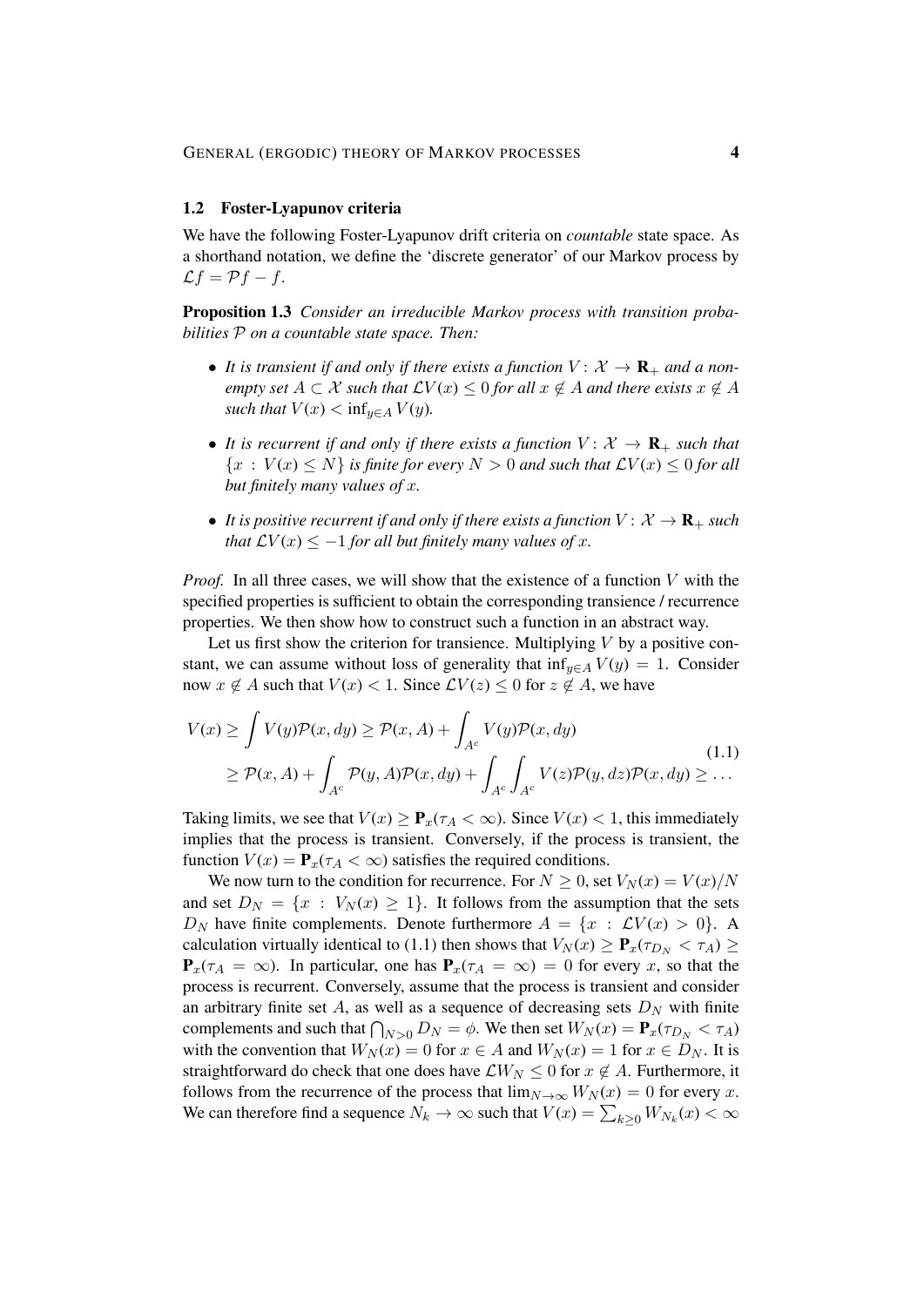#### 1.2 Foster-Lyapunov criteria

We have the following Foster-Lyapunov drift criteria on *countable* state space. As a shorthand notation, we define the 'discrete generator' of our Markov process by  $\mathcal{L}f = \mathcal{P}f - f.$ 

Proposition 1.3 *Consider an irreducible Markov process with transition probabilities* P *on a countable state space. Then:*

- It is transient if and only if there exists a function  $V: \mathcal{X} \to \mathbf{R}_+$  and a non*empty set*  $A \subset \mathcal{X}$  *such that*  $\mathcal{L}V(x) \leq 0$  *for all*  $x \notin A$  *and there exists*  $x \notin A$ *such that*  $V(x) < \inf_{y \in A} V(y)$ .
- It is recurrent if and only if there exists a function  $V: \mathcal{X} \to \mathbf{R}_+$  such that  ${x: V(x) \le N}$  *is finite for every*  $N > 0$  *and such that*  $\mathcal{L}V(x) \le 0$  *for all but finitely many values of* x*.*
- It is positive recurrent if and only if there exists a function  $V: \mathcal{X} \to \mathbf{R}_{+}$  such *that*  $\mathcal{L}V(x) \leq -1$  *for all but finitely many values of x.*

*Proof.* In all three cases, we will show that the existence of a function V with the specified properties is sufficient to obtain the corresponding transience / recurrence properties. We then show how to construct such a function in an abstract way.

Let us first show the criterion for transience. Multiplying  $V$  by a positive constant, we can assume without loss of generality that inf<sub>y∈A</sub>  $V(y) = 1$ . Consider now  $x \notin A$  such that  $V(x) < 1$ . Since  $\mathcal{L}V(z) \leq 0$  for  $z \notin A$ , we have

$$
V(x) \ge \int V(y)\mathcal{P}(x, dy) \ge \mathcal{P}(x, A) + \int_{A^c} V(y)\mathcal{P}(x, dy)
$$
  
\n
$$
\ge \mathcal{P}(x, A) + \int_{A^c} \mathcal{P}(y, A)\mathcal{P}(x, dy) + \int_{A^c} \int_{A^c} V(z)\mathcal{P}(y, dz)\mathcal{P}(x, dy) \ge \dots
$$
 (1.1)

Taking limits, we see that  $V(x) \ge \mathbf{P}_x(\tau_A < \infty)$ . Since  $V(x) < 1$ , this immediately implies that the process is transient. Conversely, if the process is transient, the function  $V(x) = \mathbf{P}_x(\tau_A < \infty)$  satisfies the required conditions.

We now turn to the condition for recurrence. For  $N \geq 0$ , set  $V_N(x) = V(x)/N$ and set  $D_N = \{x : V_N(x) \ge 1\}$ . It follows from the assumption that the sets  $D_N$  have finite complements. Denote furthermore  $A = \{x : \mathcal{L}V(x) > 0\}$ . A calculation virtually identical to (1.1) then shows that  $V_N(x) \ge \mathbf{P}_x(\tau_{D_N} < \tau_A) \ge$  ${\bf P}_x(\tau_A = \infty)$ . In particular, one has  ${\bf P}_x(\tau_A = \infty) = 0$  for every x, so that the process is recurrent. Conversely, assume that the process is transient and consider an arbitrary finite set  $A$ , as well as a sequence of decreasing sets  $D<sub>N</sub>$  with finite complements and such that  $\bigcap_{N>0} D_N = \phi$ . We then set  $W_N(x) = \mathbf{P}_x(\tau_{D_N} < \tau_A)$ with the convention that  $W_N(x) = 0$  for  $x \in A$  and  $W_N(x) = 1$  for  $x \in D_N$ . It is straightforward do check that one does have  $\mathcal{L}W_N \leq 0$  for  $x \notin A$ . Furthermore, it follows from the recurrence of the process that  $\lim_{N\to\infty}W_N(x)=0$  for every x. We can therefore find a sequence  $N_k \to \infty$  such that  $V(x) = \sum_{k \geq 0} W_{N_k}(x) < \infty$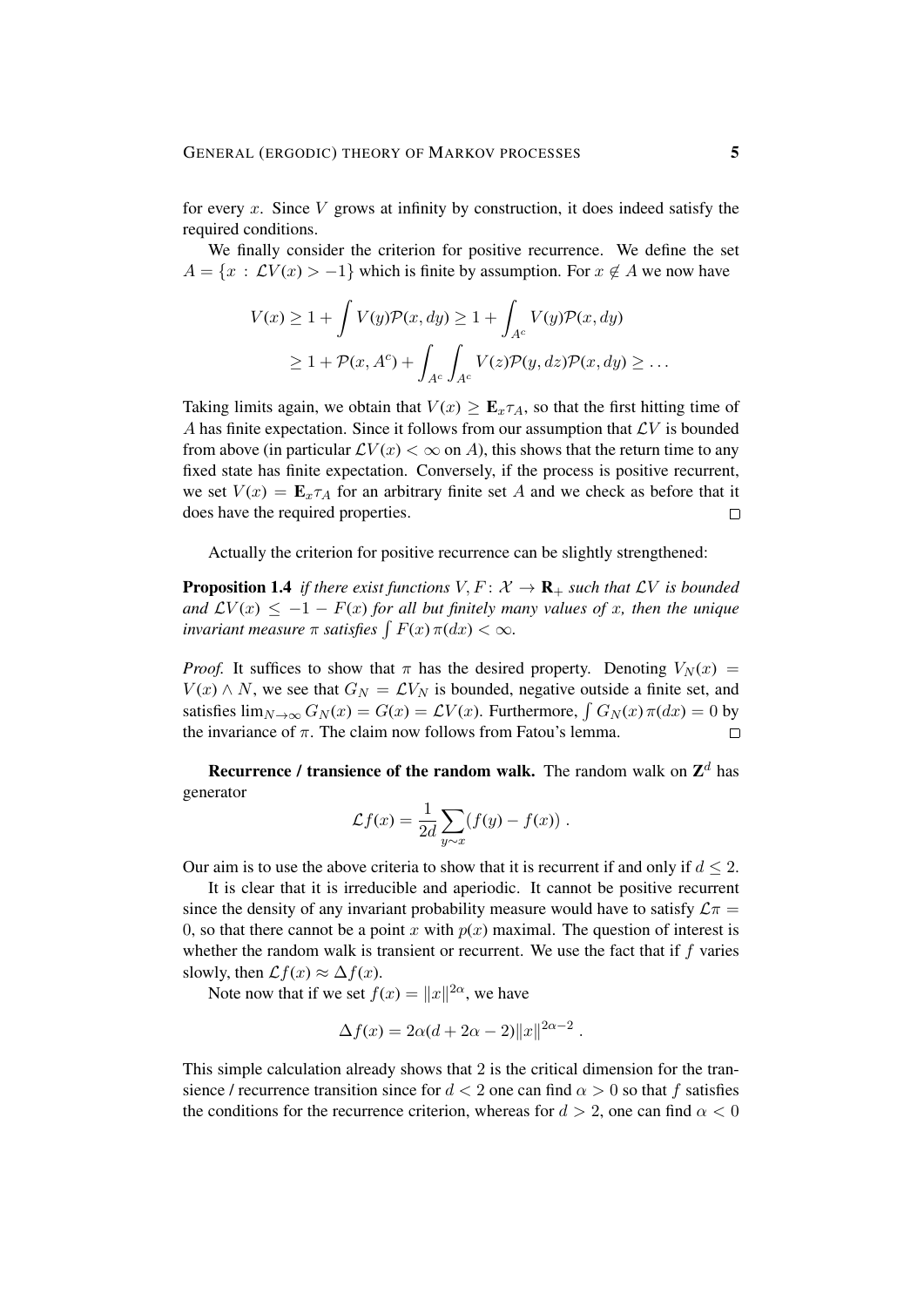for every x. Since  $V$  grows at infinity by construction, it does indeed satisfy the required conditions.

We finally consider the criterion for positive recurrence. We define the set  $A = \{x : LV(x) > -1\}$  which is finite by assumption. For  $x \notin A$  we now have

$$
V(x) \ge 1 + \int V(y)\mathcal{P}(x, dy) \ge 1 + \int_{A^c} V(y)\mathcal{P}(x, dy)
$$
  
 
$$
\ge 1 + \mathcal{P}(x, A^c) + \int_{A^c} \int_{A^c} V(z)\mathcal{P}(y, dz)\mathcal{P}(x, dy) \ge \dots
$$

Taking limits again, we obtain that  $V(x) \geq \mathbf{E}_x \tau_A$ , so that the first hitting time of A has finite expectation. Since it follows from our assumption that  $\mathcal{L}V$  is bounded from above (in particular  $\mathcal{L}V(x) < \infty$  on A), this shows that the return time to any fixed state has finite expectation. Conversely, if the process is positive recurrent, we set  $V(x) = \mathbf{E}_x \tau_A$  for an arbitrary finite set A and we check as before that it does have the required properties.  $\Box$ 

Actually the criterion for positive recurrence can be slightly strengthened:

**Proposition 1.4** *if there exist functions*  $V, F: \mathcal{X} \rightarrow \mathbf{R}_{+}$  *such that*  $\mathcal{L}V$  *is bounded and*  $\mathcal{L}V(x) \leq -1 - F(x)$  *for all but finitely many values of x, then the unique invariant measure*  $\pi$  *satisfies*  $\int F(x) \pi(dx) < \infty$ *.* 

*Proof.* It suffices to show that  $\pi$  has the desired property. Denoting  $V_N(x)$  =  $V(x) \wedge N$ , we see that  $G_N = \mathcal{L}V_N$  is bounded, negative outside a finite set, and satisfies  $\lim_{N \to \infty} G_N(x) = G(x) = \mathcal{L}V(x)$ . Furthermore,  $\int G_N(x) \pi(dx) = 0$  by the invariance of  $\pi$ . The claim now follows from Fatou's lemma.  $\Box$ 

**Recurrence / transience of the random walk.** The random walk on  $\mathbb{Z}^d$  has generator

$$
\mathcal{L}f(x) = \frac{1}{2d} \sum_{y \sim x} (f(y) - f(x)) \; .
$$

Our aim is to use the above criteria to show that it is recurrent if and only if  $d \leq 2$ .

It is clear that it is irreducible and aperiodic. It cannot be positive recurrent since the density of any invariant probability measure would have to satisfy  $\mathcal{L}\pi$  = 0, so that there cannot be a point x with  $p(x)$  maximal. The question of interest is whether the random walk is transient or recurrent. We use the fact that if  $f$  varies slowly, then  $\mathcal{L}f(x) \approx \Delta f(x)$ .

Note now that if we set  $f(x) = ||x||^{2\alpha}$ , we have

$$
\Delta f(x) = 2\alpha(d + 2\alpha - 2) ||x||^{2\alpha - 2}.
$$

This simple calculation already shows that 2 is the critical dimension for the transience / recurrence transition since for  $d < 2$  one can find  $\alpha > 0$  so that f satisfies the conditions for the recurrence criterion, whereas for  $d > 2$ , one can find  $\alpha < 0$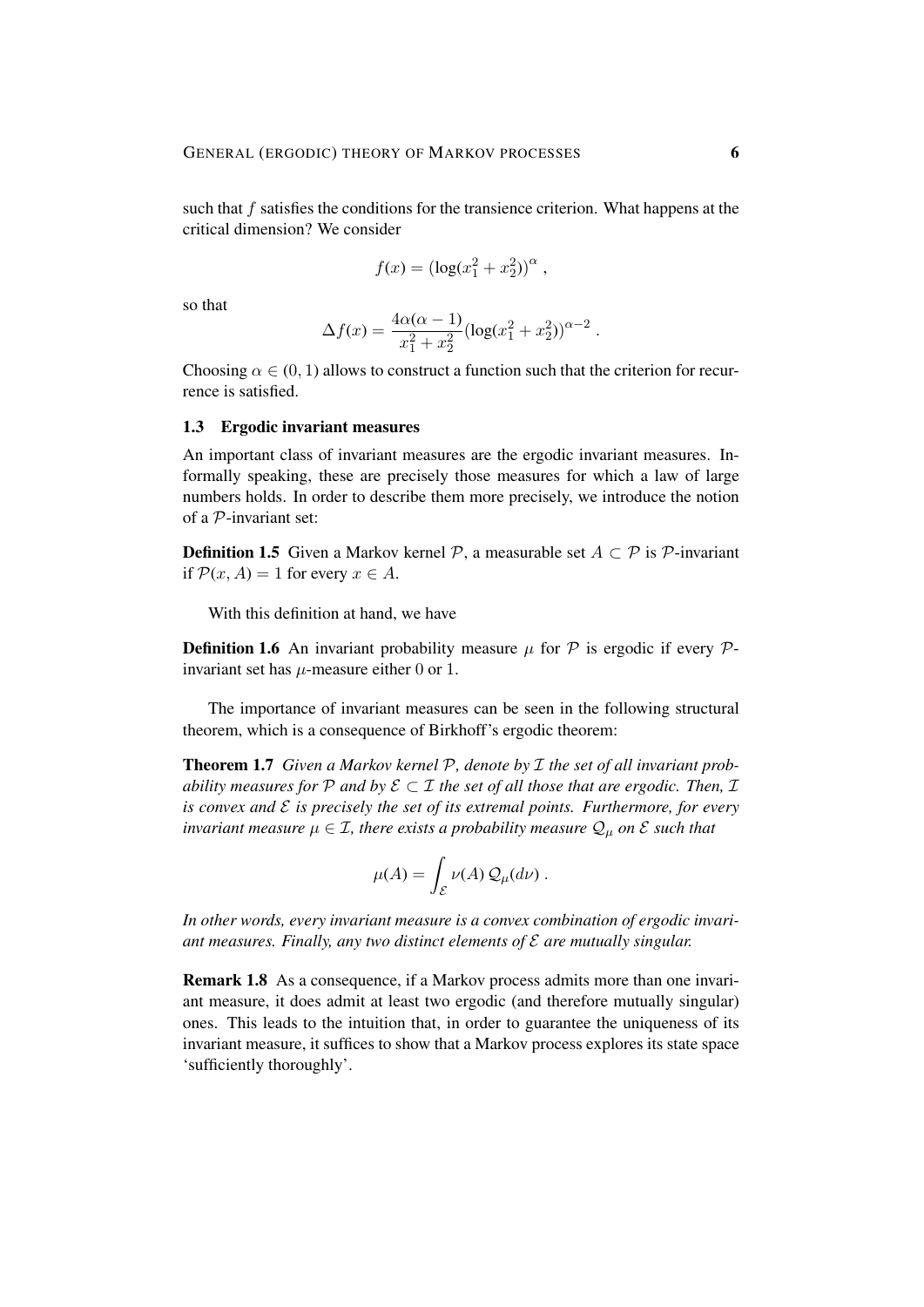such that f satisfies the conditions for the transience criterion. What happens at the critical dimension? We consider

$$
f(x) = (\log(x_1^2 + x_2^2))^{\alpha},
$$

so that

$$
\Delta f(x) = \frac{4\alpha(\alpha - 1)}{x_1^2 + x_2^2} (\log(x_1^2 + x_2^2))^{\alpha - 2} .
$$

Choosing  $\alpha \in (0, 1)$  allows to construct a function such that the criterion for recurrence is satisfied.

#### 1.3 Ergodic invariant measures

An important class of invariant measures are the ergodic invariant measures. Informally speaking, these are precisely those measures for which a law of large numbers holds. In order to describe them more precisely, we introduce the notion of a P-invariant set:

**Definition 1.5** Given a Markov kernel P, a measurable set  $A \subset \mathcal{P}$  is P-invariant if  $\mathcal{P}(x, A) = 1$  for every  $x \in A$ .

With this definition at hand, we have

**Definition 1.6** An invariant probability measure  $\mu$  for  $\mathcal{P}$  is ergodic if every  $\mathcal{P}$ invariant set has  $\mu$ -measure either 0 or 1.

The importance of invariant measures can be seen in the following structural theorem, which is a consequence of Birkhoff's ergodic theorem:

Theorem 1.7 *Given a Markov kernel* P*, denote by* I *the set of all invariant probability measures for*  $P$  *and by*  $E \subset I$  *the set of all those that are ergodic. Then,*  $I$ *is convex and* E *is precisely the set of its extremal points. Furthermore, for every invariant measure*  $\mu \in \mathcal{I}$ *, there exists a probability measure*  $\mathcal{Q}_{\mu}$  *on*  $\mathcal{E}$  *such that* 

$$
\mu(A) = \int_{\mathcal{E}} \nu(A) \mathcal{Q}_{\mu}(d\nu) .
$$

*In other words, every invariant measure is a convex combination of ergodic invariant measures. Finally, any two distinct elements of* E *are mutually singular.*

Remark 1.8 As a consequence, if a Markov process admits more than one invariant measure, it does admit at least two ergodic (and therefore mutually singular) ones. This leads to the intuition that, in order to guarantee the uniqueness of its invariant measure, it suffices to show that a Markov process explores its state space 'sufficiently thoroughly'.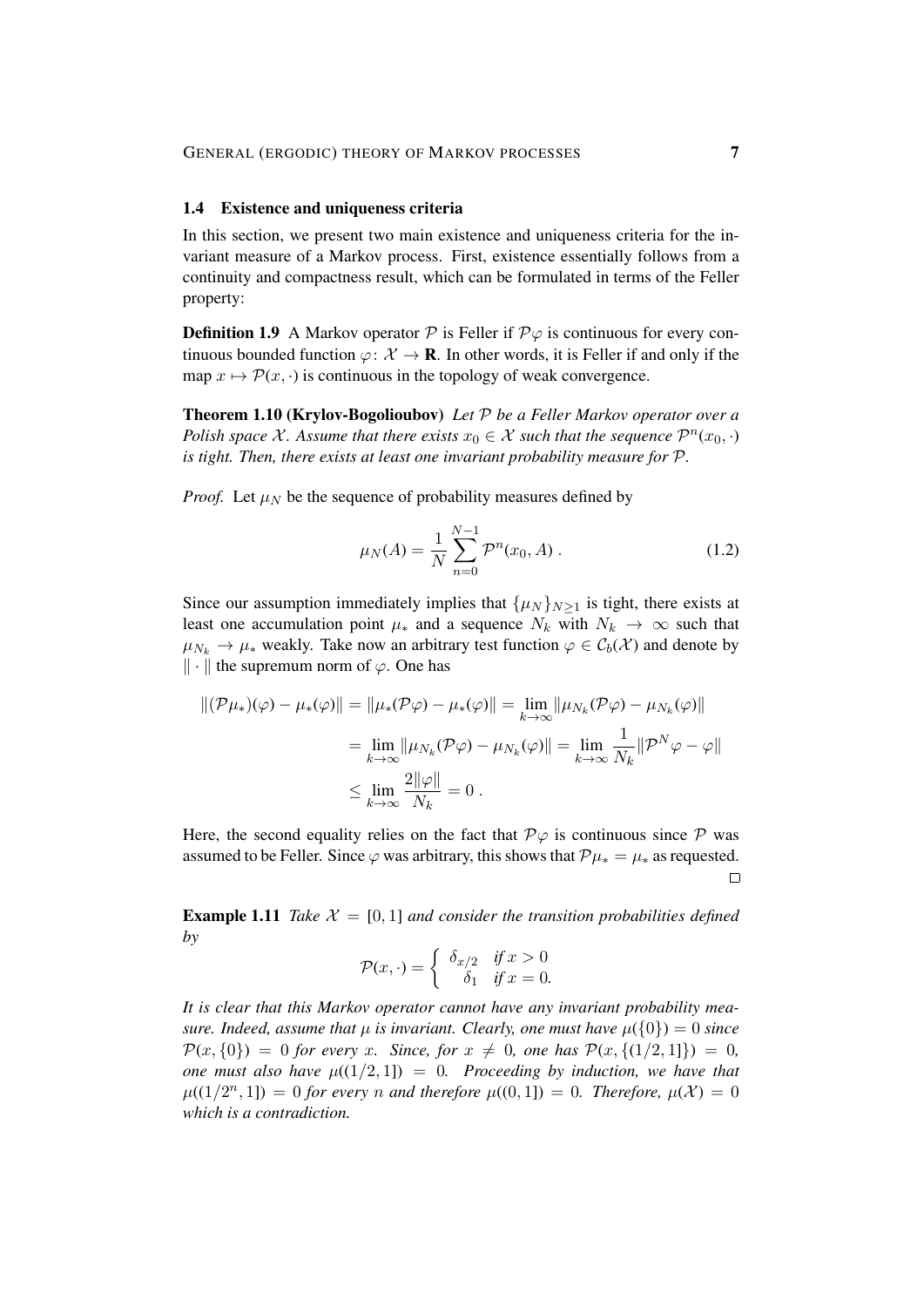#### 1.4 Existence and uniqueness criteria

In this section, we present two main existence and uniqueness criteria for the invariant measure of a Markov process. First, existence essentially follows from a continuity and compactness result, which can be formulated in terms of the Feller property:

**Definition 1.9** A Markov operator  $\mathcal{P}$  is Feller if  $\mathcal{P}\varphi$  is continuous for every continuous bounded function  $\varphi: \mathcal{X} \to \mathbf{R}$ . In other words, it is Feller if and only if the map  $x \mapsto \mathcal{P}(x, \cdot)$  is continuous in the topology of weak convergence.

Theorem 1.10 (Krylov-Bogolioubov) *Let* P *be a Feller Markov operator over a Polish space* X. Assume that there exists  $x_0 \in \mathcal{X}$  such that the sequence  $\mathcal{P}^n(x_0, \cdot)$ *is tight. Then, there exists at least one invariant probability measure for* P*.*

*Proof.* Let  $\mu_N$  be the sequence of probability measures defined by

$$
\mu_N(A) = \frac{1}{N} \sum_{n=0}^{N-1} \mathcal{P}^n(x_0, A) \,. \tag{1.2}
$$

Since our assumption immediately implies that  $\{\mu_N\}_{N>1}$  is tight, there exists at least one accumulation point  $\mu_*$  and a sequence  $N_k$  with  $N_k \to \infty$  such that  $\mu_{N_k} \to \mu_*$  weakly. Take now an arbitrary test function  $\varphi \in C_b(\mathcal{X})$  and denote by  $\|\cdot\|$  the supremum norm of  $\varphi$ . One has

$$
\begin{aligned} ||(\mathcal{P}\mu_*)(\varphi) - \mu_*(\varphi)|| &= \|\mu_*(\mathcal{P}\varphi) - \mu_*(\varphi)\| = \lim_{k \to \infty} \|\mu_{N_k}(\mathcal{P}\varphi) - \mu_{N_k}(\varphi)\| \\ &= \lim_{k \to \infty} \|\mu_{N_k}(\mathcal{P}\varphi) - \mu_{N_k}(\varphi)\| = \lim_{k \to \infty} \frac{1}{N_k} \|\mathcal{P}^N \varphi - \varphi\| \\ &\le \lim_{k \to \infty} \frac{2\|\varphi\|}{N_k} = 0 \,. \end{aligned}
$$

Here, the second equality relies on the fact that  $\mathcal{P}\varphi$  is continuous since  $\mathcal P$  was assumed to be Feller. Since  $\varphi$  was arbitrary, this shows that  $\mathcal{P}\mu_* = \mu_*$  as requested.  $\Box$ 

**Example 1.11** *Take*  $\mathcal{X} = [0, 1]$  *and consider the transition probabilities defined by*

$$
\mathcal{P}(x,\cdot) = \begin{cases} \delta_{x/2} & \text{if } x > 0 \\ \delta_1 & \text{if } x = 0. \end{cases}
$$

*It is clear that this Markov operator cannot have any invariant probability measure. Indeed, assume that*  $\mu$  *is invariant. Clearly, one must have*  $\mu({0}) = 0$  *since*  $\mathcal{P}(x, \{0\}) = 0$  *for every* x*.* Since, for  $x \neq 0$ , one has  $\mathcal{P}(x, \{(1/2, 1]\}) = 0$ , *one must also have*  $\mu((1/2, 1]) = 0$ *. Proceeding by induction, we have that*  $\mu((1/2^n, 1]) = 0$  for every *n* and therefore  $\mu((0, 1]) = 0$ . Therefore,  $\mu(\mathcal{X}) = 0$ *which is a contradiction.*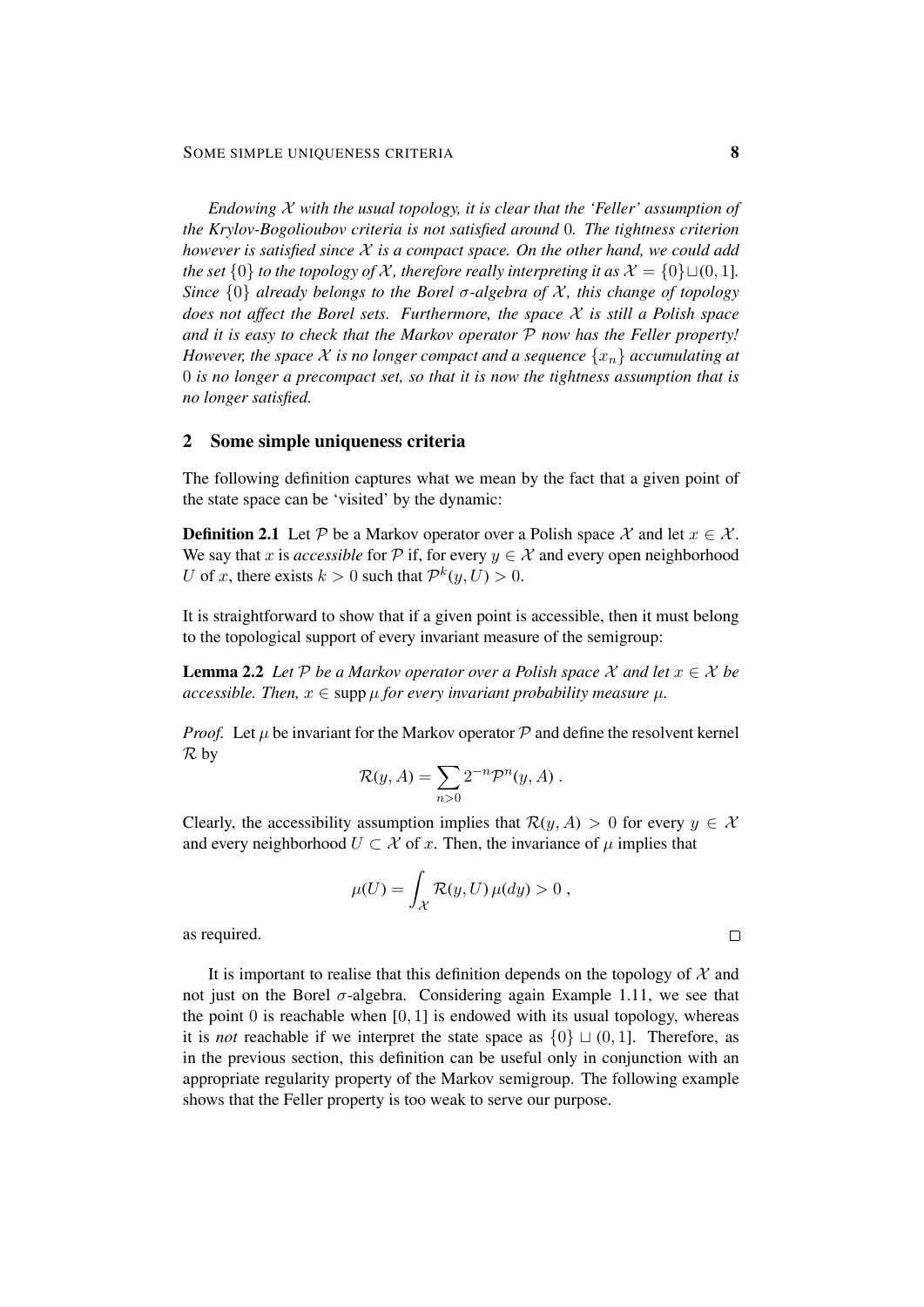*Endowing* X *with the usual topology, it is clear that the 'Feller' assumption of the Krylov-Bogolioubov criteria is not satisfied around* 0*. The tightness criterion however is satisfied since* X *is a compact space. On the other hand, we could add the set*  $\{0\}$  *to the topology of* X, therefore really interpreting it as  $\mathcal{X} = \{0\} \sqcup (0, 1]$ . *Since*  $\{0\}$  *already belongs to the Borel σ-algebra of*  $X$ *, this change of topology does not affect the Borel sets. Furthermore, the space* X *is still a Polish space and it is easy to check that the Markov operator* P *now has the Feller property! However, the space*  $\mathcal X$  *is no longer compact and a sequence*  $\{x_n\}$  *accumulating at* 0 *is no longer a precompact set, so that it is now the tightness assumption that is no longer satisfied.*

# 2 Some simple uniqueness criteria

The following definition captures what we mean by the fact that a given point of the state space can be 'visited' by the dynamic:

**Definition 2.1** Let P be a Markov operator over a Polish space X and let  $x \in \mathcal{X}$ . We say that x is *accessible* for P if, for every  $y \in \mathcal{X}$  and every open neighborhood U of x, there exists  $k > 0$  such that  $\mathcal{P}^k(y, U) > 0$ .

It is straightforward to show that if a given point is accessible, then it must belong to the topological support of every invariant measure of the semigroup:

**Lemma 2.2** *Let*  $P$  *be a Markov operator over a Polish space*  $X$  *and let*  $x \in X$  *be accessible. Then,*  $x \in \text{supp } \mu$  *for every invariant probability measure*  $\mu$ *.* 

*Proof.* Let  $\mu$  be invariant for the Markov operator  $\mathcal P$  and define the resolvent kernel R by

$$
\mathcal{R}(y, A) = \sum_{n>0} 2^{-n} \mathcal{P}^n(y, A) .
$$

Clearly, the accessibility assumption implies that  $\mathcal{R}(y, A) > 0$  for every  $y \in \mathcal{X}$ and every neighborhood  $U \subset \mathcal{X}$  of x. Then, the invariance of  $\mu$  implies that

$$
\mu(U) = \int_{\mathcal{X}} \mathcal{R}(y, U) \,\mu(dy) > 0,
$$

as required.

It is important to realise that this definition depends on the topology of  $X$  and not just on the Borel  $\sigma$ -algebra. Considering again Example 1.11, we see that the point  $0$  is reachable when  $[0, 1]$  is endowed with its usual topology, whereas it is *not* reachable if we interpret the state space as  $\{0\} \sqcup (0, 1]$ . Therefore, as in the previous section, this definition can be useful only in conjunction with an appropriate regularity property of the Markov semigroup. The following example shows that the Feller property is too weak to serve our purpose.

$$
\qquad \qquad \Box
$$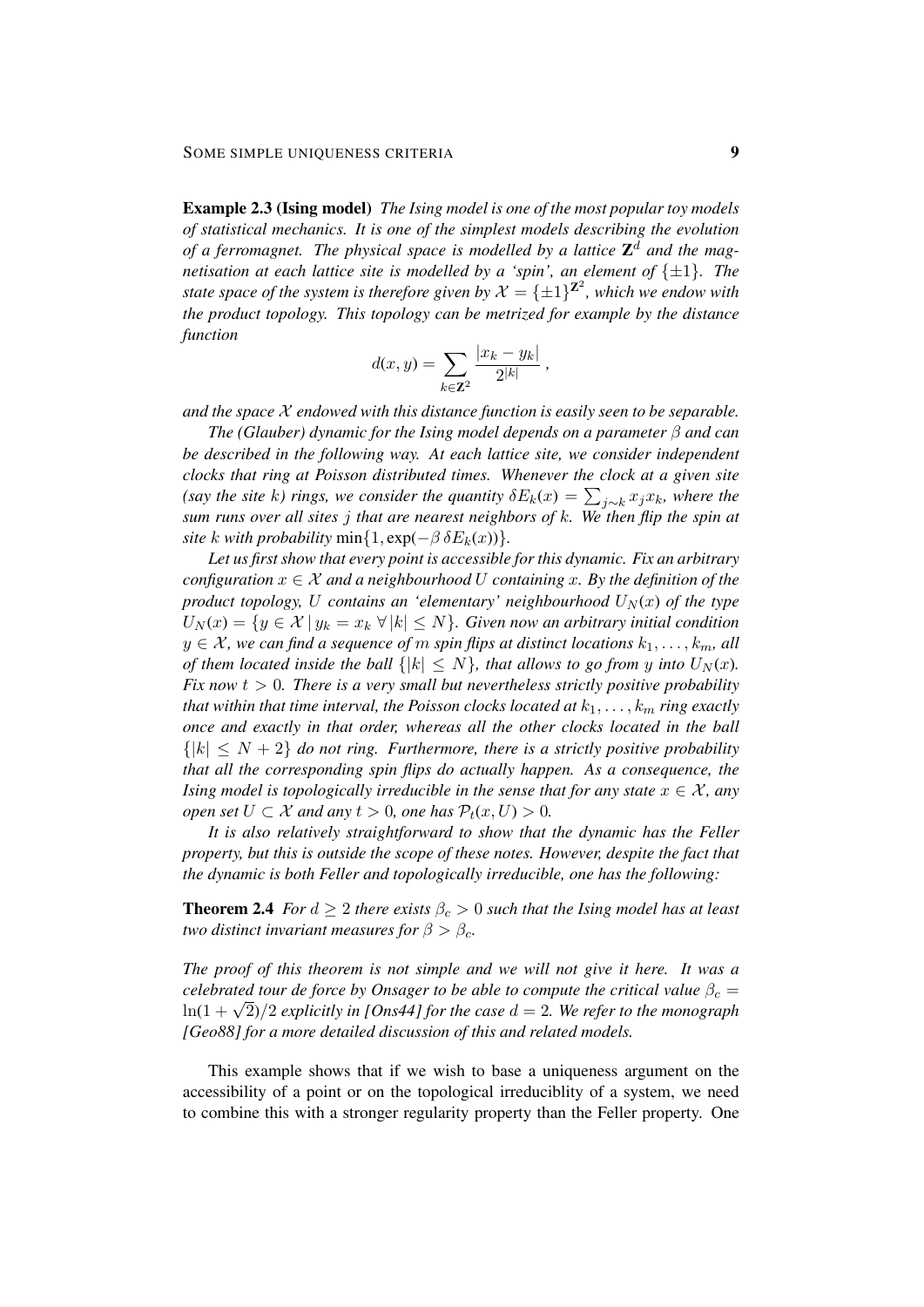Example 2.3 (Ising model) *The Ising model is one of the most popular toy models of statistical mechanics. It is one of the simplest models describing the evolution* of a ferromagnet. The physical space is modelled by a lattice  $\mathbb{Z}^d$  and the mag*netisation at each lattice site is modelled by a 'spin', an element of*  $\{\pm 1\}$ *. The state space of the system is therefore given by*  $\mathcal{X} = {\pm 1}^{\mathbf{Z}^2}$ , which we endow with *the product topology. This topology can be metrized for example by the distance function*

$$
d(x,y) = \sum_{k \in \mathbb{Z}^2} \frac{|x_k - y_k|}{2^{|k|}},
$$

*and the space* X *endowed with this distance function is easily seen to be separable.*

*The (Glauber) dynamic for the Ising model depends on a parameter* β *and can be described in the following way. At each lattice site, we consider independent clocks that ring at Poisson distributed times. Whenever the clock at a given site* (say the site k) rings, we consider the quantity  $\delta E_k(x) = \sum_{j \sim k} x_j x_k$ , where the *sum runs over all sites* j *that are nearest neighbors of* k*. We then flip the spin at site* k *with probability* min $\{1, \exp(-\beta \delta E_k(x))\}.$ 

*Let us first show that every point is accessible for this dynamic. Fix an arbitrary configuration*  $x \in \mathcal{X}$  *and a neighbourhood* U *containing* x. By the definition of the *product topology,* U *contains an 'elementary' neighbourhood*  $U_N(x)$  *of the type*  $U_N(x) = \{y \in \mathcal{X} \mid y_k = x_k \; \forall \, |k| \leq N\}.$  Given now an arbitrary initial condition  $y \in \mathcal{X}$ , we can find a sequence of m spin flips at distinct locations  $k_1, \ldots, k_m$ , all *of them located inside the ball*  $\{|k| \leq N\}$ *, that allows to go from y into*  $U_N(x)$ *. Fix now*  $t > 0$ *. There is a very small but nevertheless strictly positive probability that within that time interval, the Poisson clocks located at*  $k_1, \ldots, k_m$  *ring exactly once and exactly in that order, whereas all the other clocks located in the ball*  $\{|k| \leq N+2\}$  *do not ring. Furthermore, there is a strictly positive probability that all the corresponding spin flips do actually happen. As a consequence, the Ising model is topologically irreducible in the sense that for any state*  $x \in \mathcal{X}$ , any *open set*  $U \subset \mathcal{X}$  *and any*  $t > 0$ *, one has*  $\mathcal{P}_t(x, U) > 0$ *.* 

*It is also relatively straightforward to show that the dynamic has the Feller property, but this is outside the scope of these notes. However, despite the fact that the dynamic is both Feller and topologically irreducible, one has the following:*

**Theorem 2.4** *For*  $d \geq 2$  *there exists*  $\beta_c > 0$  *such that the Ising model has at least two distinct invariant measures for*  $\beta > \beta_c$ *.* 

*The proof of this theorem is not simple and we will not give it here. It was a celebrated tour de force by Onsager to be able to compute the critical value*  $\beta_c$  = *celebrated tour de force by Onsager to be able to compule the critical value*  $\rho_c =$ <br> $\ln(1 + \sqrt{2})/2$  explicitly in [Ons44] for the case  $d = 2$ . We refer to the monograph *[Geo88] for a more detailed discussion of this and related models.*

This example shows that if we wish to base a uniqueness argument on the accessibility of a point or on the topological irreduciblity of a system, we need to combine this with a stronger regularity property than the Feller property. One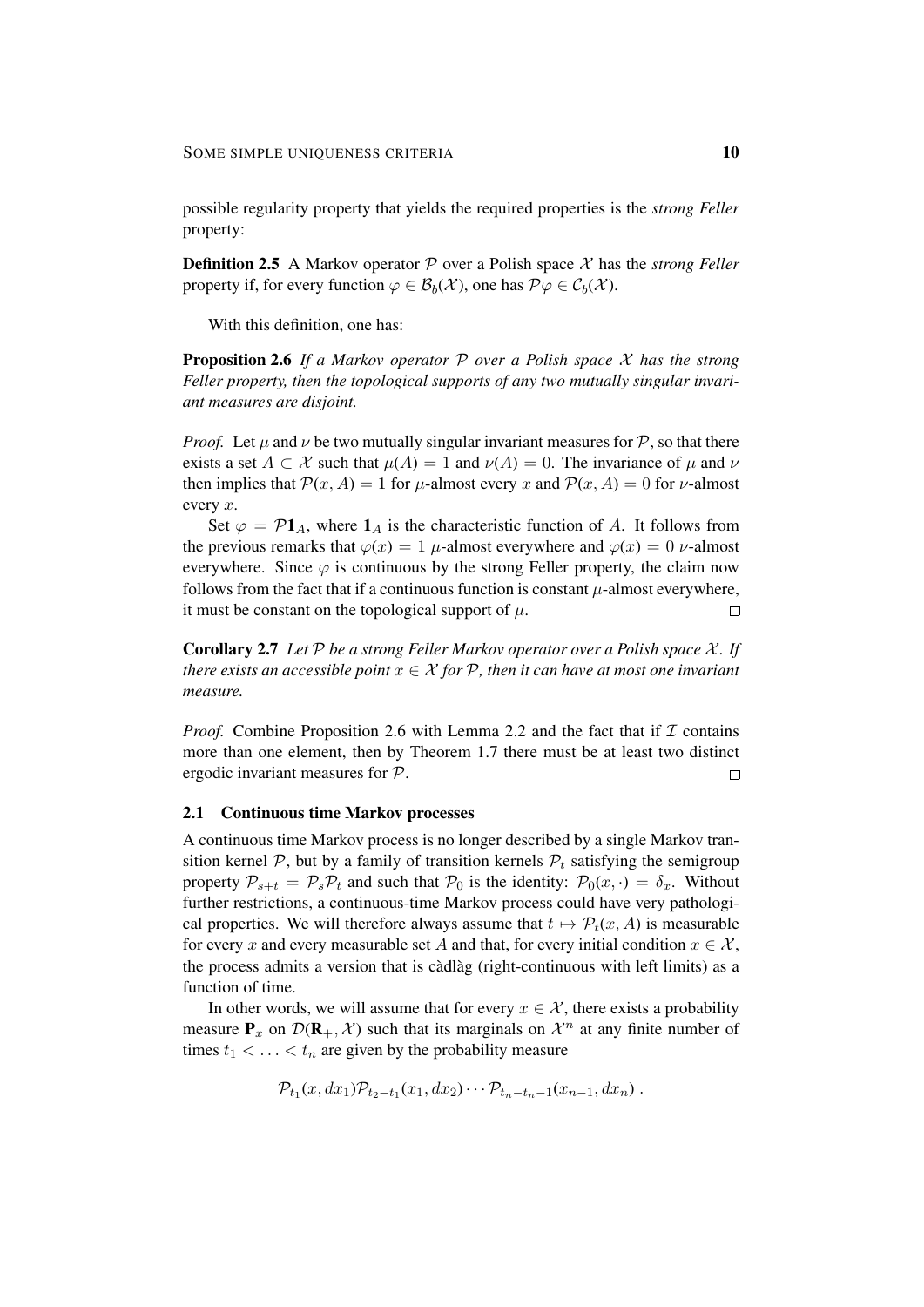possible regularity property that yields the required properties is the *strong Feller* property:

Definition 2.5 A Markov operator P over a Polish space X has the *strong Feller* property if, for every function  $\varphi \in \mathcal{B}_b(\mathcal{X})$ , one has  $\mathcal{P}\varphi \in \mathcal{C}_b(\mathcal{X})$ .

With this definition, one has:

Proposition 2.6 *If a Markov operator* P *over a Polish space* X *has the strong Feller property, then the topological supports of any two mutually singular invariant measures are disjoint.*

*Proof.* Let  $\mu$  and  $\nu$  be two mutually singular invariant measures for  $\mathcal{P}$ , so that there exists a set  $A \subset \mathcal{X}$  such that  $\mu(A) = 1$  and  $\nu(A) = 0$ . The invariance of  $\mu$  and  $\nu$ then implies that  $\mathcal{P}(x, A) = 1$  for  $\mu$ -almost every x and  $\mathcal{P}(x, A) = 0$  for  $\nu$ -almost every x.

Set  $\varphi = \mathcal{P}1_A$ , where  $1_A$  is the characteristic function of A. It follows from the previous remarks that  $\varphi(x) = 1$   $\mu$ -almost everywhere and  $\varphi(x) = 0$   $\nu$ -almost everywhere. Since  $\varphi$  is continuous by the strong Feller property, the claim now follows from the fact that if a continuous function is constant  $\mu$ -almost everywhere, it must be constant on the topological support of  $\mu$ .  $\Box$ 

Corollary 2.7 *Let* P *be a strong Feller Markov operator over a Polish space* X *. If there exists an accessible point*  $x \in \mathcal{X}$  *for*  $\mathcal{P}$ *, then it can have at most one invariant measure.*

*Proof.* Combine Proposition 2.6 with Lemma 2.2 and the fact that if  $\mathcal I$  contains more than one element, then by Theorem 1.7 there must be at least two distinct ergodic invariant measures for P.  $\Box$ 

# 2.1 Continuous time Markov processes

A continuous time Markov process is no longer described by a single Markov transition kernel  $P$ , but by a family of transition kernels  $P_t$  satisfying the semigroup property  $P_{s+t} = P_s P_t$  and such that  $P_0$  is the identity:  $P_0(x, \cdot) = \delta_x$ . Without further restrictions, a continuous-time Markov process could have very pathological properties. We will therefore always assume that  $t \mapsto \mathcal{P}_t(x, A)$  is measurable for every x and every measurable set A and that, for every initial condition  $x \in \mathcal{X}$ , the process admits a version that is càdlàg (right-continuous with left limits) as a function of time.

In other words, we will assume that for every  $x \in \mathcal{X}$ , there exists a probability measure  $P_x$  on  $\mathcal{D}(R_+, \mathcal{X})$  such that its marginals on  $\mathcal{X}^n$  at any finite number of times  $t_1 < \ldots < t_n$  are given by the probability measure

$$
\mathcal{P}_{t_1}(x,dx_1)\mathcal{P}_{t_2-t_1}(x_1,dx_2)\cdots \mathcal{P}_{t_n-t_n-1}(x_{n-1},dx_n) .
$$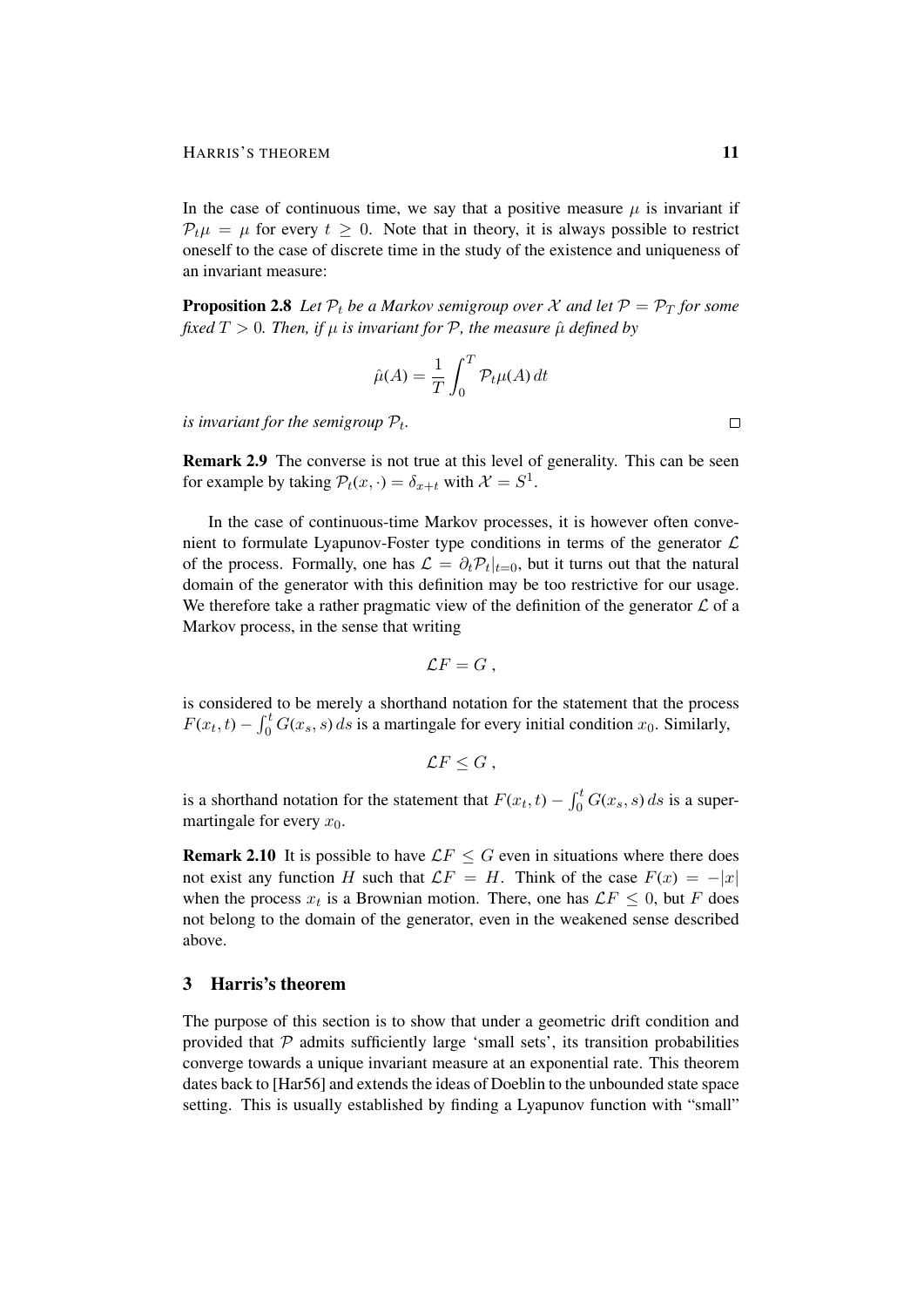In the case of continuous time, we say that a positive measure  $\mu$  is invariant if  $P_t \mu = \mu$  for every  $t \geq 0$ . Note that in theory, it is always possible to restrict oneself to the case of discrete time in the study of the existence and uniqueness of an invariant measure:

**Proposition 2.8** Let  $P_t$  be a Markov semigroup over X and let  $P = P_T$  for some *fixed*  $T > 0$ *. Then, if*  $\mu$  *is invariant for*  $P$ *, the measure*  $\hat{\mu}$  *defined by* 

$$
\hat{\mu}(A) = \frac{1}{T} \int_0^T \mathcal{P}_t \mu(A) dt
$$

*is invariant for the semigroup*  $P_t$ *.* 

Remark 2.9 The converse is not true at this level of generality. This can be seen for example by taking  $P_t(x, \cdot) = \delta_{x+t}$  with  $\mathcal{X} = S^1$ .

In the case of continuous-time Markov processes, it is however often convenient to formulate Lyapunov-Foster type conditions in terms of the generator  $\mathcal L$ of the process. Formally, one has  $\mathcal{L} = \partial_t \mathcal{P}_t|_{t=0}$ , but it turns out that the natural domain of the generator with this definition may be too restrictive for our usage. We therefore take a rather pragmatic view of the definition of the generator  $\mathcal L$  of a Markov process, in the sense that writing

$$
\mathcal{L}F=G,
$$

is considered to be merely a shorthand notation for the statement that the process  $F(x_t, t) - \int_0^t G(x_s, s) ds$  is a martingale for every initial condition  $x_0$ . Similarly,

$$
\mathcal{L}F\leq G,
$$

is a shorthand notation for the statement that  $F(x_t, t) - \int_0^t G(x_s, s) ds$  is a supermartingale for every  $x_0$ .

**Remark 2.10** It is possible to have  $\mathcal{L}F \leq G$  even in situations where there does not exist any function H such that  $\mathcal{L}F = H$ . Think of the case  $F(x) = -|x|$ when the process  $x_t$  is a Brownian motion. There, one has  $\mathcal{L}F \leq 0$ , but F does not belong to the domain of the generator, even in the weakened sense described above.

#### 3 Harris's theorem

The purpose of this section is to show that under a geometric drift condition and provided that  $P$  admits sufficiently large 'small sets', its transition probabilities converge towards a unique invariant measure at an exponential rate. This theorem dates back to [Har56] and extends the ideas of Doeblin to the unbounded state space setting. This is usually established by finding a Lyapunov function with "small"

 $\Box$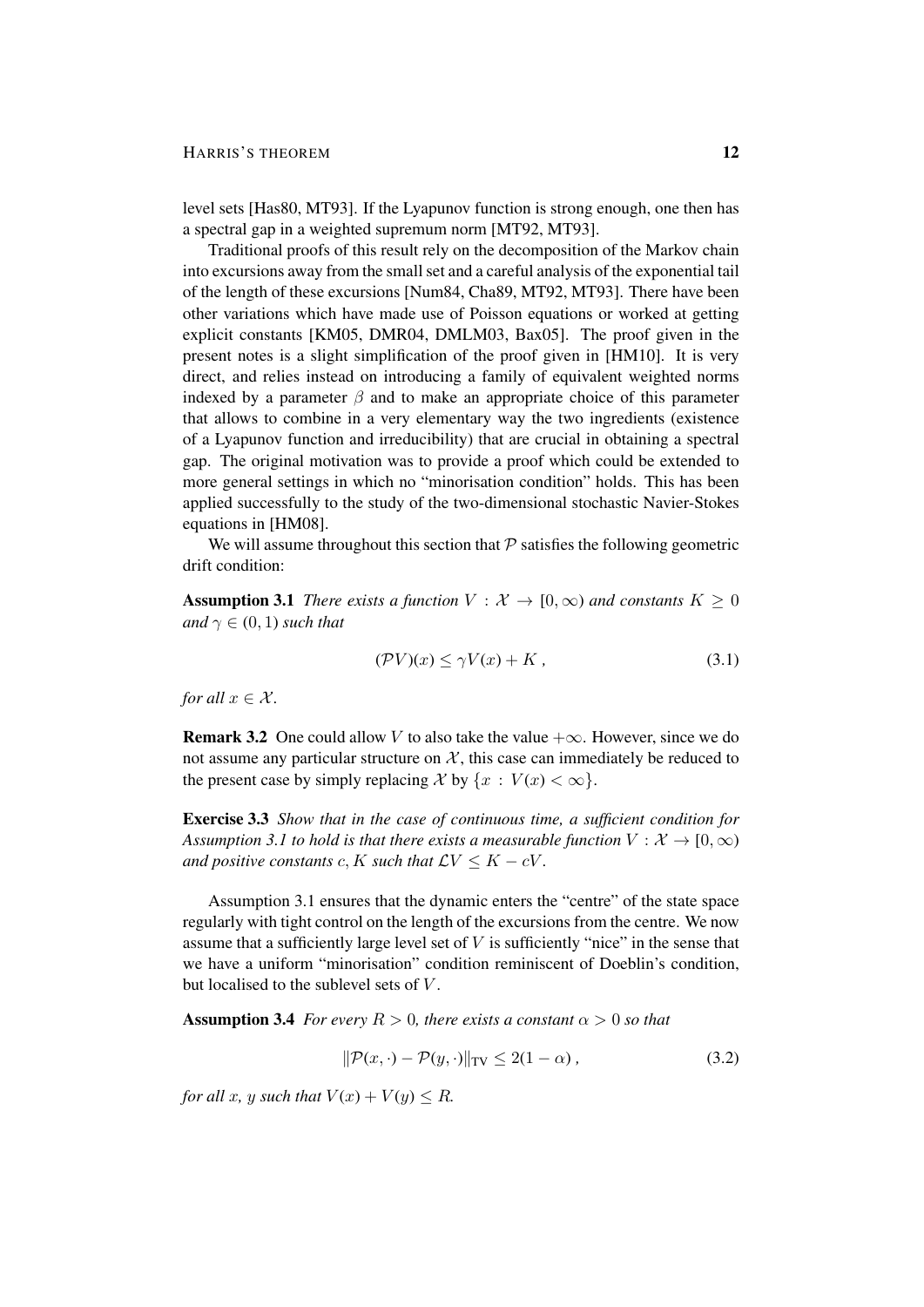level sets [Has80, MT93]. If the Lyapunov function is strong enough, one then has a spectral gap in a weighted supremum norm [MT92, MT93].

Traditional proofs of this result rely on the decomposition of the Markov chain into excursions away from the small set and a careful analysis of the exponential tail of the length of these excursions [Num84, Cha89, MT92, MT93]. There have been other variations which have made use of Poisson equations or worked at getting explicit constants [KM05, DMR04, DMLM03, Bax05]. The proof given in the present notes is a slight simplification of the proof given in [HM10]. It is very direct, and relies instead on introducing a family of equivalent weighted norms indexed by a parameter  $\beta$  and to make an appropriate choice of this parameter that allows to combine in a very elementary way the two ingredients (existence of a Lyapunov function and irreducibility) that are crucial in obtaining a spectral gap. The original motivation was to provide a proof which could be extended to more general settings in which no "minorisation condition" holds. This has been applied successfully to the study of the two-dimensional stochastic Navier-Stokes equations in [HM08].

We will assume throughout this section that  $P$  satisfies the following geometric drift condition:

**Assumption 3.1** *There exists a function*  $V : \mathcal{X} \to [0, \infty)$  *and constants*  $K \geq 0$ *and*  $\gamma \in (0, 1)$  *such that* 

$$
(\mathcal{P}V)(x) \le \gamma V(x) + K \,, \tag{3.1}
$$

*for all*  $x \in \mathcal{X}$ *.* 

**Remark 3.2** One could allow V to also take the value  $+\infty$ . However, since we do not assume any particular structure on  $X$ , this case can immediately be reduced to the present case by simply replacing X by  $\{x : V(x) < \infty\}.$ 

Exercise 3.3 *Show that in the case of continuous time, a sufficient condition for Assumption 3.1 to hold is that there exists a measurable function*  $V : \mathcal{X} \to [0, \infty)$ *and positive constants* c, K *such that*  $\mathcal{L}V \leq K - cV$ .

Assumption 3.1 ensures that the dynamic enters the "centre" of the state space regularly with tight control on the length of the excursions from the centre. We now assume that a sufficiently large level set of  $V$  is sufficiently "nice" in the sense that we have a uniform "minorisation" condition reminiscent of Doeblin's condition, but localised to the sublevel sets of  $V$ .

**Assumption 3.4** *For every*  $R > 0$ *, there exists a constant*  $\alpha > 0$  *so that* 

$$
\|\mathcal{P}(x,\cdot) - \mathcal{P}(y,\cdot)\|_{\text{TV}} \le 2(1-\alpha),\tag{3.2}
$$

*for all* x, y *such that*  $V(x) + V(y) \le R$ *.*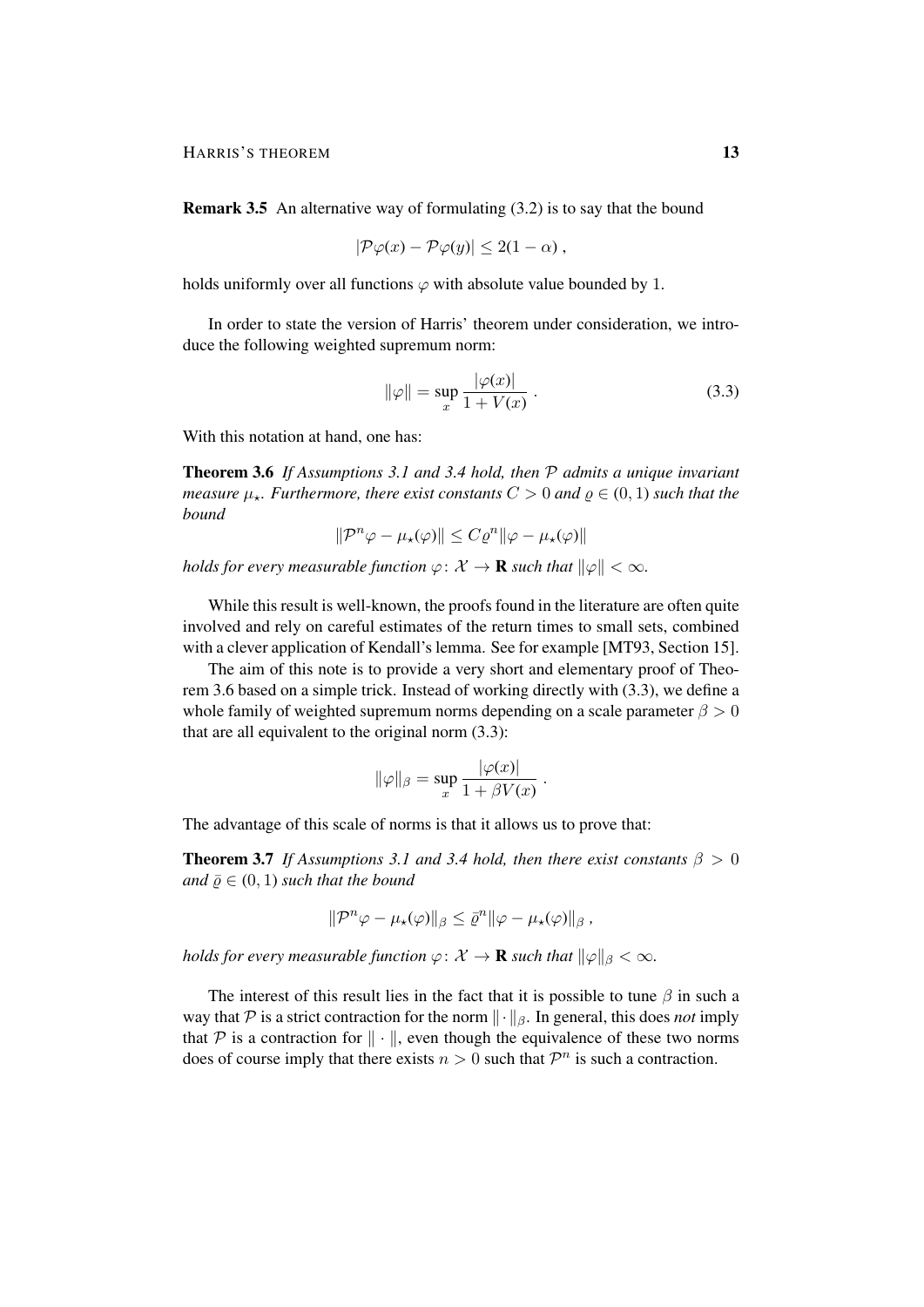Remark 3.5 An alternative way of formulating (3.2) is to say that the bound

$$
|\mathcal{P}\varphi(x)-\mathcal{P}\varphi(y)|\leq 2(1-\alpha)\,
$$

holds uniformly over all functions  $\varphi$  with absolute value bounded by 1.

In order to state the version of Harris' theorem under consideration, we introduce the following weighted supremum norm:

$$
\|\varphi\| = \sup_{x} \frac{|\varphi(x)|}{1 + V(x)} \,. \tag{3.3}
$$

With this notation at hand, one has:

Theorem 3.6 *If Assumptions 3.1 and 3.4 hold, then* P *admits a unique invariant measure*  $\mu_{\star}$ *. Furthermore, there exist constants*  $C > 0$  *and*  $\rho \in (0, 1)$  *such that the bound*

$$
\|\mathcal{P}^n\varphi - \mu_\star(\varphi)\| \le C\varrho^n \|\varphi - \mu_\star(\varphi)\|
$$

*holds for every measurable function*  $\varphi: \mathcal{X} \to \mathbf{R}$  *such that*  $\|\varphi\| < \infty$ *.* 

While this result is well-known, the proofs found in the literature are often quite involved and rely on careful estimates of the return times to small sets, combined with a clever application of Kendall's lemma. See for example [MT93, Section 15].

The aim of this note is to provide a very short and elementary proof of Theorem 3.6 based on a simple trick. Instead of working directly with (3.3), we define a whole family of weighted supremum norms depending on a scale parameter  $\beta > 0$ that are all equivalent to the original norm (3.3):

$$
\|\varphi\|_{\beta} = \sup_x \frac{|\varphi(x)|}{1 + \beta V(x)}.
$$

The advantage of this scale of norms is that it allows us to prove that:

**Theorem 3.7** *If Assumptions 3.1 and 3.4 hold, then there exist constants*  $\beta > 0$ *and*  $\bar{\varrho} \in (0, 1)$  *such that the bound* 

$$
\|\mathcal{P}^n\varphi-\mu_\star(\varphi)\|_\beta\leq \bar{\varrho}^n\|\varphi-\mu_\star(\varphi)\|_\beta,
$$

*holds for every measurable function*  $\varphi: \mathcal{X} \to \mathbf{R}$  *such that*  $\|\varphi\|_{\beta} < \infty$ *.* 

The interest of this result lies in the fact that it is possible to tune  $\beta$  in such a way that P is a strict contraction for the norm  $\|\cdot\|_{\beta}$ . In general, this does *not* imply that P is a contraction for  $\|\cdot\|$ , even though the equivalence of these two norms does of course imply that there exists  $n > 0$  such that  $\mathcal{P}^n$  is such a contraction.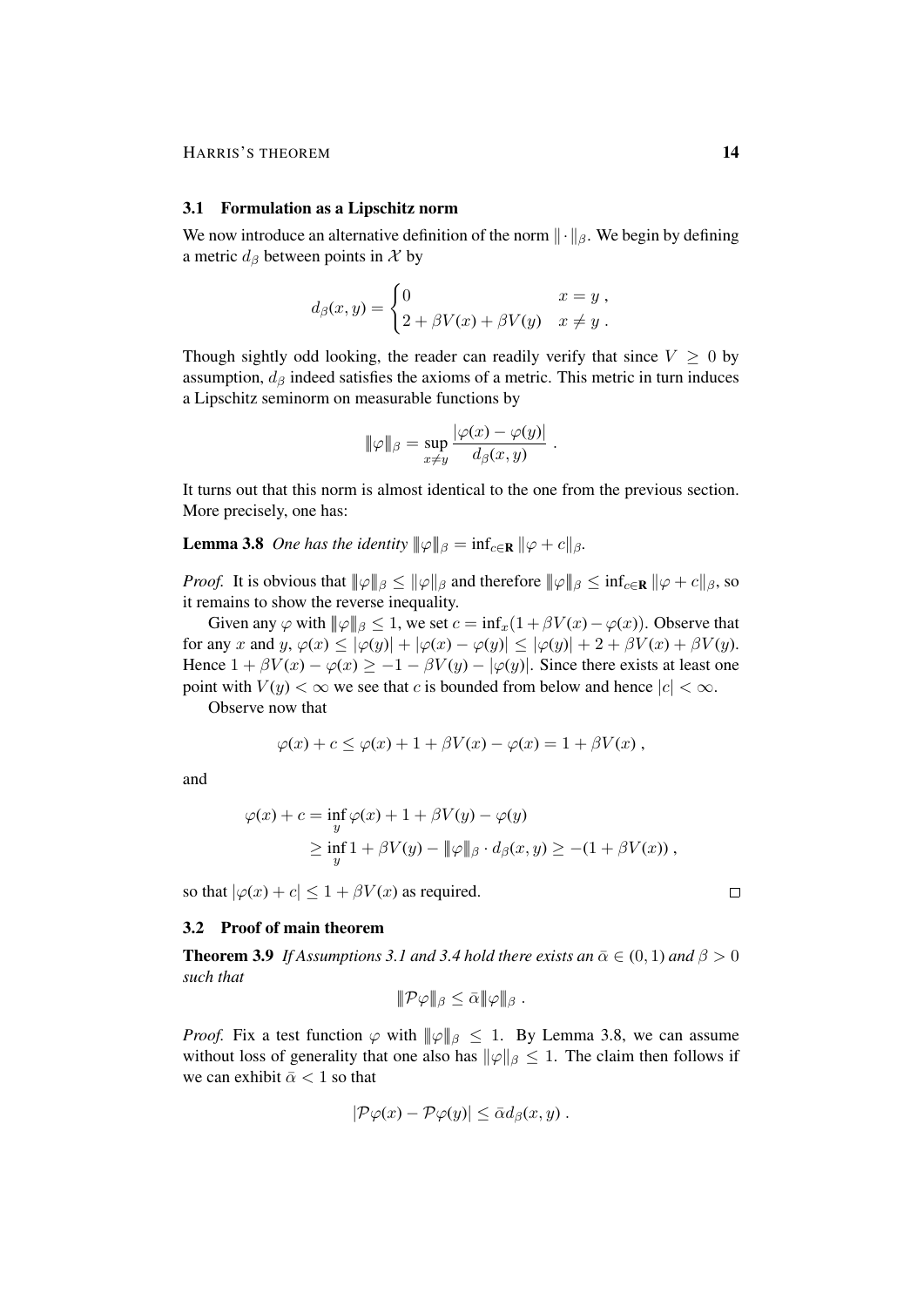#### 3.1 Formulation as a Lipschitz norm

We now introduce an alternative definition of the norm  $\|\cdot\|_{\beta}$ . We begin by defining a metric  $d_{\beta}$  between points in X by

$$
d_{\beta}(x,y) = \begin{cases} 0 & x = y, \\ 2 + \beta V(x) + \beta V(y) & x \neq y. \end{cases}
$$

Though sightly odd looking, the reader can readily verify that since  $V \geq 0$  by assumption,  $d_{\beta}$  indeed satisfies the axioms of a metric. This metric in turn induces a Lipschitz seminorm on measurable functions by

$$
\|\varphi\|_{\beta} = \sup_{x \neq y} \frac{|\varphi(x) - \varphi(y)|}{d_{\beta}(x, y)}.
$$

It turns out that this norm is almost identical to the one from the previous section. More precisely, one has:

**Lemma 3.8** *One has the identity*  $\|\varphi\|_{\beta} = \inf_{c \in \mathbb{R}} \|\varphi + c\|_{\beta}$ .

*Proof.* It is obvious that  $\|\varphi\|_{\beta} \le \|\varphi\|_{\beta}$  and therefore  $\|\varphi\|_{\beta} \le \inf_{c \in \mathbf{R}} \|\varphi + c\|_{\beta}$ , so it remains to show the reverse inequality.

Given any  $\varphi$  with  $\|\varphi\|_{\beta} \leq 1$ , we set  $c = \inf_x(1 + \beta V(x) - \varphi(x))$ . Observe that for any x and  $y, \varphi(x) \leq |\varphi(y)| + |\varphi(x) - \varphi(y)| \leq |\varphi(y)| + 2 + \beta V(x) + \beta V(y).$ Hence  $1 + \beta V(x) - \varphi(x) \ge -1 - \beta V(y) - |\varphi(y)|$ . Since there exists at least one point with  $V(y) < \infty$  we see that c is bounded from below and hence  $|c| < \infty$ .

Observe now that

$$
\varphi(x) + c \leq \varphi(x) + 1 + \beta V(x) - \varphi(x) = 1 + \beta V(x) ,
$$

and

$$
\varphi(x) + c = \inf_{y} \varphi(x) + 1 + \beta V(y) - \varphi(y)
$$
  
\n
$$
\geq \inf_{y} 1 + \beta V(y) - ||\varphi||_{\beta} \cdot d_{\beta}(x, y) \geq -(1 + \beta V(x)),
$$

so that  $|\varphi(x) + c| \leq 1 + \beta V(x)$  as required.

#### 3.2 Proof of main theorem

**Theorem 3.9** *If Assumptions 3.1 and 3.4 hold there exists an*  $\bar{\alpha} \in (0, 1)$  *and*  $\beta > 0$ *such that*

$$
\|\mathcal{P}\varphi\|_{\beta}\leq \bar{\alpha}\|\varphi\|_{\beta}.
$$

*Proof.* Fix a test function  $\varphi$  with  $\|\varphi\|_{\beta} \leq 1$ . By Lemma 3.8, we can assume without loss of generality that one also has  $\|\varphi\|_{\beta} \leq 1$ . The claim then follows if we can exhibit  $\bar{\alpha} < 1$  so that

$$
|\mathcal{P}\varphi(x)-\mathcal{P}\varphi(y)|\leq \bar{\alpha}d_{\beta}(x,y).
$$

 $\Box$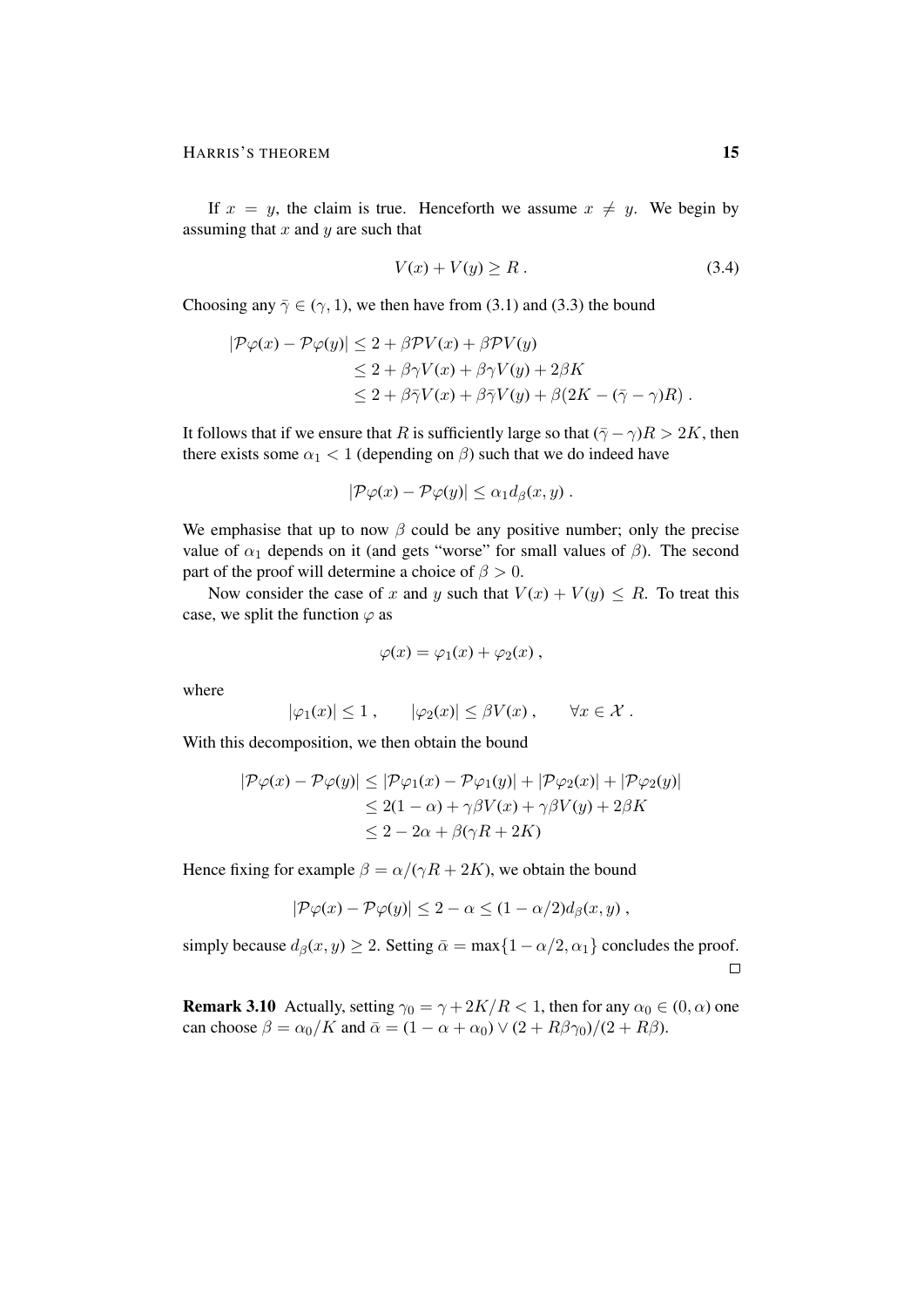If  $x = y$ , the claim is true. Henceforth we assume  $x \neq y$ . We begin by assuming that  $x$  and  $y$  are such that

$$
V(x) + V(y) \ge R. \tag{3.4}
$$

Choosing any  $\bar{\gamma} \in (\gamma, 1)$ , we then have from (3.1) and (3.3) the bound

$$
|\mathcal{P}\varphi(x) - \mathcal{P}\varphi(y)| \le 2 + \beta \mathcal{P}V(x) + \beta \mathcal{P}V(y)
$$
  
\n
$$
\le 2 + \beta \gamma V(x) + \beta \gamma V(y) + 2\beta K
$$
  
\n
$$
\le 2 + \beta \bar{\gamma}V(x) + \beta \bar{\gamma}V(y) + \beta(2K - (\bar{\gamma} - \gamma)R).
$$

It follows that if we ensure that R is sufficiently large so that  $(\bar{\gamma} - \gamma)R > 2K$ , then there exists some  $\alpha_1 < 1$  (depending on  $\beta$ ) such that we do indeed have

$$
|\mathcal{P}\varphi(x)-\mathcal{P}\varphi(y)|\leq \alpha_1 d_{\beta}(x,y).
$$

We emphasise that up to now  $\beta$  could be any positive number; only the precise value of  $\alpha_1$  depends on it (and gets "worse" for small values of  $\beta$ ). The second part of the proof will determine a choice of  $\beta > 0$ .

Now consider the case of x and y such that  $V(x) + V(y) \le R$ . To treat this case, we split the function  $\varphi$  as

$$
\varphi(x) = \varphi_1(x) + \varphi_2(x) ,
$$

where

$$
|\varphi_1(x)| \leq 1
$$
,  $|\varphi_2(x)| \leq \beta V(x)$ ,  $\forall x \in \mathcal{X}$ .

With this decomposition, we then obtain the bound

$$
|\mathcal{P}\varphi(x) - \mathcal{P}\varphi(y)| \leq |\mathcal{P}\varphi_1(x) - \mathcal{P}\varphi_1(y)| + |\mathcal{P}\varphi_2(x)| + |\mathcal{P}\varphi_2(y)|
$$
  
\n
$$
\leq 2(1 - \alpha) + \gamma\beta V(x) + \gamma\beta V(y) + 2\beta K
$$
  
\n
$$
\leq 2 - 2\alpha + \beta(\gamma R + 2K)
$$

Hence fixing for example  $\beta = \alpha/(\gamma R + 2K)$ , we obtain the bound

$$
|\mathcal{P}\varphi(x) - \mathcal{P}\varphi(y)| \leq 2 - \alpha \leq (1 - \alpha/2)d_{\beta}(x, y) ,
$$

simply because  $d_{\beta}(x, y) \geq 2$ . Setting  $\bar{\alpha} = \max\{1 - \alpha/2, \alpha_1\}$  concludes the proof.  $\Box$ 

**Remark 3.10** Actually, setting  $\gamma_0 = \gamma + 2K/R < 1$ , then for any  $\alpha_0 \in (0, \alpha)$  one can choose  $\beta = \alpha_0/K$  and  $\bar{\alpha} = (1 - \alpha + \alpha_0) \vee (2 + R\beta\gamma_0)/(2 + R\beta)$ .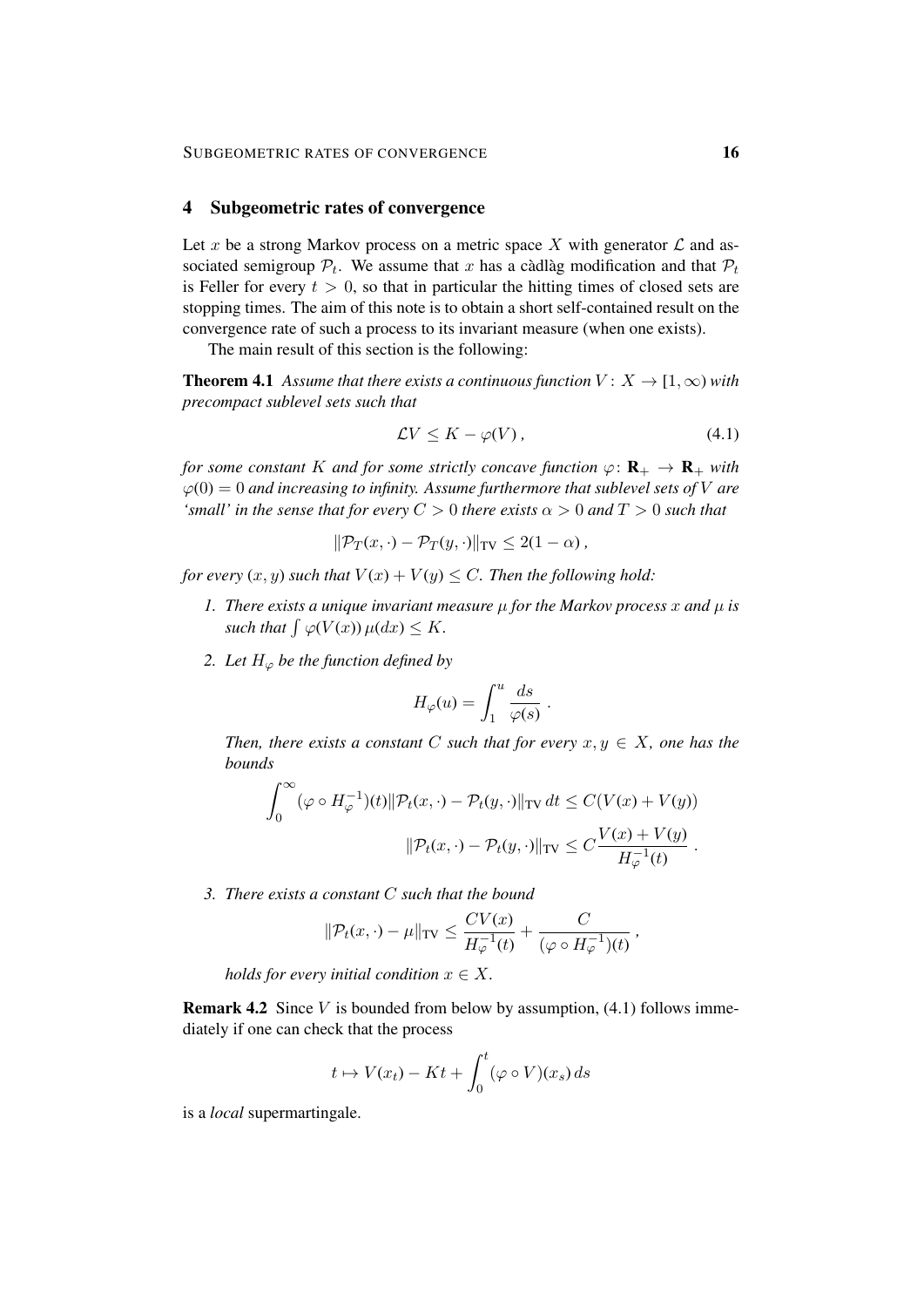#### 4 Subgeometric rates of convergence

Let x be a strong Markov process on a metric space X with generator  $\mathcal L$  and associated semigroup  $P_t$ . We assume that x has a càdlàg modification and that  $P_t$ is Feller for every  $t > 0$ , so that in particular the hitting times of closed sets are stopping times. The aim of this note is to obtain a short self-contained result on the convergence rate of such a process to its invariant measure (when one exists).

The main result of this section is the following:

**Theorem 4.1** *Assume that there exists a continuous function*  $V: X \rightarrow [1, \infty)$  *with precompact sublevel sets such that*

$$
\mathcal{L}V \leq K - \varphi(V) \tag{4.1}
$$

*for some constant* K *and for some strictly concave function*  $\varphi \colon \mathbf{R}_{+} \to \mathbf{R}_{+}$  *with*  $\varphi(0) = 0$  *and increasing to infinity. Assume furthermore that sublevel sets of* V *are 'small' in the sense that for every*  $C > 0$  *there exists*  $\alpha > 0$  *and*  $T > 0$  *such that* 

$$
\|\mathcal{P}_T(x,\cdot)-\mathcal{P}_T(y,\cdot)\|_{TV}\leq 2(1-\alpha)\,
$$

*for every*  $(x, y)$  *such that*  $V(x) + V(y) \leq C$ *. Then the following hold:* 

- *1. There exists a unique invariant measure* µ *for the Markov process* x *and* µ *is such that*  $\int \varphi(V(x)) \mu(dx) \leq K$ *.*
- *2. Let*  $H_{\varphi}$  *be the function defined by*

$$
H_{\varphi}(u) = \int_{1}^{u} \frac{ds}{\varphi(s)}
$$

.

*Then, there exists a constant C such that for every*  $x, y \in X$ *, one has the bounds*

$$
\int_0^\infty (\varphi \circ H_{\varphi}^{-1})(t) \|\mathcal{P}_t(x,\cdot) - \mathcal{P}_t(y,\cdot)\|_{\text{TV}} dt \le C(V(x) + V(y))
$$

$$
\|\mathcal{P}_t(x,\cdot) - \mathcal{P}_t(y,\cdot)\|_{\text{TV}} \le C \frac{V(x) + V(y)}{H_{\varphi}^{-1}(t)}.
$$

*3. There exists a constant* C *such that the bound*

$$
\|\mathcal{P}_t(x,\cdot) - \mu\|_{\text{TV}} \le \frac{CV(x)}{H_{\varphi}^{-1}(t)} + \frac{C}{(\varphi \circ H_{\varphi}^{-1})(t)},
$$

*holds for every initial condition*  $x \in X$ .

**Remark 4.2** Since  $V$  is bounded from below by assumption, (4.1) follows immediately if one can check that the process

$$
t \mapsto V(x_t) - Kt + \int_0^t (\varphi \circ V)(x_s) ds
$$

is a *local* supermartingale.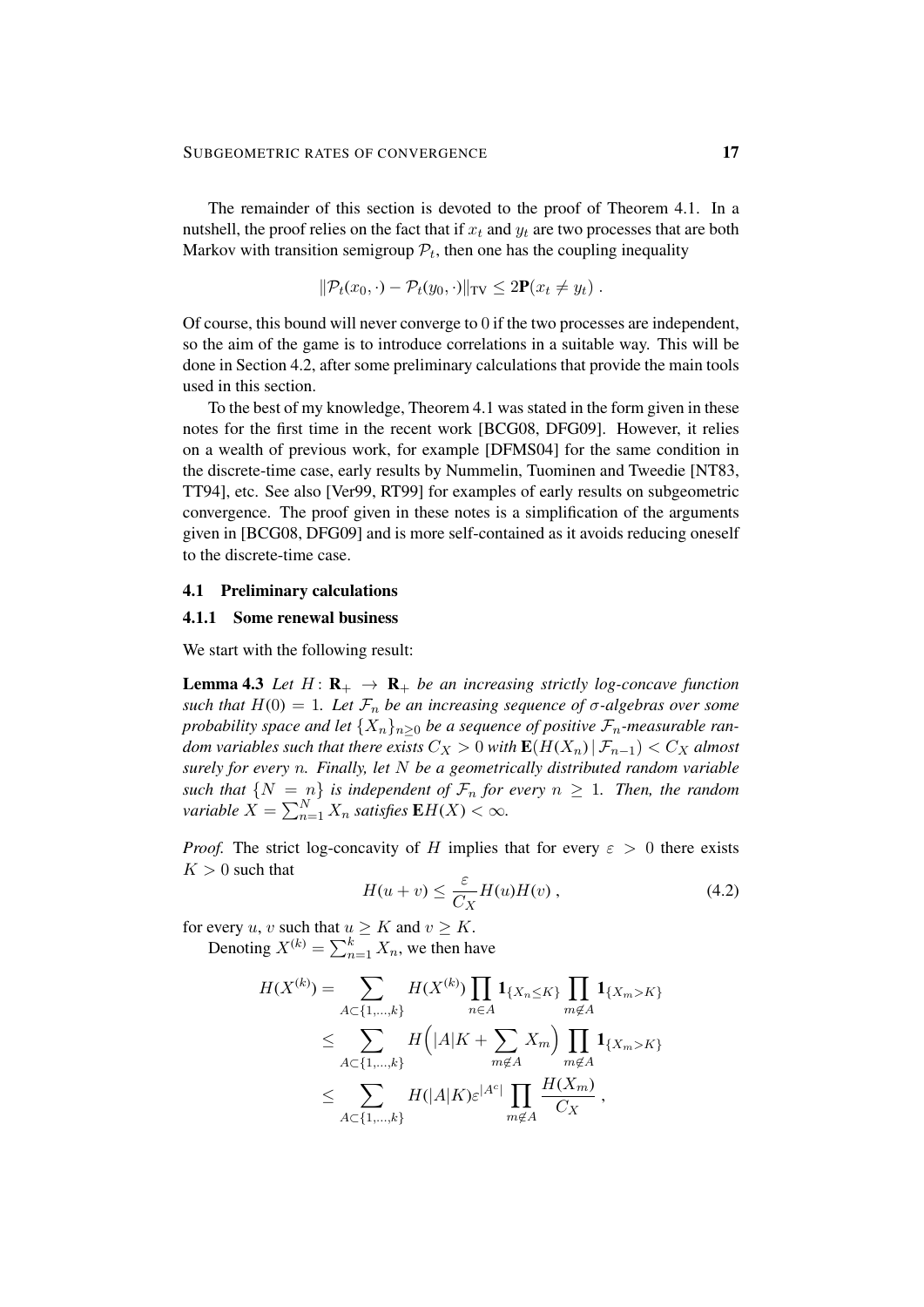The remainder of this section is devoted to the proof of Theorem 4.1. In a nutshell, the proof relies on the fact that if  $x_t$  and  $y_t$  are two processes that are both Markov with transition semigroup  $P_t$ , then one has the coupling inequality

$$
\|\mathcal{P}_t(x_0,\cdot)-\mathcal{P}_t(y_0,\cdot)\|_{\text{TV}} \leq 2\mathbf{P}(x_t \neq y_t).
$$

Of course, this bound will never converge to 0 if the two processes are independent, so the aim of the game is to introduce correlations in a suitable way. This will be done in Section 4.2, after some preliminary calculations that provide the main tools used in this section.

To the best of my knowledge, Theorem 4.1 was stated in the form given in these notes for the first time in the recent work [BCG08, DFG09]. However, it relies on a wealth of previous work, for example [DFMS04] for the same condition in the discrete-time case, early results by Nummelin, Tuominen and Tweedie [NT83, TT94], etc. See also [Ver99, RT99] for examples of early results on subgeometric convergence. The proof given in these notes is a simplification of the arguments given in [BCG08, DFG09] and is more self-contained as it avoids reducing oneself to the discrete-time case.

#### 4.1 Preliminary calculations

#### 4.1.1 Some renewal business

We start with the following result:

**Lemma 4.3** Let  $H: \mathbf{R}_{+} \to \mathbf{R}_{+}$  be an increasing strictly log-concave function *such that*  $H(0) = 1$ *. Let*  $\mathcal{F}_n$  *be an increasing sequence of*  $\sigma$ -algebras over some *probability space and let*  $\{X_n\}_{n>0}$  *be a sequence of positive*  $\mathcal{F}_n$ -measurable ran*dom variables such that there exists*  $C_X > 0$  *with*  $\mathbf{E}(H(X_n) | \mathcal{F}_{n-1}) < C_X$  *almost surely for every* n*. Finally, let* N *be a geometrically distributed random variable such that*  $\{N = n\}$  *is independent of*  $\mathcal{F}_n$  *for every*  $n \geq 1$ *. Then, the random variable*  $X = \sum_{n=1}^{N} X_n$  *satisfies*  $\mathbf{E} H(X) < \infty$ *.* 

*Proof.* The strict log-concavity of H implies that for every  $\varepsilon > 0$  there exists  $K > 0$  such that

$$
H(u+v) \le \frac{\varepsilon}{C_X} H(u)H(v) , \qquad (4.2)
$$

for every u, v such that  $u \geq K$  and  $v \geq K$ . Denoting  $X^{(k)} = \sum_{n=1}^{k} X_n$ , we then have

$$
H(X^{(k)}) = \sum_{A \subset \{1,\dots,k\}} H(X^{(k)}) \prod_{n \in A} \mathbf{1}_{\{X_n \le K\}} \prod_{m \notin A} \mathbf{1}_{\{X_m > K\}}
$$
  
\n
$$
\le \sum_{A \subset \{1,\dots,k\}} H(|A|K + \sum_{m \notin A} X_m) \prod_{m \notin A} \mathbf{1}_{\{X_m > K\}}
$$
  
\n
$$
\le \sum_{A \subset \{1,\dots,k\}} H(|A|K) \varepsilon^{|A^c|} \prod_{m \notin A} \frac{H(X_m)}{C_X},
$$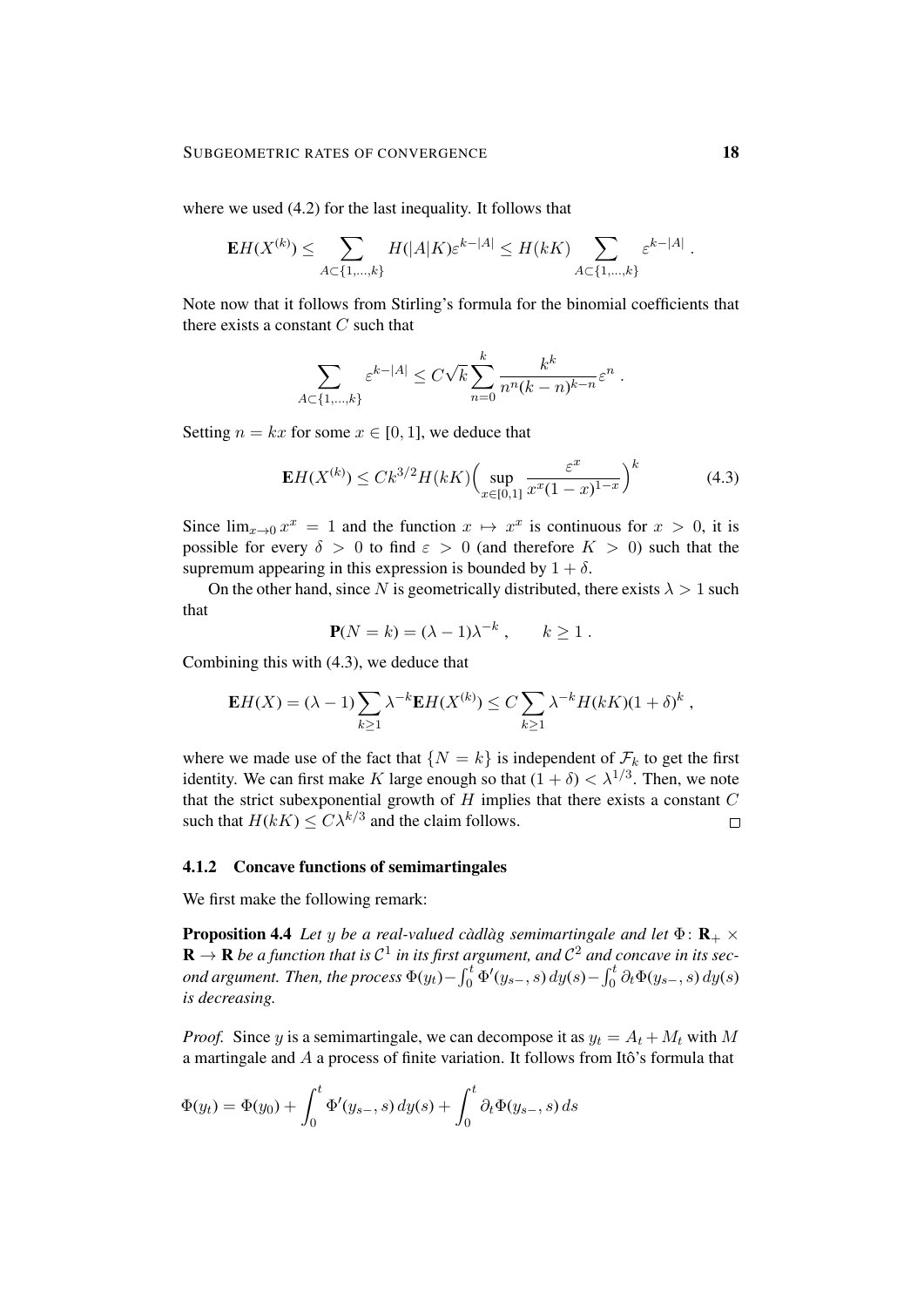where we used (4.2) for the last inequality. It follows that

$$
\mathbf{E} H(X^{(k)}) \leq \sum_{A \subset \{1,\ldots,k\}} H(|A|K) \varepsilon^{k-|A|} \leq H(kK) \sum_{A \subset \{1,\ldots,k\}} \varepsilon^{k-|A|}.
$$

Note now that it follows from Stirling's formula for the binomial coefficients that there exists a constant  $C$  such that

$$
\sum_{A \subset \{1,\dots,k\}} \varepsilon^{k-|A|} \le C\sqrt{k} \sum_{n=0}^k \frac{k^k}{n^n (k-n)^{k-n}} \varepsilon^n.
$$

Setting  $n = kx$  for some  $x \in [0, 1]$ , we deduce that

$$
\mathbf{E}H(X^{(k)}) \le Ck^{3/2}H(kK) \Big(\sup_{x \in [0,1]} \frac{\varepsilon^x}{x^x(1-x)^{1-x}}\Big)^k \tag{4.3}
$$

Since  $\lim_{x\to 0} x^x = 1$  and the function  $x \mapsto x^x$  is continuous for  $x > 0$ , it is possible for every  $\delta > 0$  to find  $\varepsilon > 0$  (and therefore  $K > 0$ ) such that the supremum appearing in this expression is bounded by  $1 + \delta$ .

On the other hand, since N is geometrically distributed, there exists  $\lambda > 1$  such that

$$
\mathbf{P}(N=k) = (\lambda - 1)\lambda^{-k}, \qquad k \ge 1.
$$

Combining this with (4.3), we deduce that

$$
\mathbf{E}H(X) = (\lambda - 1) \sum_{k \ge 1} \lambda^{-k} \mathbf{E}H(X^{(k)}) \le C \sum_{k \ge 1} \lambda^{-k} H(kK)(1 + \delta)^k,
$$

where we made use of the fact that  $\{N = k\}$  is independent of  $\mathcal{F}_k$  to get the first identity. We can first make K large enough so that  $(1 + \delta) < \lambda^{1/3}$ . Then, we note that the strict subexponential growth of  $H$  implies that there exists a constant  $C$ such that  $H(kK) \leq C\lambda^{k/3}$  and the claim follows.  $\Box$ 

#### 4.1.2 Concave functions of semimartingales

We first make the following remark:

**Proposition 4.4** Let y be a real-valued càdlàg semimartingale and let  $\Phi$ :  $\mathbf{R}_{+} \times$  $\mathbf{R} \to \mathbf{R}$  be a function that is  $\mathcal{C}^1$  in its first argument, and  $\mathcal{C}^2$  and concave in its sec*ond argument. Then, the process*  $\Phi(y_t) - \int_0^t \Phi'(y_{s-}, s) dy(s) - \int_0^t \partial_t \Phi(y_{s-}, s) dy(s)$ *is decreasing.*

*Proof.* Since y is a semimartingale, we can decompose it as  $y_t = A_t + M_t$  with M a martingale and  $A$  a process of finite variation. It follows from Itô's formula that

$$
\Phi(y_t) = \Phi(y_0) + \int_0^t \Phi'(y_{s-}, s) dy(s) + \int_0^t \partial_t \Phi(y_{s-}, s) ds
$$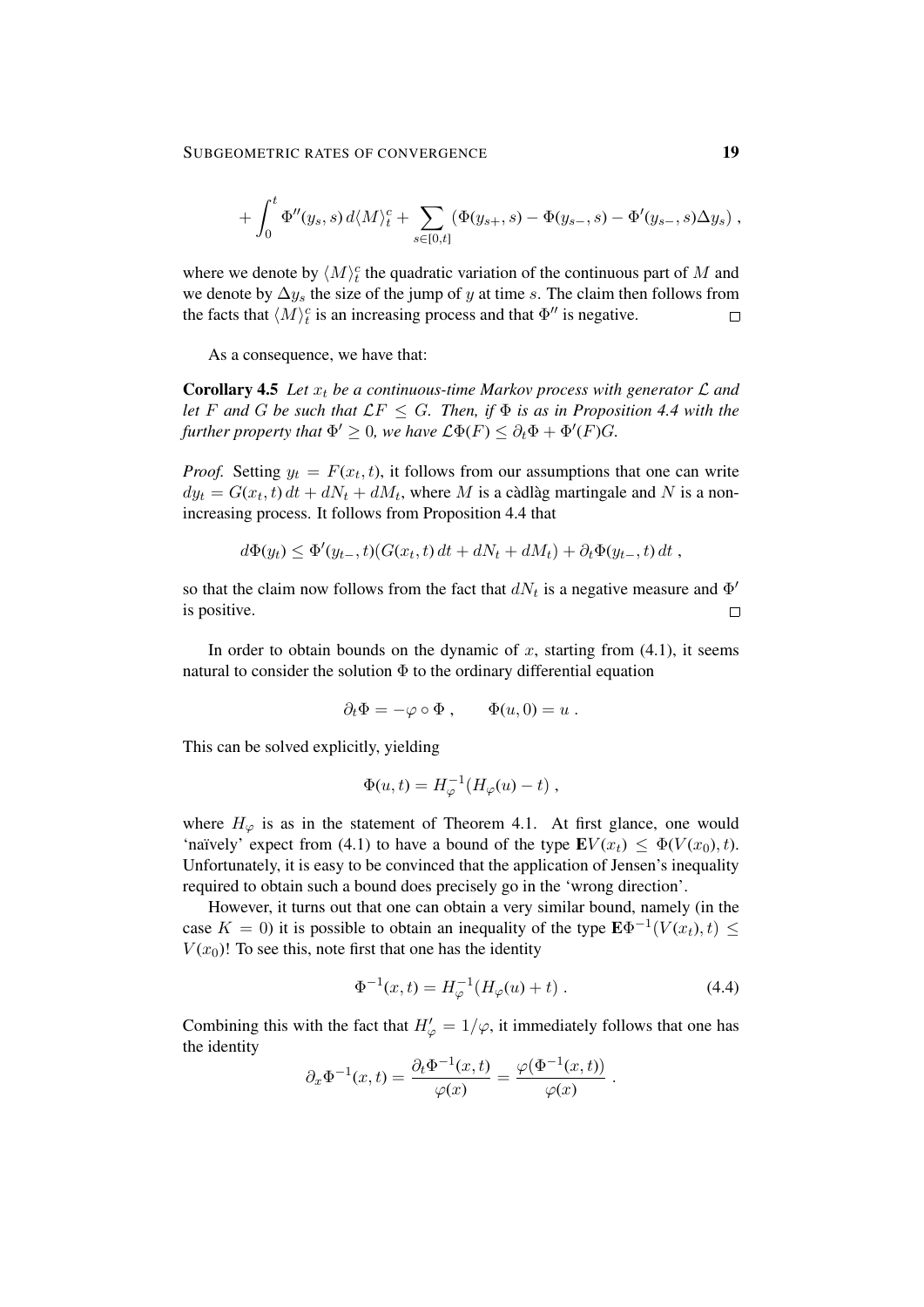$$
+ \int_0^t \Phi''(y_s, s) d\langle M \rangle_t^c + \sum_{s \in [0,t]} (\Phi(y_{s+}, s) - \Phi(y_{s-}, s) - \Phi'(y_{s-}, s) \Delta y_s) ,
$$

where we denote by  $\langle M \rangle_t^c$  the quadratic variation of the continuous part of M and we denote by  $\Delta y_s$  the size of the jump of y at time s. The claim then follows from the facts that  $\langle M \rangle_t^c$  is an increasing process and that  $\Phi''$  is negative.  $\Box$ 

As a consequence, we have that:

Corollary 4.5 Let  $x_t$  be a continuous-time Markov process with generator  $\mathcal L$  and *let* F and G be such that  $\mathcal{L}F \leq G$ . Then, if  $\Phi$  is as in Proposition 4.4 with the *further property that*  $\Phi' \geq 0$ *, we have*  $\mathcal{L}\Phi(F) \leq \partial_t \Phi + \Phi'(F)G$ *.* 

*Proof.* Setting  $y_t = F(x_t, t)$ , it follows from our assumptions that one can write  $dy_t = G(x_t, t) dt + dN_t + dM_t$ , where M is a càdlàg martingale and N is a nonincreasing process. It follows from Proposition 4.4 that

$$
d\Phi(y_t) \leq \Phi'(y_{t-}, t)(G(x_t, t) dt + dN_t + dM_t) + \partial_t \Phi(y_{t-}, t) dt,
$$

so that the claim now follows from the fact that  $dN_t$  is a negative measure and  $\Phi'$ is positive.  $\Box$ 

In order to obtain bounds on the dynamic of x, starting from  $(4.1)$ , it seems natural to consider the solution  $\Phi$  to the ordinary differential equation

$$
\partial_t \Phi = -\varphi \circ \Phi , \qquad \Phi(u,0) = u .
$$

This can be solved explicitly, yielding

$$
\Phi(u,t) = H_{\varphi}^{-1}(H_{\varphi}(u) - t) ,
$$

where  $H_{\varphi}$  is as in the statement of Theorem 4.1. At first glance, one would 'naïvely' expect from (4.1) to have a bound of the type  $\mathbf{E} V(x_t) \leq \Phi(V(x_0), t)$ . Unfortunately, it is easy to be convinced that the application of Jensen's inequality required to obtain such a bound does precisely go in the 'wrong direction'.

However, it turns out that one can obtain a very similar bound, namely (in the case  $K = 0$ ) it is possible to obtain an inequality of the type  $\mathbf{E} \Phi^{-1}(V(x_t), t) \leq$  $V(x_0)$ ! To see this, note first that one has the identity

$$
\Phi^{-1}(x,t) = H_{\varphi}^{-1}(H_{\varphi}(u) + t) . \tag{4.4}
$$

.

Combining this with the fact that  $H'_{\varphi} = 1/\varphi$ , it immediately follows that one has the identity

$$
\partial_x \Phi^{-1}(x,t) = \frac{\partial_t \Phi^{-1}(x,t)}{\varphi(x)} = \frac{\varphi(\Phi^{-1}(x,t))}{\varphi(x)}
$$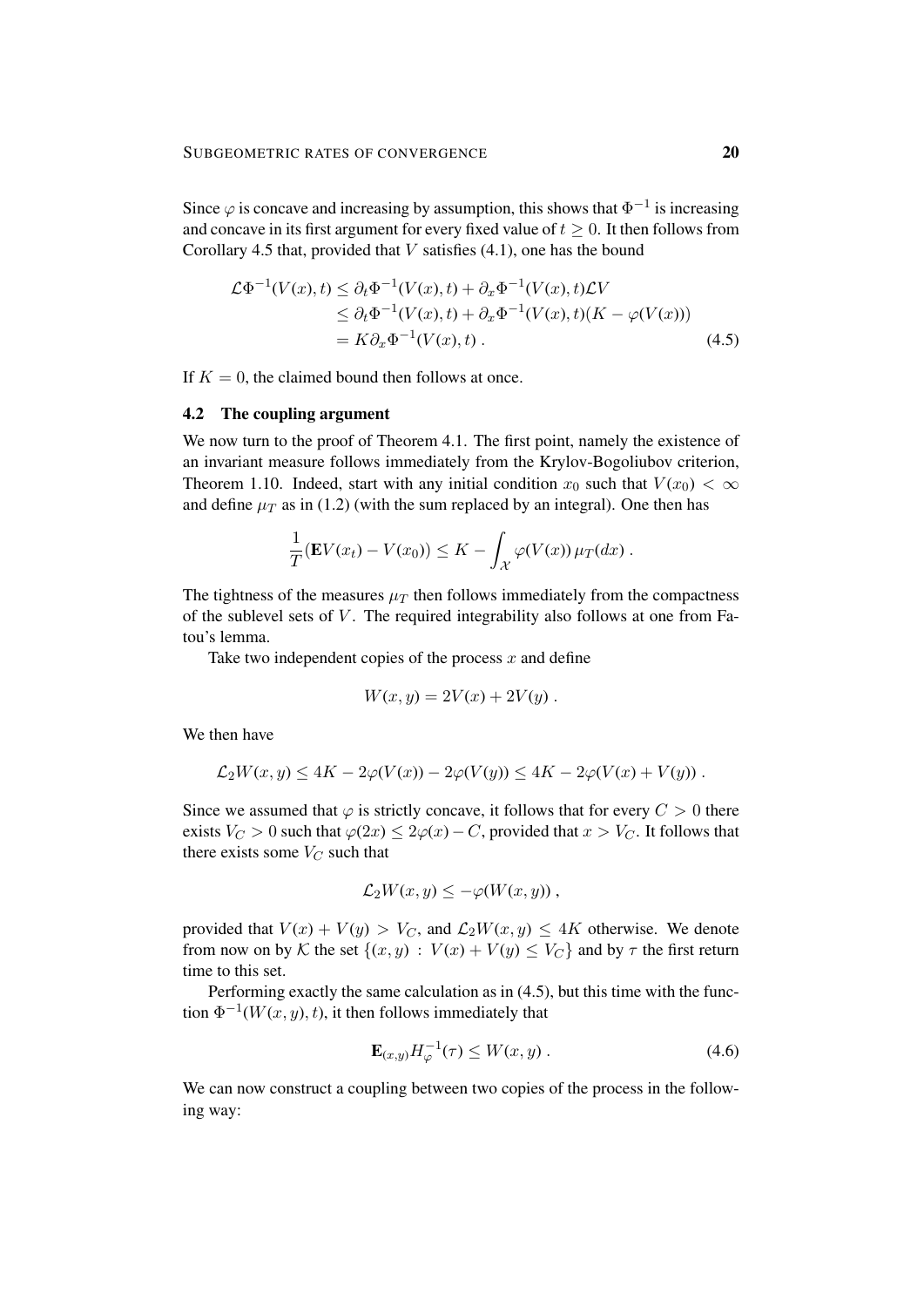Since  $\varphi$  is concave and increasing by assumption, this shows that  $\Phi^{-1}$  is increasing and concave in its first argument for every fixed value of  $t \geq 0$ . It then follows from Corollary 4.5 that, provided that  $V$  satisfies (4.1), one has the bound

$$
\mathcal{L}\Phi^{-1}(V(x),t) \leq \partial_t \Phi^{-1}(V(x),t) + \partial_x \Phi^{-1}(V(x),t)\mathcal{L}V
$$
  
\n
$$
\leq \partial_t \Phi^{-1}(V(x),t) + \partial_x \Phi^{-1}(V(x),t)(K - \varphi(V(x)))
$$
  
\n
$$
= K\partial_x \Phi^{-1}(V(x),t).
$$
 (4.5)

If  $K = 0$ , the claimed bound then follows at once.

#### 4.2 The coupling argument

We now turn to the proof of Theorem 4.1. The first point, namely the existence of an invariant measure follows immediately from the Krylov-Bogoliubov criterion, Theorem 1.10. Indeed, start with any initial condition  $x_0$  such that  $V(x_0) < \infty$ and define  $\mu_T$  as in (1.2) (with the sum replaced by an integral). One then has

$$
\frac{1}{T}(\mathbf{E}V(x_t)-V(x_0))\leq K-\int_{\mathcal{X}}\varphi(V(x))\,\mu_T(dx)\,.
$$

The tightness of the measures  $\mu_T$  then follows immediately from the compactness of the sublevel sets of  $V$ . The required integrability also follows at one from Fatou's lemma.

Take two independent copies of the process  $x$  and define

$$
W(x,y) = 2V(x) + 2V(y) .
$$

We then have

$$
\mathcal{L}_2W(x,y) \le 4K - 2\varphi(V(x)) - 2\varphi(V(y)) \le 4K - 2\varphi(V(x) + V(y)).
$$

Since we assumed that  $\varphi$  is strictly concave, it follows that for every  $C > 0$  there exists  $V_C > 0$  such that  $\varphi(2x) \leq 2\varphi(x) - C$ , provided that  $x > V_C$ . It follows that there exists some  $V_C$  such that

$$
\mathcal{L}_2 W(x,y) \leq -\varphi(W(x,y)),
$$

provided that  $V(x) + V(y) > V_C$ , and  $\mathcal{L}_2 W(x, y) \leq 4K$  otherwise. We denote from now on by K the set  $\{(x, y) : V(x) + V(y) \leq V_C\}$  and by  $\tau$  the first return time to this set.

Performing exactly the same calculation as in (4.5), but this time with the function  $\Phi^{-1}(W(x, y), t)$ , it then follows immediately that

$$
\mathbf{E}_{(x,y)} H_{\varphi}^{-1}(\tau) \le W(x,y) \tag{4.6}
$$

We can now construct a coupling between two copies of the process in the following way: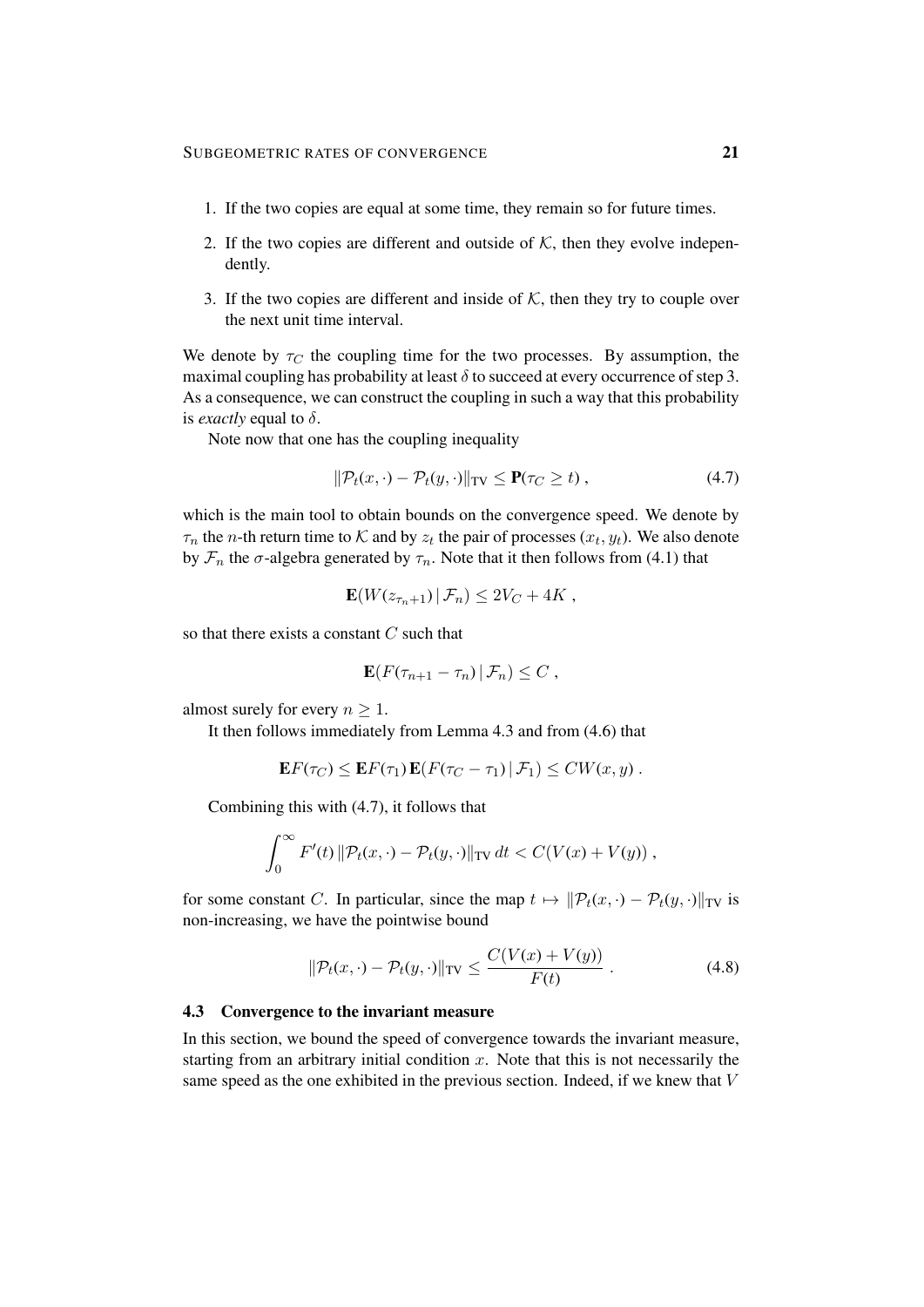- 1. If the two copies are equal at some time, they remain so for future times.
- 2. If the two copies are different and outside of  $K$ , then they evolve independently.
- 3. If the two copies are different and inside of  $K$ , then they try to couple over the next unit time interval.

We denote by  $\tau_C$  the coupling time for the two processes. By assumption, the maximal coupling has probability at least  $\delta$  to succeed at every occurrence of step 3. As a consequence, we can construct the coupling in such a way that this probability is *exactly* equal to  $\delta$ .

Note now that one has the coupling inequality

$$
\|\mathcal{P}_t(x,\cdot) - \mathcal{P}_t(y,\cdot)\|_{\text{TV}} \le \mathbf{P}(\tau_C \ge t) ,\tag{4.7}
$$

which is the main tool to obtain bounds on the convergence speed. We denote by  $\tau_n$  the *n*-th return time to K and by  $z_t$  the pair of processes  $(x_t, y_t)$ . We also denote by  $\mathcal{F}_n$  the  $\sigma$ -algebra generated by  $\tau_n$ . Note that it then follows from (4.1) that

$$
\mathbf{E}(W(z_{\tau_n+1}) | \mathcal{F}_n) \leq 2V_C + 4K,
$$

so that there exists a constant  $C$  such that

$$
\mathbf{E}(F(\tau_{n+1}-\tau_n)\,|\,\mathcal{F}_n)\leq C\,
$$

almost surely for every  $n \geq 1$ .

It then follows immediately from Lemma 4.3 and from (4.6) that

$$
\mathbf{E} F(\tau_C) \leq \mathbf{E} F(\tau_1) \mathbf{E} (F(\tau_C - \tau_1) | \mathcal{F}_1) \leq CW(x, y) .
$$

Combining this with (4.7), it follows that

$$
\int_0^\infty F'(t) \|\mathcal{P}_t(x,\cdot) - \mathcal{P}_t(y,\cdot)\|_{TV} dt < C(V(x) + V(y)),
$$

for some constant C. In particular, since the map  $t \mapsto ||\mathcal{P}_t(x, \cdot) - \mathcal{P}_t(y, \cdot)||_{TV}$  is non-increasing, we have the pointwise bound

$$
\|\mathcal{P}_t(x,\cdot) - \mathcal{P}_t(y,\cdot)\|_{\text{TV}} \le \frac{C(V(x) + V(y))}{F(t)}\,. \tag{4.8}
$$

#### 4.3 Convergence to the invariant measure

In this section, we bound the speed of convergence towards the invariant measure, starting from an arbitrary initial condition  $x$ . Note that this is not necessarily the same speed as the one exhibited in the previous section. Indeed, if we knew that V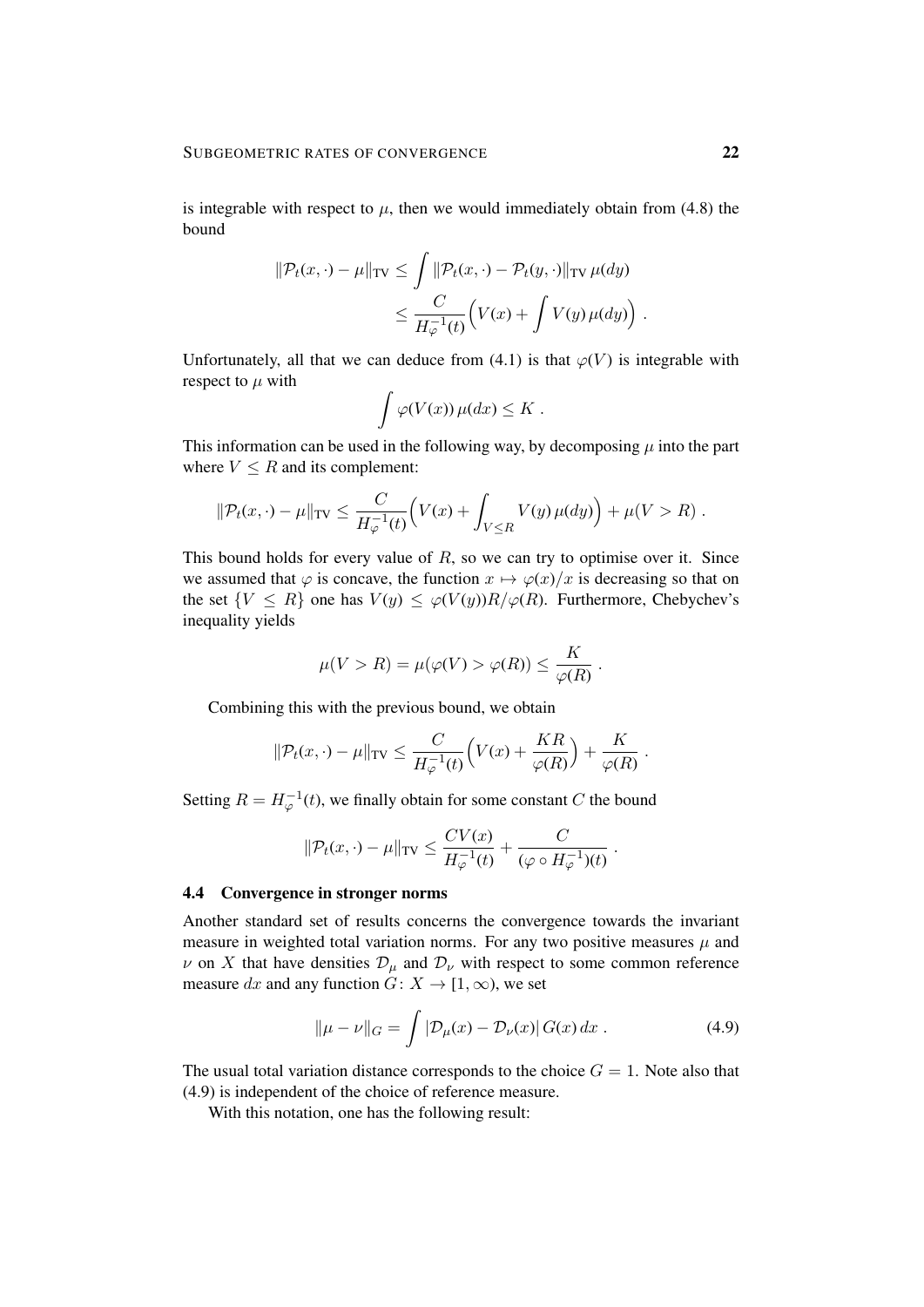is integrable with respect to  $\mu$ , then we would immediately obtain from (4.8) the bound

$$
\|\mathcal{P}_t(x,\cdot) - \mu\|_{\text{TV}} \le \int \|\mathcal{P}_t(x,\cdot) - \mathcal{P}_t(y,\cdot)\|_{\text{TV}} \,\mu(dy) \le \frac{C}{H_{\varphi}^{-1}(t)} \Big(V(x) + \int V(y) \,\mu(dy)\Big).
$$

Unfortunately, all that we can deduce from (4.1) is that  $\varphi(V)$  is integrable with respect to  $\mu$  with

$$
\int \varphi(V(x)) \,\mu(dx) \leq K.
$$

This information can be used in the following way, by decomposing  $\mu$  into the part where  $V \leq R$  and its complement:

$$
\|\mathcal{P}_t(x,\cdot) - \mu\|_{\text{TV}} \le \frac{C}{H_{\varphi}^{-1}(t)} \Big( V(x) + \int_{V \le R} V(y) \,\mu(dy) \Big) + \mu(V > R) \; .
$$

This bound holds for every value of  $R$ , so we can try to optimise over it. Since we assumed that  $\varphi$  is concave, the function  $x \mapsto \varphi(x)/x$  is decreasing so that on the set  $\{V \leq R\}$  one has  $V(y) \leq \varphi(V(y))R/\varphi(R)$ . Furthermore, Chebychev's inequality yields

$$
\mu(V > R) = \mu(\varphi(V) > \varphi(R)) \le \frac{K}{\varphi(R)}.
$$

Combining this with the previous bound, we obtain

$$
\|\mathcal{P}_t(x,\cdot)-\mu\|_{\text{TV}} \leq \frac{C}{H_{\varphi}^{-1}(t)} \Big(V(x)+\frac{KR}{\varphi(R)}\Big)+\frac{K}{\varphi(R)}.
$$

Setting  $R = H_{\varphi}^{-1}(t)$ , we finally obtain for some constant C the bound

$$
\|\mathcal{P}_t(x,\cdot) - \mu\|_{\text{TV}} \le \frac{CV(x)}{H_{\varphi}^{-1}(t)} + \frac{C}{(\varphi \circ H_{\varphi}^{-1})(t)}.
$$

## 4.4 Convergence in stronger norms

Another standard set of results concerns the convergence towards the invariant measure in weighted total variation norms. For any two positive measures  $\mu$  and  $\nu$  on X that have densities  $\mathcal{D}_{\mu}$  and  $\mathcal{D}_{\nu}$  with respect to some common reference measure dx and any function  $G: X \to [1, \infty)$ , we set

$$
\|\mu - \nu\|_G = \int |\mathcal{D}_{\mu}(x) - \mathcal{D}_{\nu}(x)| G(x) dx . \tag{4.9}
$$

The usual total variation distance corresponds to the choice  $G = 1$ . Note also that (4.9) is independent of the choice of reference measure.

With this notation, one has the following result: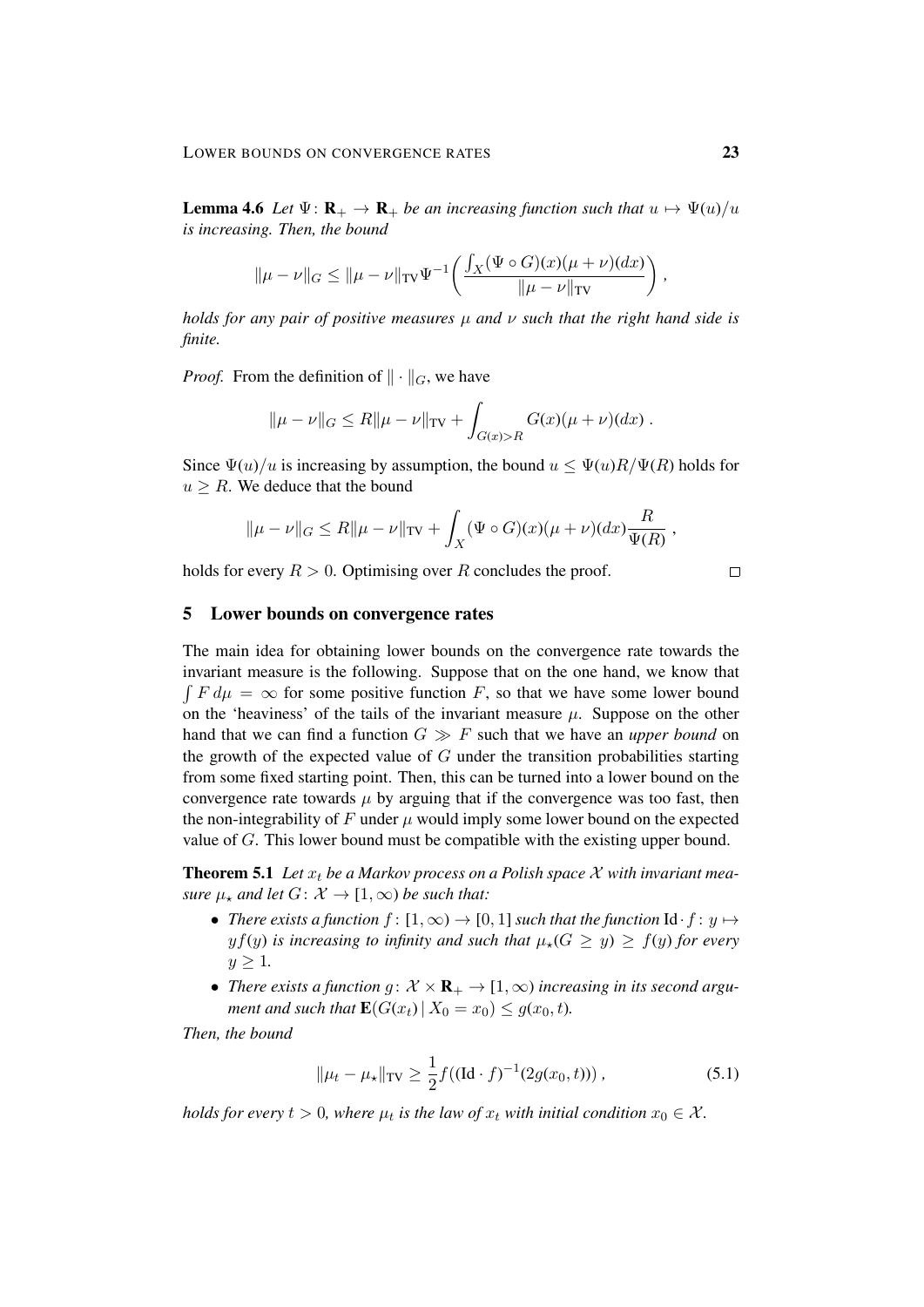**Lemma 4.6** *Let*  $\Psi$ :  $\mathbf{R}_{+} \to \mathbf{R}_{+}$  *be an increasing function such that*  $u \mapsto \Psi(u)/u$ *is increasing. Then, the bound*

$$
\|\mu - \nu\|_{G} \le \|\mu - \nu\|_{TV} \Psi^{-1}\left(\frac{\int_{X} (\Psi \circ G)(x)(\mu + \nu)(dx)}{\|\mu - \nu\|_{TV}}\right)
$$

*holds for any pair of positive measures* µ *and* ν *such that the right hand side is finite.*

*Proof.* From the definition of  $\|\cdot\|_G$ , we have

$$
\|\mu - \nu\|_G \le R \|\mu - \nu\|_{TV} + \int_{G(x) > R} G(x)(\mu + \nu)(dx).
$$

Since  $\Psi(u)/u$  is increasing by assumption, the bound  $u \leq \Psi(u)R/\Psi(R)$  holds for  $u > R$ . We deduce that the bound

$$
\|\mu - \nu\|_G \le R \|\mu - \nu\|_{TV} + \int_X (\Psi \circ G)(x)(\mu + \nu)(dx) \frac{R}{\Psi(R)},
$$

holds for every  $R > 0$ . Optimising over R concludes the proof.

# $\Box$

## 5 Lower bounds on convergence rates

The main idea for obtaining lower bounds on the convergence rate towards the invariant measure is the following. Suppose that on the one hand, we know that  $\int F d\mu = \infty$  for some positive function F, so that we have some lower bound on the 'heaviness' of the tails of the invariant measure  $\mu$ . Suppose on the other hand that we can find a function  $G \gg F$  such that we have an *upper bound* on the growth of the expected value of  $G$  under the transition probabilities starting from some fixed starting point. Then, this can be turned into a lower bound on the convergence rate towards  $\mu$  by arguing that if the convergence was too fast, then the non-integrability of F under  $\mu$  would imply some lower bound on the expected value of G. This lower bound must be compatible with the existing upper bound.

**Theorem 5.1** Let  $x_t$  be a Markov process on a Polish space  $\mathcal X$  with invariant mea*sure*  $\mu_{\star}$  *and let*  $G: \mathcal{X} \to [1, \infty)$  *be such that:* 

- *There exists a function*  $f : [1, \infty) \to [0, 1]$  *such that the function*  $\mathrm{Id} \cdot f : y \mapsto$  $y f(y)$  *is increasing to infinity and such that*  $\mu_{\star}(G \ge y) \ge f(y)$  *for every*  $y > 1$ .
- *There exists a function g:*  $\mathcal{X} \times \mathbf{R}_{+} \to [1, \infty)$  *increasing in its second argument and such that*  $\mathbf{E}(G(x_t) | X_0 = x_0) \leq g(x_0, t)$ *.*

*Then, the bound*

$$
\|\mu_t - \mu_\star\|_{TV} \ge \frac{1}{2} f((\text{Id} \cdot f)^{-1}(2g(x_0, t)))\,,\tag{5.1}
$$

*holds for every*  $t > 0$ , where  $\mu_t$  is the law of  $x_t$  with initial condition  $x_0 \in \mathcal{X}$ .

*,*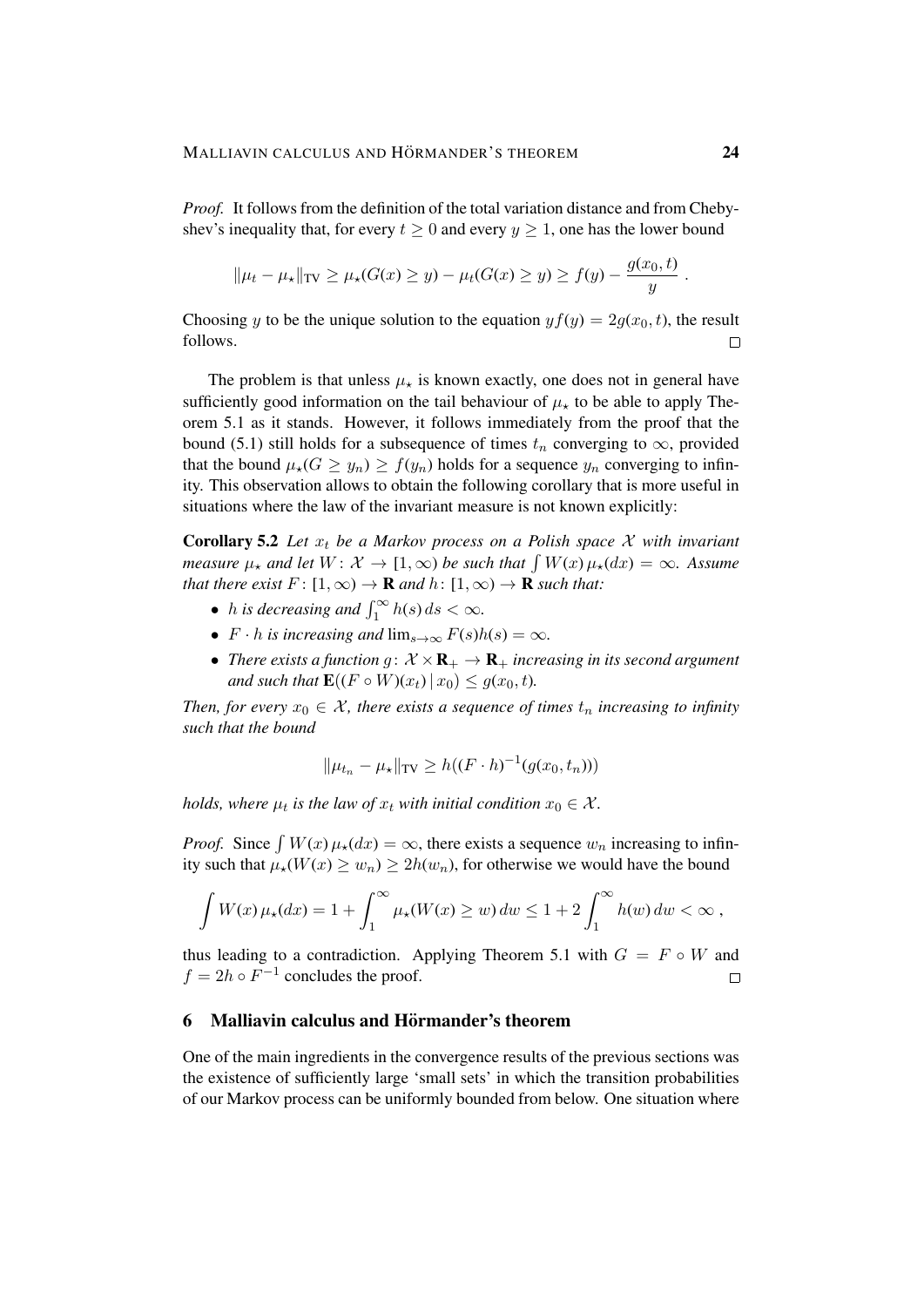*Proof.* It follows from the definition of the total variation distance and from Chebyshev's inequality that, for every  $t \geq 0$  and every  $y \geq 1$ , one has the lower bound

$$
\|\mu_t - \mu_{\star}\|_{TV} \ge \mu_{\star}(G(x) \ge y) - \mu_t(G(x) \ge y) \ge f(y) - \frac{g(x_0, t)}{y}.
$$

Choosing y to be the unique solution to the equation  $y f(y) = 2g(x_0, t)$ , the result follows.  $\Box$ 

The problem is that unless  $\mu_{\star}$  is known exactly, one does not in general have sufficiently good information on the tail behaviour of  $\mu_{\star}$  to be able to apply Theorem 5.1 as it stands. However, it follows immediately from the proof that the bound (5.1) still holds for a subsequence of times  $t_n$  converging to  $\infty$ , provided that the bound  $\mu_*(G \geq y_n) \geq f(y_n)$  holds for a sequence  $y_n$  converging to infinity. This observation allows to obtain the following corollary that is more useful in situations where the law of the invariant measure is not known explicitly:

**Corollary 5.2** Let  $x_t$  be a Markov process on a Polish space  $\chi$  with invariant *measure*  $\mu_{\star}$  and let  $W: \mathcal{X} \to [1, \infty)$  be such that  $\int W(x) \mu_{\star}(dx) = \infty$ . Assume *that there exist*  $F: [1, \infty) \to \mathbf{R}$  *and*  $h: [1, \infty) \to \mathbf{R}$  *such that:* 

- *h* is decreasing and  $\int_1^\infty h(s) ds < \infty$ .
- $F \cdot h$  *is increasing and*  $\lim_{s \to \infty} F(s)h(s) = \infty$ *.*
- *There exists a function g:*  $X \times \mathbf{R}_{+} \to \mathbf{R}_{+}$  *increasing in its second argument and such that*  $\mathbf{E}((F \circ W)(x_t) | x_0) \leq g(x_0, t)$ *.*

*Then, for every*  $x_0 \in \mathcal{X}$ *, there exists a sequence of times*  $t_n$  *increasing to infinity such that the bound*

$$
\|\mu_{t_n} - \mu_{\star}\|_{TV} \ge h((F \cdot h)^{-1}(g(x_0, t_n)))
$$

*holds, where*  $\mu_t$  *is the law of*  $x_t$  *with initial condition*  $x_0 \in \mathcal{X}$ *.* 

*Proof.* Since  $\int W(x) \mu_{\star}(dx) = \infty$ , there exists a sequence  $w_n$  increasing to infinity such that  $\mu_*(W(x) > w_n) > 2h(w_n)$ , for otherwise we would have the bound

$$
\int W(x)\,\mu_{\star}(dx) = 1 + \int_1^{\infty} \mu_{\star}(W(x) \ge w) \, dw \le 1 + 2 \int_1^{\infty} h(w) \, dw < \infty \,,
$$

thus leading to a contradiction. Applying Theorem 5.1 with  $G = F \circ W$  and  $f = 2h \circ F^{-1}$  concludes the proof.  $\Box$ 

# 6 Malliavin calculus and Hörmander's theorem

One of the main ingredients in the convergence results of the previous sections was the existence of sufficiently large 'small sets' in which the transition probabilities of our Markov process can be uniformly bounded from below. One situation where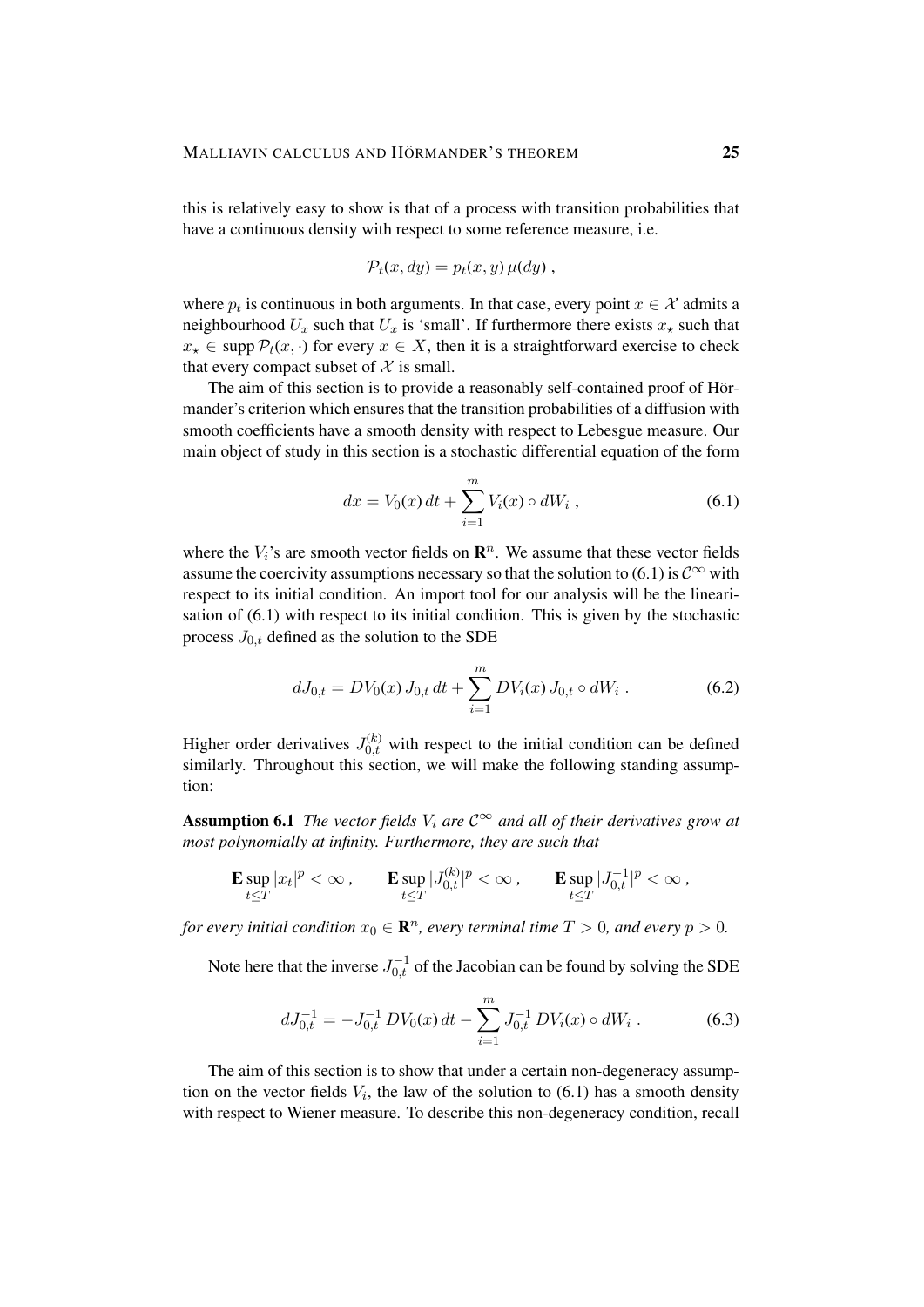this is relatively easy to show is that of a process with transition probabilities that have a continuous density with respect to some reference measure, i.e.

$$
\mathcal{P}_t(x, dy) = p_t(x, y) \mu(dy) ,
$$

where  $p_t$  is continuous in both arguments. In that case, every point  $x \in \mathcal{X}$  admits a neighbourhood  $U_x$  such that  $U_x$  is 'small'. If furthermore there exists  $x<sub>*</sub>$  such that  $x_* \in \text{supp } \mathcal{P}_t(x, \cdot)$  for every  $x \in X$ , then it is a straightforward exercise to check that every compact subset of  $X$  is small.

The aim of this section is to provide a reasonably self-contained proof of Hörmander's criterion which ensures that the transition probabilities of a diffusion with smooth coefficients have a smooth density with respect to Lebesgue measure. Our main object of study in this section is a stochastic differential equation of the form

$$
dx = V_0(x) dt + \sum_{i=1}^{m} V_i(x) \circ dW_i , \qquad (6.1)
$$

where the  $V_i$ 's are smooth vector fields on  $\mathbb{R}^n$ . We assume that these vector fields assume the coercivity assumptions necessary so that the solution to (6.1) is  $\mathcal{C}^{\infty}$  with respect to its initial condition. An import tool for our analysis will be the linearisation of (6.1) with respect to its initial condition. This is given by the stochastic process  $J_{0,t}$  defined as the solution to the SDE

$$
dJ_{0,t} = DV_0(x) J_{0,t} dt + \sum_{i=1}^{m} DV_i(x) J_{0,t} \circ dW_i . \qquad (6.2)
$$

Higher order derivatives  $J_{0,t}^{(k)}$  with respect to the initial condition can be defined similarly. Throughout this section, we will make the following standing assumption:

**Assumption 6.1** *The vector fields*  $V_i$  *are*  $C^{\infty}$  *and all of their derivatives grow at most polynomially at infinity. Furthermore, they are such that*

$$
\mathbf{E} \sup_{t \leq T} |x_t|^p < \infty \,, \qquad \mathbf{E} \sup_{t \leq T} |J_{0,t}^{(k)}|^p < \infty \,, \qquad \mathbf{E} \sup_{t \leq T} |J_{0,t}^{-1}|^p < \infty \,,
$$

*for every initial condition*  $x_0 \in \mathbb{R}^n$ , every terminal time  $T > 0$ , and every  $p > 0$ .

Note here that the inverse  $J_{0,t}^{-1}$  of the Jacobian can be found by solving the SDE

$$
dJ_{0,t}^{-1} = -J_{0,t}^{-1} DV_0(x) dt - \sum_{i=1}^{m} J_{0,t}^{-1} DV_i(x) \circ dW_i.
$$
 (6.3)

The aim of this section is to show that under a certain non-degeneracy assumption on the vector fields  $V_i$ , the law of the solution to  $(6.1)$  has a smooth density with respect to Wiener measure. To describe this non-degeneracy condition, recall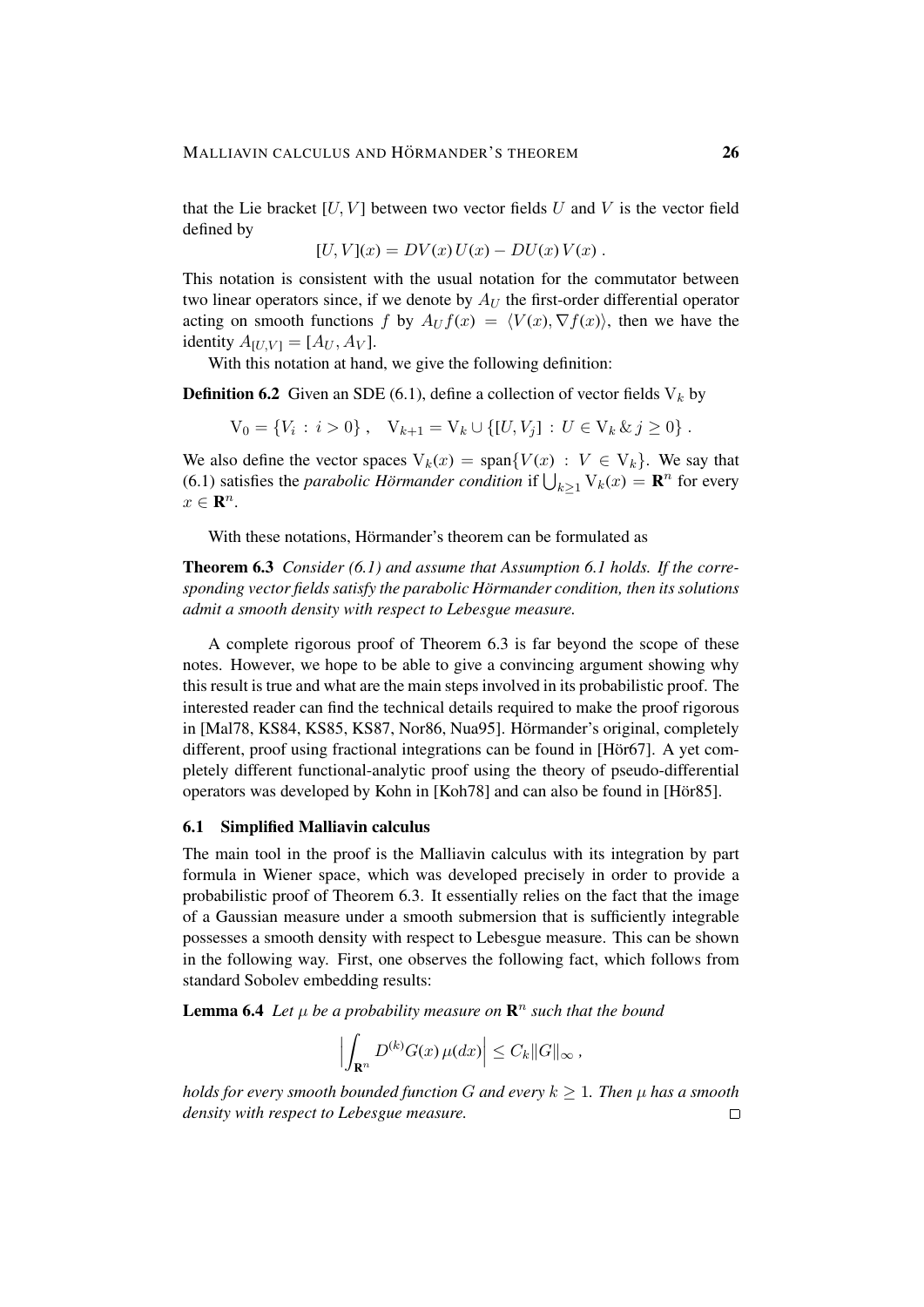that the Lie bracket  $[U, V]$  between two vector fields U and V is the vector field defined by

$$
[U, V](x) = DV(x)U(x) - DU(x)V(x) .
$$

This notation is consistent with the usual notation for the commutator between two linear operators since, if we denote by  $A_U$  the first-order differential operator acting on smooth functions f by  $A_U f(x) = \langle V(x), \nabla f(x) \rangle$ , then we have the identity  $A_{[U,V]} = [A_U, A_V].$ 

With this notation at hand, we give the following definition:

**Definition 6.2** Given an SDE (6.1), define a collection of vector fields  $V_k$  by

 $V_0 = \{V_i : i > 0\}$ ,  $V_{k+1} = V_k \cup \{[U, V_j] : U \in V_k \& j \ge 0\}$ .

We also define the vector spaces  $V_k(x) = \text{span}\{V(x) : V \in V_k\}$ . We say that (6.1) satisfies the *parabolic Hörmander condition* if  $\bigcup_{k\geq 1} \mathrm{V}_k(x) = \mathbf{R}^n$  for every  $x \in \mathbf{R}^n$ .

With these notations, Hörmander's theorem can be formulated as

Theorem 6.3 *Consider (6.1) and assume that Assumption 6.1 holds. If the corresponding vector fields satisfy the parabolic Hörmander condition, then its solutions admit a smooth density with respect to Lebesgue measure.*

A complete rigorous proof of Theorem 6.3 is far beyond the scope of these notes. However, we hope to be able to give a convincing argument showing why this result is true and what are the main steps involved in its probabilistic proof. The interested reader can find the technical details required to make the proof rigorous in [Mal78, KS84, KS85, KS87, Nor86, Nua95]. Hörmander's original, completely different, proof using fractional integrations can be found in [Hör67]. A yet completely different functional-analytic proof using the theory of pseudo-differential operators was developed by Kohn in [Koh78] and can also be found in [Hör85].

## 6.1 Simplified Malliavin calculus

The main tool in the proof is the Malliavin calculus with its integration by part formula in Wiener space, which was developed precisely in order to provide a probabilistic proof of Theorem 6.3. It essentially relies on the fact that the image of a Gaussian measure under a smooth submersion that is sufficiently integrable possesses a smooth density with respect to Lebesgue measure. This can be shown in the following way. First, one observes the following fact, which follows from standard Sobolev embedding results:

**Lemma 6.4** Let  $\mu$  be a probability measure on  $\mathbb{R}^n$  such that the bound

$$
\left| \int_{\mathbf{R}^n} D^{(k)} G(x) \,\mu(dx) \right| \leq C_k ||G||_{\infty} \,,
$$

*holds for every smooth bounded function* G and every  $k \geq 1$ . Then  $\mu$  has a smooth *density with respect to Lebesgue measure.* $\Box$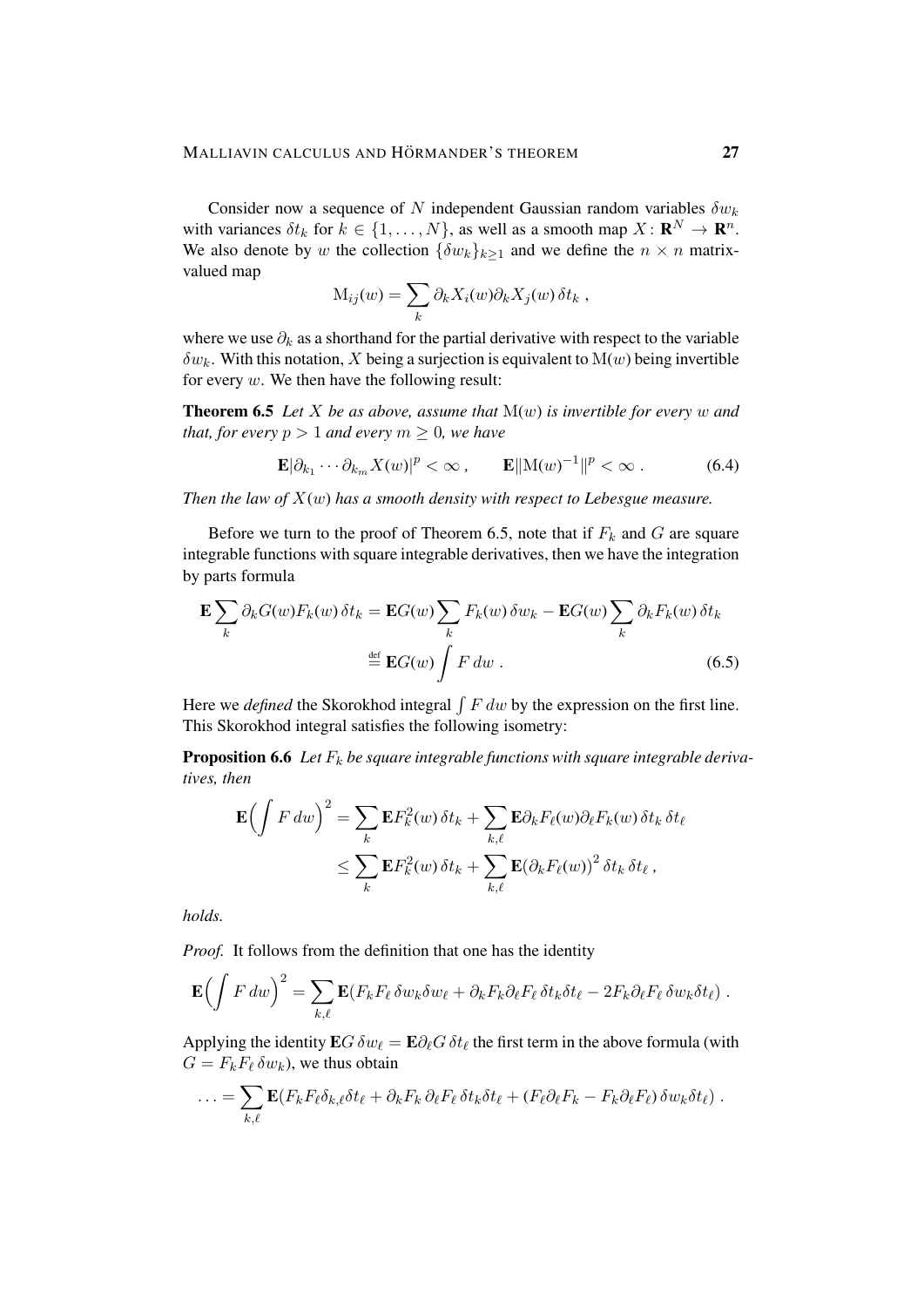Consider now a sequence of N independent Gaussian random variables  $\delta w_k$ with variances  $\delta t_k$  for  $k \in \{1, ..., N\}$ , as well as a smooth map  $X \colon \mathbf{R}^N \to \mathbf{R}^n$ . We also denote by w the collection  $\{\delta w_k\}_{k>1}$  and we define the  $n \times n$  matrixvalued map

$$
M_{ij}(w) = \sum_{k} \partial_k X_i(w) \partial_k X_j(w) \,\delta t_k \;,
$$

where we use  $\partial_k$  as a shorthand for the partial derivative with respect to the variable  $\delta w_k$ . With this notation, X being a surjection is equivalent to  $M(w)$  being invertible for every  $w$ . We then have the following result:

**Theorem 6.5** Let X be as above, assume that  $M(w)$  is invertible for every w and *that, for every*  $p > 1$  *and every*  $m \geq 0$ *, we have* 

$$
\mathbf{E}|\partial_{k_1}\cdots\partial_{k_m}X(w)|^p<\infty\,,\qquad \mathbf{E}|\mathbf{M}(w)^{-1}|\mathbf{P}<\infty\,.
$$
 (6.4)

*Then the law of* X(w) *has a smooth density with respect to Lebesgue measure.*

Before we turn to the proof of Theorem 6.5, note that if  $F_k$  and  $G$  are square integrable functions with square integrable derivatives, then we have the integration by parts formula

$$
\mathbf{E} \sum_{k} \partial_{k} G(w) F_{k}(w) \delta t_{k} = \mathbf{E} G(w) \sum_{k} F_{k}(w) \delta w_{k} - \mathbf{E} G(w) \sum_{k} \partial_{k} F_{k}(w) \delta t_{k}
$$

$$
\stackrel{\text{def}}{=} \mathbf{E} G(w) \int F dw .
$$
(6.5)

Here we *defined* the Skorokhod integral  $\int F dw$  by the expression on the first line. This Skorokhod integral satisfies the following isometry:

**Proposition 6.6** Let  $F_k$  be square integrable functions with square integrable deriva*tives, then*

$$
\mathbf{E}\left(\int F dw\right)^2 = \sum_k \mathbf{E} F_k^2(w) \,\delta t_k + \sum_{k,\ell} \mathbf{E} \partial_k F_\ell(w) \partial_\ell F_k(w) \,\delta t_k \,\delta t_\ell
$$
  

$$
\leq \sum_k \mathbf{E} F_k^2(w) \,\delta t_k + \sum_{k,\ell} \mathbf{E} (\partial_k F_\ell(w))^2 \,\delta t_k \,\delta t_\ell ,
$$

*holds.*

*Proof.* It follows from the definition that one has the identity

$$
\mathbf{E}\Big(\int F\,dw\Big)^2=\sum_{k,\ell}\mathbf{E}(F_kF_\ell\,\delta w_k\delta w_\ell+\partial_kF_k\partial_\ell F_\ell\,\delta t_k\delta t_\ell-2F_k\partial_\ell F_\ell\,\delta w_k\delta t_\ell)\;.
$$

Applying the identity  $\mathbf{E}G \,\delta w_\ell = \mathbf{E} \partial_\ell G \,\delta t_\ell$  the first term in the above formula (with  $G = F_k F_\ell \, \delta w_k$ , we thus obtain

$$
\ldots = \sum_{k,\ell} \mathbf{E} (F_k F_\ell \delta_{k,\ell} \delta t_\ell + \partial_k F_k \partial_\ell F_\ell \delta t_k \delta t_\ell + (F_\ell \partial_\ell F_k - F_k \partial_\ell F_\ell) \delta w_k \delta t_\ell).
$$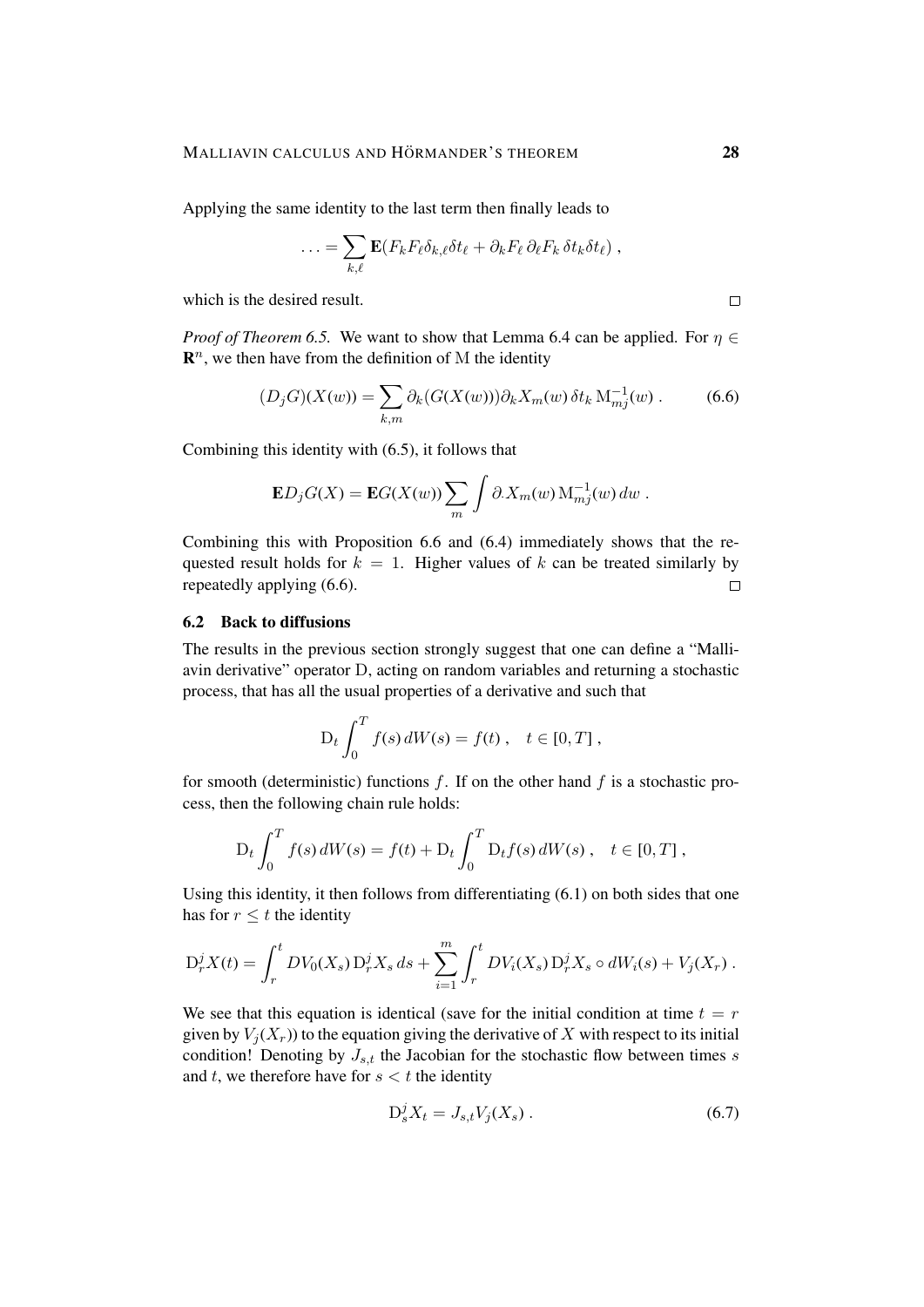Applying the same identity to the last term then finally leads to

$$
\ldots = \sum_{k,\ell} \mathbf{E} (F_k F_\ell \delta_{k,\ell} \delta t_\ell + \partial_k F_\ell \, \partial_\ell F_k \, \delta t_k \delta t_\ell) ,
$$

which is the desired result.

*Proof of Theorem 6.5.* We want to show that Lemma 6.4 can be applied. For  $\eta \in$  $\mathbf{R}^n$ , we then have from the definition of M the identity

$$
(D_j G)(X(w)) = \sum_{k,m} \partial_k (G(X(w))) \partial_k X_m(w) \,\delta t_k \,\mathcal{M}_{mj}^{-1}(w) \,. \tag{6.6}
$$

Combining this identity with (6.5), it follows that

$$
\mathbf{E}D_jG(X) = \mathbf{E}G(X(w))\sum_m \int \partial X_m(w) \, \mathrm{M}_{mj}^{-1}(w) \, dw \, .
$$

Combining this with Proposition 6.6 and (6.4) immediately shows that the requested result holds for  $k = 1$ . Higher values of k can be treated similarly by repeatedly applying (6.6).  $\Box$ 

#### 6.2 Back to diffusions

The results in the previous section strongly suggest that one can define a "Malliavin derivative" operator D, acting on random variables and returning a stochastic process, that has all the usual properties of a derivative and such that

$$
D_t \int_0^T f(s) dW(s) = f(t) , \quad t \in [0, T] ,
$$

for smooth (deterministic) functions f. If on the other hand f is a stochastic process, then the following chain rule holds:

$$
D_t \int_0^T f(s) dW(s) = f(t) + D_t \int_0^T D_t f(s) dW(s), \quad t \in [0, T],
$$

Using this identity, it then follows from differentiating (6.1) on both sides that one has for  $r \leq t$  the identity

$$
D_r^j X(t) = \int_r^t DV_0(X_s) D_r^j X_s ds + \sum_{i=1}^m \int_r^t DV_i(X_s) D_r^j X_s \circ dW_i(s) + V_j(X_r) .
$$

We see that this equation is identical (save for the initial condition at time  $t = r$ ) given by  $V_i(X_r)$  to the equation giving the derivative of X with respect to its initial condition! Denoting by  $J_{s,t}$  the Jacobian for the stochastic flow between times s and  $t$ , we therefore have for  $s < t$  the identity

$$
D_s^j X_t = J_{s,t} V_j(X_s) \,. \tag{6.7}
$$

 $\Box$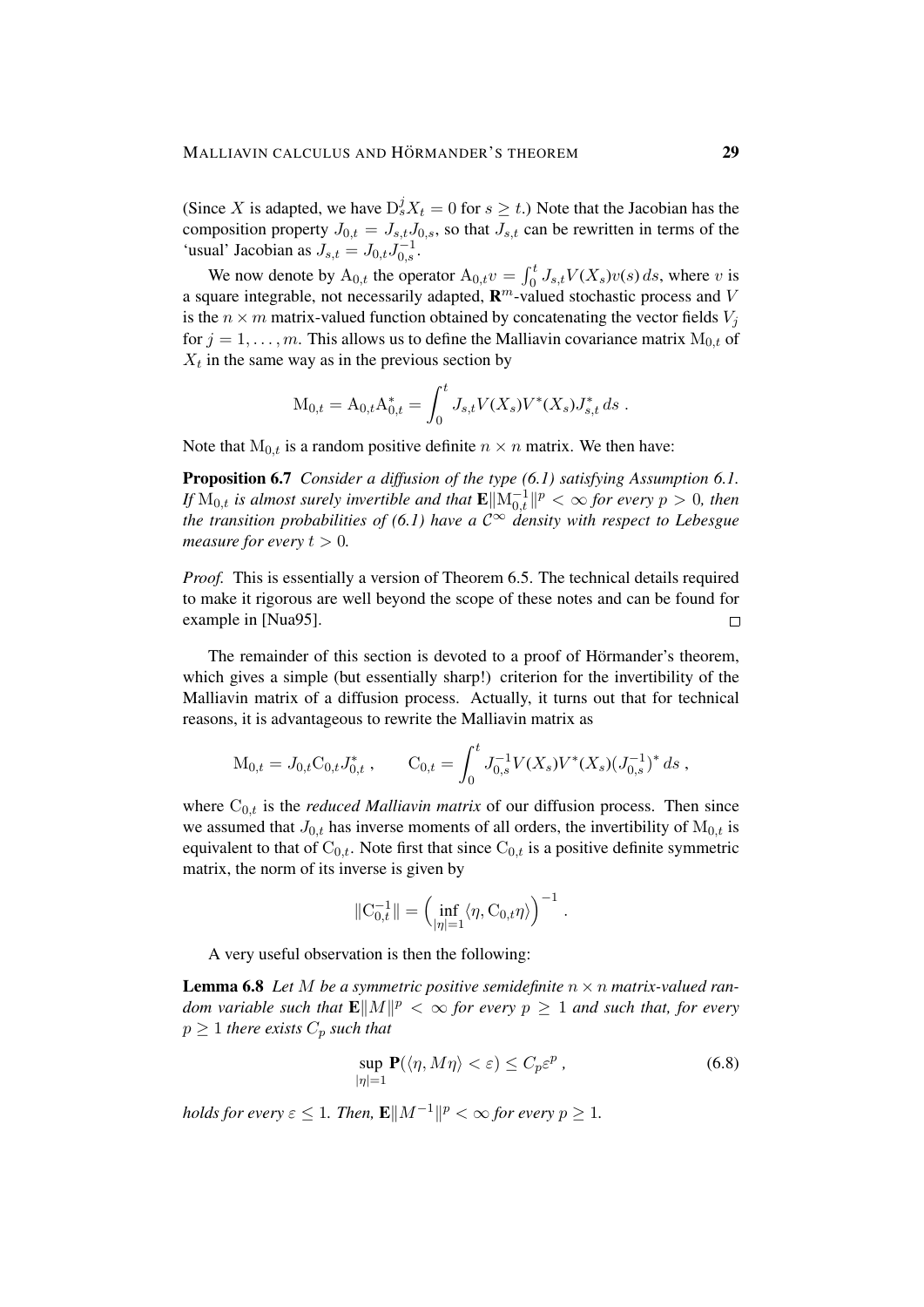(Since X is adapted, we have  $D_s^j X_t = 0$  for  $s \ge t$ .) Note that the Jacobian has the composition property  $J_{0,t} = J_{s,t} J_{0,s}$ , so that  $J_{s,t}$  can be rewritten in terms of the 'usual' Jacobian as  $J_{s,t} = J_{0,t} J_{0,s}^{-1}$ .

We now denote by  $A_{0,t}$  the operator  $A_{0,t}v = \int_0^t J_{s,t}V(X_s)v(s) ds$ , where v is a square integrable, not necessarily adapted,  $\mathbb{R}^m$ -valued stochastic process and V is the  $n \times m$  matrix-valued function obtained by concatenating the vector fields  $V_i$ for  $j = 1, \ldots, m$ . This allows us to define the Malliavin covariance matrix  $M_{0,t}$  of  $X_t$  in the same way as in the previous section by

$$
M_{0,t} = A_{0,t} A_{0,t}^* = \int_0^t J_{s,t} V(X_s) V^*(X_s) J_{s,t}^* ds.
$$

Note that  $M_{0,t}$  is a random positive definite  $n \times n$  matrix. We then have:

Proposition 6.7 *Consider a diffusion of the type (6.1) satisfying Assumption 6.1.* If  $M_{0,t}$  is almost surely invertible and that  $\mathbf{E} \|\mathrm{M}_{0,t}^{-1}\|^p < \infty$  for every  $p > 0$ , then *the transition probabilities of (6.1) have a*  $\mathbb{C}^{\infty}$  *density with respect to Lebesgue measure for every*  $t > 0$ .

*Proof.* This is essentially a version of Theorem 6.5. The technical details required to make it rigorous are well beyond the scope of these notes and can be found for example in [Nua95].  $\Box$ 

The remainder of this section is devoted to a proof of Hörmander's theorem, which gives a simple (but essentially sharp!) criterion for the invertibility of the Malliavin matrix of a diffusion process. Actually, it turns out that for technical reasons, it is advantageous to rewrite the Malliavin matrix as

$$
M_{0,t} = J_{0,t}C_{0,t}J_{0,t}^*, \qquad C_{0,t} = \int_0^t J_{0,s}^{-1} V(X_s) V^*(X_s) (J_{0,s}^{-1})^* ds,
$$

where  $C_{0,t}$  is the *reduced Malliavin matrix* of our diffusion process. Then since we assumed that  $J_{0,t}$  has inverse moments of all orders, the invertibility of  $M_{0,t}$  is equivalent to that of  $C_{0,t}$ . Note first that since  $C_{0,t}$  is a positive definite symmetric matrix, the norm of its inverse is given by

$$
\|\mathcal{C}_{0,t}^{-1}\| = \left(\inf_{|\eta|=1} \langle \eta, \mathcal{C}_{0,t} \eta \rangle\right)^{-1}.
$$

A very useful observation is then the following:

**Lemma 6.8** Let M be a symmetric positive semidefinite  $n \times n$  matrix-valued random variable such that  $\mathbf{E}||M||^p < \infty$  for every  $p \geq 1$  and such that, for every  $p > 1$  *there exists*  $C_p$  *such that* 

$$
\sup_{|\eta|=1} \mathbf{P}(\langle \eta, M\eta \rangle < \varepsilon) \le C_p \varepsilon^p \,, \tag{6.8}
$$

holds for every  $\varepsilon \leq 1$ . Then,  $\mathbf{E} \| M^{-1} \|^{p} < \infty$  for every  $p \geq 1$ .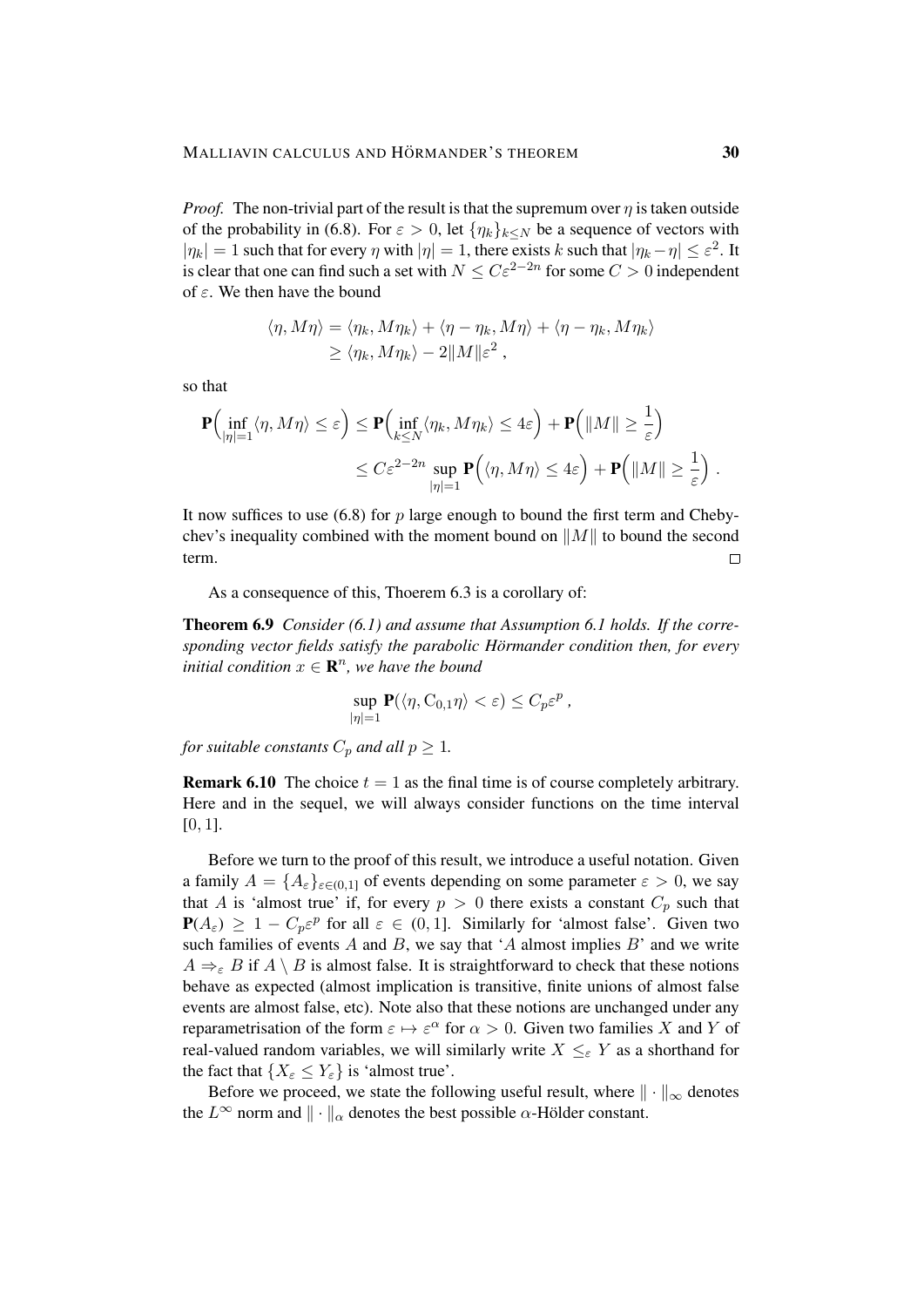*Proof.* The non-trivial part of the result is that the supremum over  $\eta$  is taken outside of the probability in (6.8). For  $\varepsilon > 0$ , let  $\{\eta_k\}_{k \leq N}$  be a sequence of vectors with  $|\eta_k| = 1$  such that for every  $\eta$  with  $|\eta| = 1$ , there exists k such that  $|\eta_k - \eta| \leq \varepsilon^2$ . It is clear that one can find such a set with  $N \leq C \varepsilon^{2-2n}$  for some  $C > 0$  independent of  $\varepsilon$ . We then have the bound

$$
\langle \eta, M\eta \rangle = \langle \eta_k, M\eta_k \rangle + \langle \eta - \eta_k, M\eta \rangle + \langle \eta - \eta_k, M\eta_k \rangle
$$
  

$$
\geq \langle \eta_k, M\eta_k \rangle - 2\|M\| \varepsilon^2,
$$

so that

$$
\mathbf{P}\Big(\inf_{|\eta|=1} \langle \eta, M\eta \rangle \leq \varepsilon\Big) \leq \mathbf{P}\Big(\inf_{k \leq N} \langle \eta_k, M\eta_k \rangle \leq 4\varepsilon\Big) + \mathbf{P}\Big(\|M\| \geq \frac{1}{\varepsilon}\Big) \leq C\varepsilon^{2-2n} \sup_{|\eta|=1} \mathbf{P}\Big(\langle \eta, M\eta \rangle \leq 4\varepsilon\Big) + \mathbf{P}\Big(\|M\| \geq \frac{1}{\varepsilon}\Big) .
$$

It now suffices to use  $(6.8)$  for p large enough to bound the first term and Chebychev's inequality combined with the moment bound on  $||M||$  to bound the second term.  $\Box$ 

As a consequence of this, Thoerem 6.3 is a corollary of:

Theorem 6.9 *Consider (6.1) and assume that Assumption 6.1 holds. If the corresponding vector fields satisfy the parabolic Hörmander condition then, for every initial condition*  $x \in \mathbb{R}^n$ *, we have the bound* 

$$
\sup_{|\eta|=1} \mathbf{P}(\langle \eta, C_{0,1}\eta \rangle < \varepsilon) \le C_p \varepsilon^p,
$$

*for suitable constants*  $C_p$  *and all*  $p \geq 1$ *.* 

**Remark 6.10** The choice  $t = 1$  as the final time is of course completely arbitrary. Here and in the sequel, we will always consider functions on the time interval  $[0, 1]$ .

Before we turn to the proof of this result, we introduce a useful notation. Given a family  $A = \{A_{\varepsilon}\}_{{\varepsilon} \in (0,1]}$  of events depending on some parameter  ${\varepsilon} > 0$ , we say that A is 'almost true' if, for every  $p > 0$  there exists a constant  $C_p$  such that  $P(A_{\varepsilon}) \geq 1 - C_p \varepsilon^p$  for all  $\varepsilon \in (0, 1]$ . Similarly for 'almost false'. Given two such families of events  $A$  and  $B$ , we say that  $A$  almost implies  $B$  and we write  $A \Rightarrow_{\varepsilon} B$  if  $A \setminus B$  is almost false. It is straightforward to check that these notions behave as expected (almost implication is transitive, finite unions of almost false events are almost false, etc). Note also that these notions are unchanged under any reparametrisation of the form  $\varepsilon \mapsto \varepsilon^{\alpha}$  for  $\alpha > 0$ . Given two families X and Y of real-valued random variables, we will similarly write  $X \leq_{\varepsilon} Y$  as a shorthand for the fact that  $\{X_{\varepsilon} \leq Y_{\varepsilon}\}\$ is 'almost true'.

Before we proceed, we state the following useful result, where  $\|\cdot\|_{\infty}$  denotes the  $L^{\infty}$  norm and  $\|\cdot\|_{\alpha}$  denotes the best possible  $\alpha$ -Hölder constant.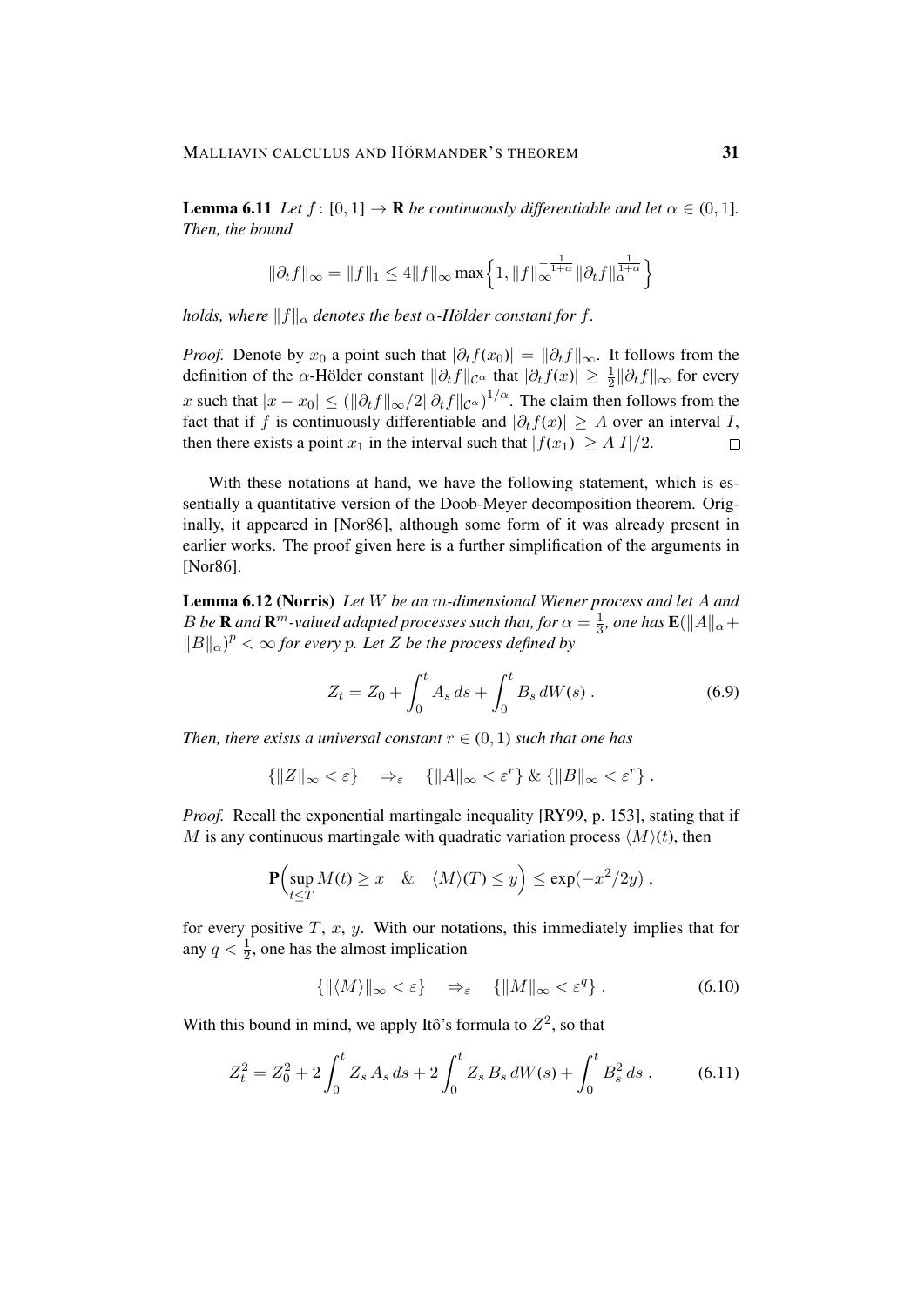**Lemma 6.11** *Let*  $f : [0, 1] \rightarrow \mathbb{R}$  *be continuously differentiable and let*  $\alpha \in (0, 1]$ *. Then, the bound*

$$
\|\partial_t f\|_{\infty} = \|f\|_1 \le 4 \|f\|_{\infty} \max\left\{1, \|f\|_{\infty}^{-\frac{1}{1+\alpha}} \|\partial_t f\|_{\alpha}^{\frac{1}{1+\alpha}}\right\}
$$

*holds, where*  $||f||_{\alpha}$  *denotes the best*  $\alpha$ *-Hölder constant for f.* 

*Proof.* Denote by  $x_0$  a point such that  $|\partial_t f(x_0)| = ||\partial_t f||_{\infty}$ . It follows from the definition of the  $\alpha$ -Hölder constant  $\|\partial_t f\|_{\mathcal{C}^{\alpha}}$  that  $|\partial_t f(x)| \geq \frac{1}{2} \|\partial_t f\|_{\infty}$  for every x such that  $|x-x_0| \leq (||\partial_t f||_{\infty}/2||\partial_t f||_{\mathcal{C}^{\alpha}})^{1/\alpha}$ . The claim then follows from the fact that if f is continuously differentiable and  $|\partial_t f(x)| \geq A$  over an interval I, then there exists a point  $x_1$  in the interval such that  $|f(x_1)| \ge A|I|/2$ .  $\Box$ 

With these notations at hand, we have the following statement, which is essentially a quantitative version of the Doob-Meyer decomposition theorem. Originally, it appeared in [Nor86], although some form of it was already present in earlier works. The proof given here is a further simplification of the arguments in [Nor<sub>86</sub>].

Lemma 6.12 (Norris) *Let* W *be an* m*-dimensional Wiener process and let* A *and* B be **R** and  $\mathbf{R}^m$ -valued adapted processes such that, for  $\alpha = \frac{1}{3}$  $\frac{1}{3}$ , one has  $\mathbf{E}(\Vert A \Vert_{\alpha} +$  $||B||_{\alpha}$ <sup>*p*</sup> <  $\infty$  *for every p. Let Z be the process defined by* 

$$
Z_t = Z_0 + \int_0^t A_s \, ds + \int_0^t B_s \, dW(s) \,. \tag{6.9}
$$

*Then, there exists a universal constant*  $r \in (0, 1)$  *such that one has* 

$$
\{||Z||_{\infty} < \varepsilon\} \Rightarrow_{\varepsilon} \{||A||_{\infty} < \varepsilon^r\} \& \{||B||_{\infty} < \varepsilon^r\}.
$$

*Proof.* Recall the exponential martingale inequality [RY99, p. 153], stating that if M is any continuous martingale with quadratic variation process  $\langle M \rangle(t)$ , then

$$
\mathbf{P}\Bigl(\sup_{t\leq T} M(t) \geq x \quad \& \quad \langle M\rangle(T) \leq y\Bigr) \leq \exp(-x^2/2y) ,
$$

for every positive  $T$ ,  $x$ ,  $y$ . With our notations, this immediately implies that for any  $q < \frac{1}{2}$ , one has the almost implication

$$
\{ \| \langle M \rangle \|_{\infty} < \varepsilon \} \quad \Rightarrow_{\varepsilon} \quad \{ \| M \|_{\infty} < \varepsilon^q \} \; . \tag{6.10}
$$

With this bound in mind, we apply Itô's formula to  $Z^2$ , so that

$$
Z_t^2 = Z_0^2 + 2 \int_0^t Z_s A_s ds + 2 \int_0^t Z_s B_s dW(s) + \int_0^t B_s^2 ds .
$$
 (6.11)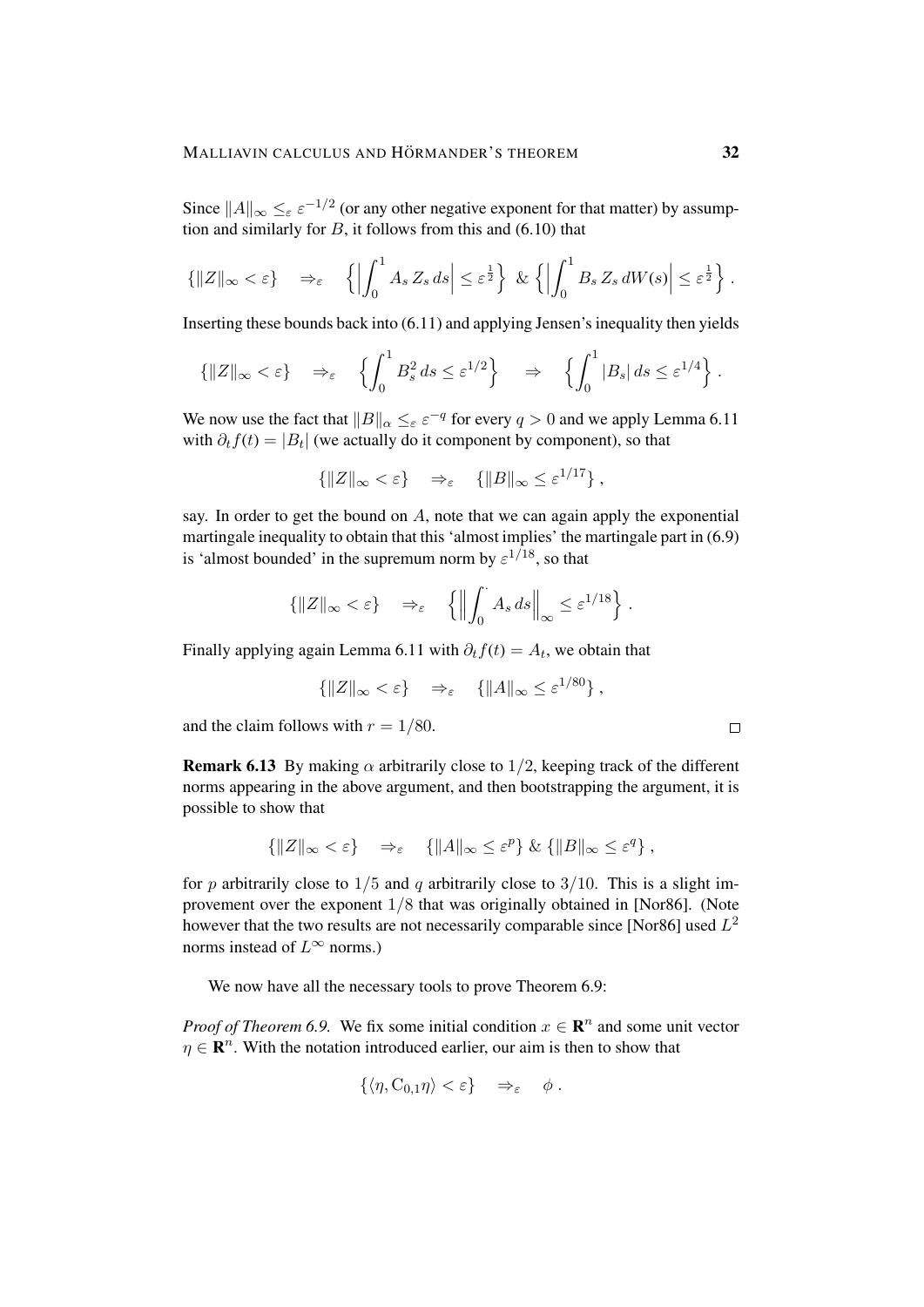Since  $||A||_{\infty} \leq_{\varepsilon} \varepsilon^{-1/2}$  (or any other negative exponent for that matter) by assumption and similarly for  $B$ , it follows from this and (6.10) that

$$
\left\{\|Z\|_{\infty} < \varepsilon\right\} \quad \Rightarrow_{\varepsilon} \quad \left\{\left|\int_0^1 A_s Z_s \, ds\right| \leq \varepsilon^{\frac{1}{2}}\right\} \, \& \left\{\left|\int_0^1 B_s Z_s \, dW(s)\right| \leq \varepsilon^{\frac{1}{2}}\right\}.
$$

Inserting these bounds back into (6.11) and applying Jensen's inequality then yields

$$
\{|Z\|_{\infty} < \varepsilon\} \quad \Rightarrow_{\varepsilon} \quad \left\{ \int_0^1 B_s^2 ds \leq \varepsilon^{1/2} \right\} \quad \Rightarrow \quad \left\{ \int_0^1 |B_s| ds \leq \varepsilon^{1/4} \right\}.
$$

We now use the fact that  $||B||_{\alpha} \leq_{\varepsilon} \varepsilon^{-q}$  for every  $q > 0$  and we apply Lemma 6.11 with  $\partial_t f(t) = |B_t|$  (we actually do it component by component), so that

$$
\{\|Z\|_{\infty} < \varepsilon\} \quad \Rightarrow_{\varepsilon} \quad \{\|B\|_{\infty} \leq \varepsilon^{1/17}\}\,,
$$

say. In order to get the bound on  $A$ , note that we can again apply the exponential martingale inequality to obtain that this 'almost implies' the martingale part in (6.9) is 'almost bounded' in the supremum norm by  $\varepsilon^{1/18}$ , so that

$$
\left\{ \|Z\|_{\infty} < \varepsilon \right\} \quad \Rightarrow_{\varepsilon} \quad \left\{ \left\| \int_0^{\cdot} A_s \, ds \right\|_{\infty} \leq \varepsilon^{1/18} \right\}.
$$

Finally applying again Lemma 6.11 with  $\partial_t f(t) = A_t$ , we obtain that

$$
\{||Z||_{\infty} < \varepsilon\} \quad \Rightarrow_{\varepsilon} \quad \{||A||_{\infty} \leq \varepsilon^{1/80}\},
$$

and the claim follows with  $r = 1/80$ .

**Remark 6.13** By making  $\alpha$  arbitrarily close to  $1/2$ , keeping track of the different norms appearing in the above argument, and then bootstrapping the argument, it is possible to show that

$$
\{\|Z\|_{\infty} < \varepsilon\} \quad \Rightarrow_{\varepsilon} \quad \{\|A\|_{\infty} \le \varepsilon^p\} \& \{\|B\|_{\infty} \le \varepsilon^q\} \, ,
$$

for p arbitrarily close to  $1/5$  and q arbitrarily close to  $3/10$ . This is a slight improvement over the exponent 1/8 that was originally obtained in [Nor86]. (Note however that the two results are not necessarily comparable since [Nor86] used  $L^2$ norms instead of  $L^{\infty}$  norms.)

We now have all the necessary tools to prove Theorem 6.9:

*Proof of Theorem 6.9.* We fix some initial condition  $x \in \mathbb{R}^n$  and some unit vector  $\eta \in \mathbb{R}^n$ . With the notation introduced earlier, our aim is then to show that

$$
\{\langle \eta, C_{0,1}\eta \rangle < \varepsilon\} \quad \Rightarrow_{\varepsilon} \quad \phi \; .
$$

 $\Box$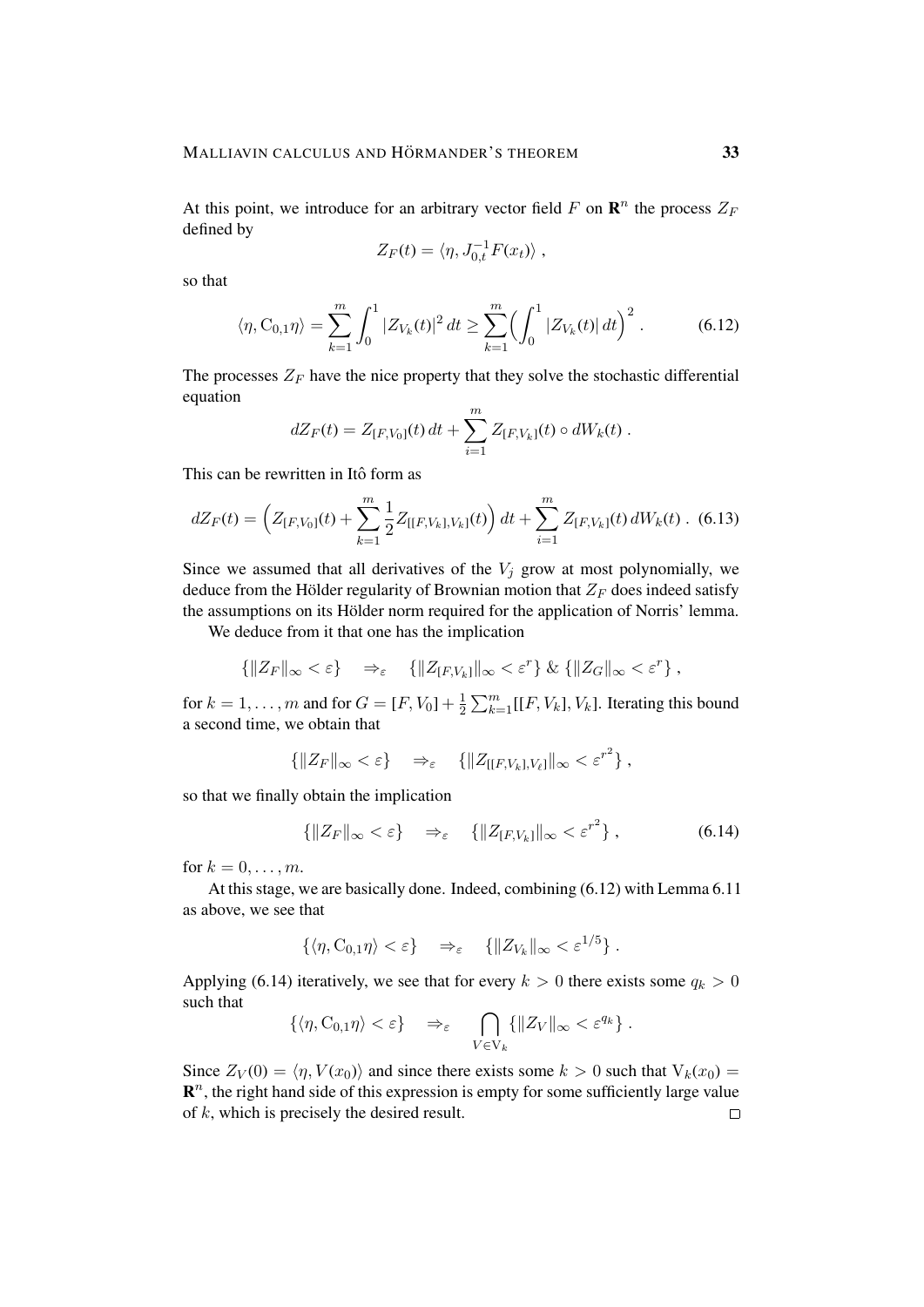At this point, we introduce for an arbitrary vector field F on  $\mathbb{R}^n$  the process  $Z_F$ defined by

$$
Z_F(t) = \langle \eta, J_{0,t}^{-1} F(x_t) \rangle ,
$$

so that

$$
\langle \eta, C_{0,1} \eta \rangle = \sum_{k=1}^{m} \int_0^1 |Z_{V_k}(t)|^2 dt \ge \sum_{k=1}^{m} \Bigl( \int_0^1 |Z_{V_k}(t)| dt \Bigr)^2 . \tag{6.12}
$$

The processes  $Z_F$  have the nice property that they solve the stochastic differential equation

$$
dZ_F(t) = Z_{[F,V_0]}(t) dt + \sum_{i=1}^m Z_{[F,V_k]}(t) \circ dW_k(t) .
$$

This can be rewritten in Itô form as

$$
dZ_F(t) = \left(Z_{[F,V_0]}(t) + \sum_{k=1}^m \frac{1}{2} Z_{[[F,V_k],V_k]}(t) \right) dt + \sum_{i=1}^m Z_{[F,V_k]}(t) dW_k(t) .
$$
 (6.13)

Since we assumed that all derivatives of the  $V_j$  grow at most polynomially, we deduce from the Hölder regularity of Brownian motion that  $Z_F$  does indeed satisfy the assumptions on its Hölder norm required for the application of Norris' lemma.

We deduce from it that one has the implication

$$
\left\{ \|Z_F\|_{\infty} < \varepsilon \right\} \Rightarrow \varepsilon \quad \left\{ \|Z_{[F,V_k]}\|_{\infty} < \varepsilon^r \right\} \& \left\{ \|Z_G\|_{\infty} < \varepsilon^r \right\},
$$

for  $k = 1, ..., m$  and for  $G = [F, V_0] + \frac{1}{2}$  $\frac{1}{2} \sum_{k=1}^{m} [[F, V_k], V_k]$ . Iterating this bound a second time, we obtain that

$$
\left\{ \|Z_F\|_{\infty} < \varepsilon \right\} \quad \Rightarrow_{\varepsilon} \quad \left\{ \|Z_{[[F,V_k],V_\ell]} \|_{\infty} < \varepsilon^{r^2} \right\},
$$

so that we finally obtain the implication

$$
\left\{ \|Z_F\|_{\infty} < \varepsilon \right\} \quad \Rightarrow_{\varepsilon} \quad \left\{ \|Z_{[F,V_k]}\|_{\infty} < \varepsilon^{r^2} \right\},\tag{6.14}
$$

for  $k = 0, \ldots, m$ .

At this stage, we are basically done. Indeed, combining (6.12) with Lemma 6.11 as above, we see that

$$
\{\langle \eta, C_{0,1}\eta \rangle < \varepsilon\} \quad \Rightarrow_{\varepsilon} \quad \{\|Z_{V_k}\|_{\infty} < \varepsilon^{1/5}\}.
$$

Applying (6.14) iteratively, we see that for every  $k > 0$  there exists some  $q_k > 0$ such that

$$
\{\langle \eta, C_{0,1}\eta \rangle < \varepsilon\} \quad \Rightarrow_{\varepsilon} \quad \bigcap_{V \in V_k} \{\|Z_V\|_{\infty} < \varepsilon^{q_k}\}.
$$

Since  $Z_V(0) = \langle \eta, V(x_0) \rangle$  and since there exists some  $k > 0$  such that  $V_k(x_0) =$  $\mathbf{R}^n$ , the right hand side of this expression is empty for some sufficiently large value of  $k$ , which is precisely the desired result.  $\Box$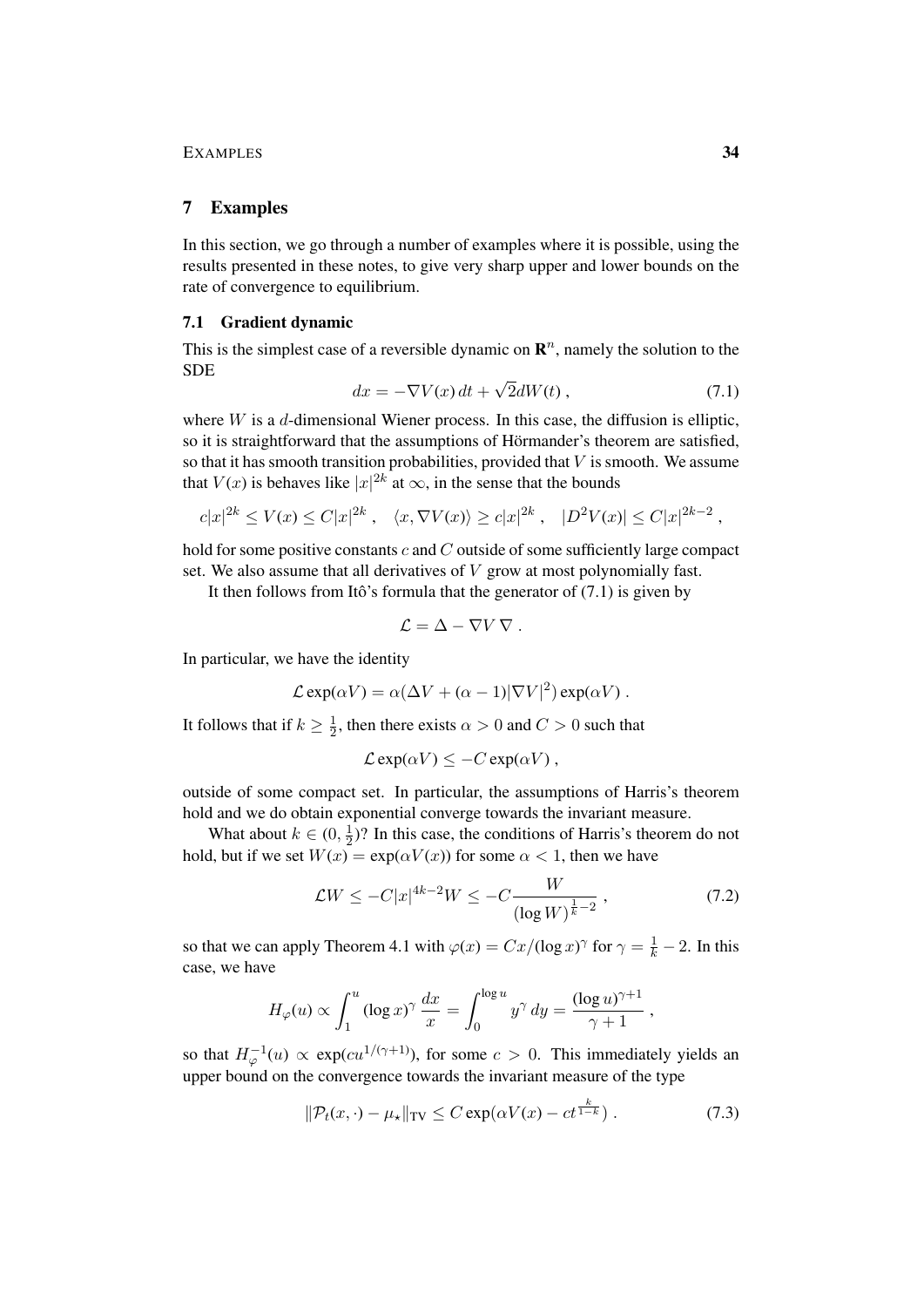#### 7 Examples

In this section, we go through a number of examples where it is possible, using the results presented in these notes, to give very sharp upper and lower bounds on the rate of convergence to equilibrium.

#### 7.1 Gradient dynamic

This is the simplest case of a reversible dynamic on  $\mathbb{R}^n$ , namely the solution to the SDE √

$$
dx = -\nabla V(x) dt + \sqrt{2} dW(t) , \qquad (7.1)
$$

where  $W$  is a  $d$ -dimensional Wiener process. In this case, the diffusion is elliptic, so it is straightforward that the assumptions of Hörmander's theorem are satisfied, so that it has smooth transition probabilities, provided that  $V$  is smooth. We assume that  $V(x)$  is behaves like  $|x|^{2k}$  at  $\infty$ , in the sense that the bounds

$$
c|x|^{2k} \le V(x) \le C|x|^{2k}
$$
,  $\langle x, \nabla V(x) \rangle \ge c|x|^{2k}$ ,  $|D^2V(x)| \le C|x|^{2k-2}$ ,

hold for some positive constants  $c$  and  $C$  outside of some sufficiently large compact set. We also assume that all derivatives of  $V$  grow at most polynomially fast.

It then follows from Itô's formula that the generator of  $(7.1)$  is given by

$$
\mathcal{L} = \Delta - \nabla V \, \nabla \, .
$$

In particular, we have the identity

$$
\mathcal{L} \exp(\alpha V) = \alpha (\Delta V + (\alpha - 1) |\nabla V|^2) \exp(\alpha V).
$$

It follows that if  $k \geq \frac{1}{2}$  $\frac{1}{2}$ , then there exists  $\alpha > 0$  and  $C > 0$  such that

$$
\mathcal{L}\exp(\alpha V) \leq -C\exp(\alpha V) ,
$$

outside of some compact set. In particular, the assumptions of Harris's theorem hold and we do obtain exponential converge towards the invariant measure.

What about  $k \in (0, \frac{1}{2})$  $\frac{1}{2}$ )? In this case, the conditions of Harris's theorem do not hold, but if we set  $W(x) = \exp(\alpha V(x))$  for some  $\alpha < 1$ , then we have

$$
\mathcal{L}W \le -C|x|^{4k-2}W \le -C\frac{W}{(\log W)^{\frac{1}{k}-2}},\tag{7.2}
$$

so that we can apply Theorem 4.1 with  $\varphi(x) = Cx/(\log x)^\gamma$  for  $\gamma = \frac{1}{k} - 2$ . In this case, we have

$$
H_{\varphi}(u) \propto \int_1^u (\log x)^{\gamma} \frac{dx}{x} = \int_0^{\log u} y^{\gamma} dy = \frac{(\log u)^{\gamma+1}}{\gamma+1} ,
$$

so that  $H_{\varphi}^{-1}(u) \propto \exp(cu^{1/(\gamma+1)})$ , for some  $c > 0$ . This immediately yields an upper bound on the convergence towards the invariant measure of the type

$$
\|\mathcal{P}_t(x,\cdot) - \mu_\star\|_{\text{TV}} \le C \exp(\alpha V(x) - ct^{\frac{k}{1-k}}) \,. \tag{7.3}
$$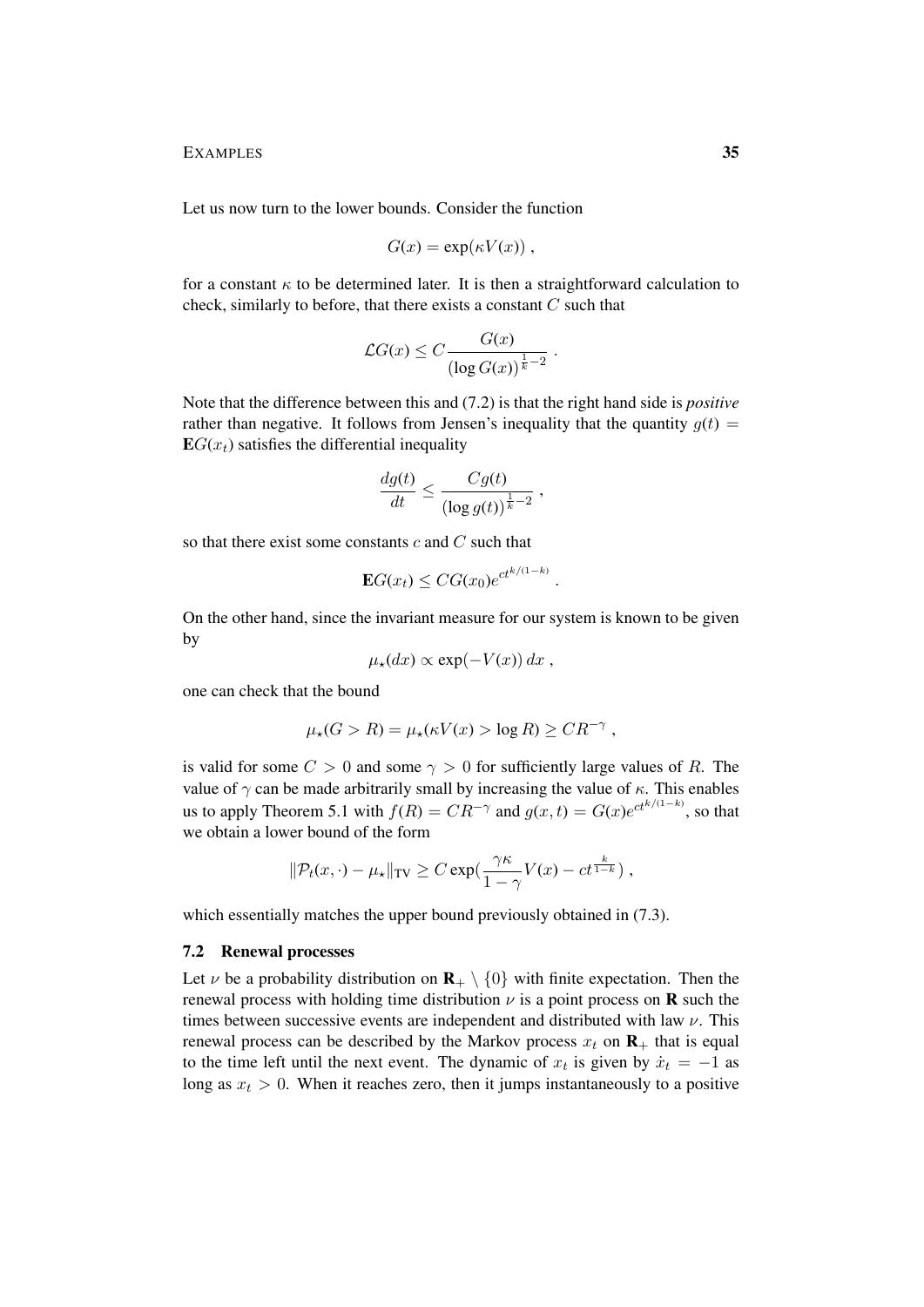Let us now turn to the lower bounds. Consider the function

$$
G(x) = \exp(\kappa V(x)),
$$

for a constant  $\kappa$  to be determined later. It is then a straightforward calculation to check, similarly to before, that there exists a constant  $C$  such that

$$
\mathcal{L}G(x) \leq C \frac{G(x)}{\left(\log G(x)\right)^{\frac{1}{k}-2}}.
$$

Note that the difference between this and (7.2) is that the right hand side is *positive* rather than negative. It follows from Jensen's inequality that the quantity  $g(t)$  =  $EG(x_t)$  satisfies the differential inequality

$$
\frac{dg(t)}{dt} \le \frac{Cg(t)}{(\log g(t))^{\frac{1}{k}-2}} ,
$$

so that there exist some constants  $c$  and  $C$  such that

$$
\mathbf{E}G(x_t) \leq CG(x_0)e^{ct^{k/(1-k)}}.
$$

On the other hand, since the invariant measure for our system is known to be given by

$$
\mu_{\star}(dx) \propto \exp(-V(x)) dx ,
$$

one can check that the bound

$$
\mu_{\star}(G > R) = \mu_{\star}(\kappa V(x) > \log R) \geq CR^{-\gamma},
$$

is valid for some  $C > 0$  and some  $\gamma > 0$  for sufficiently large values of R. The value of  $\gamma$  can be made arbitrarily small by increasing the value of  $\kappa$ . This enables us to apply Theorem 5.1 with  $f(R) = CR^{-\gamma}$  and  $g(x,t) = G(x)e^{ct^{k/(1-k)}},$  so that we obtain a lower bound of the form

$$
\|\mathcal{P}_t(x,\cdot)-\mu_\star\|_{\text{TV}} \geq C \exp(\frac{\gamma \kappa}{1-\gamma}V(x)-ct^{\frac{k}{1-k}}),
$$

which essentially matches the upper bound previously obtained in  $(7.3)$ .

#### 7.2 Renewal processes

Let  $\nu$  be a probability distribution on  $\mathbf{R}_{+} \setminus \{0\}$  with finite expectation. Then the renewal process with holding time distribution  $\nu$  is a point process on **R** such the times between successive events are independent and distributed with law  $\nu$ . This renewal process can be described by the Markov process  $x_t$  on  $\mathbf{R}_+$  that is equal to the time left until the next event. The dynamic of  $x_t$  is given by  $\dot{x}_t = -1$  as long as  $x_t > 0$ . When it reaches zero, then it jumps instantaneously to a positive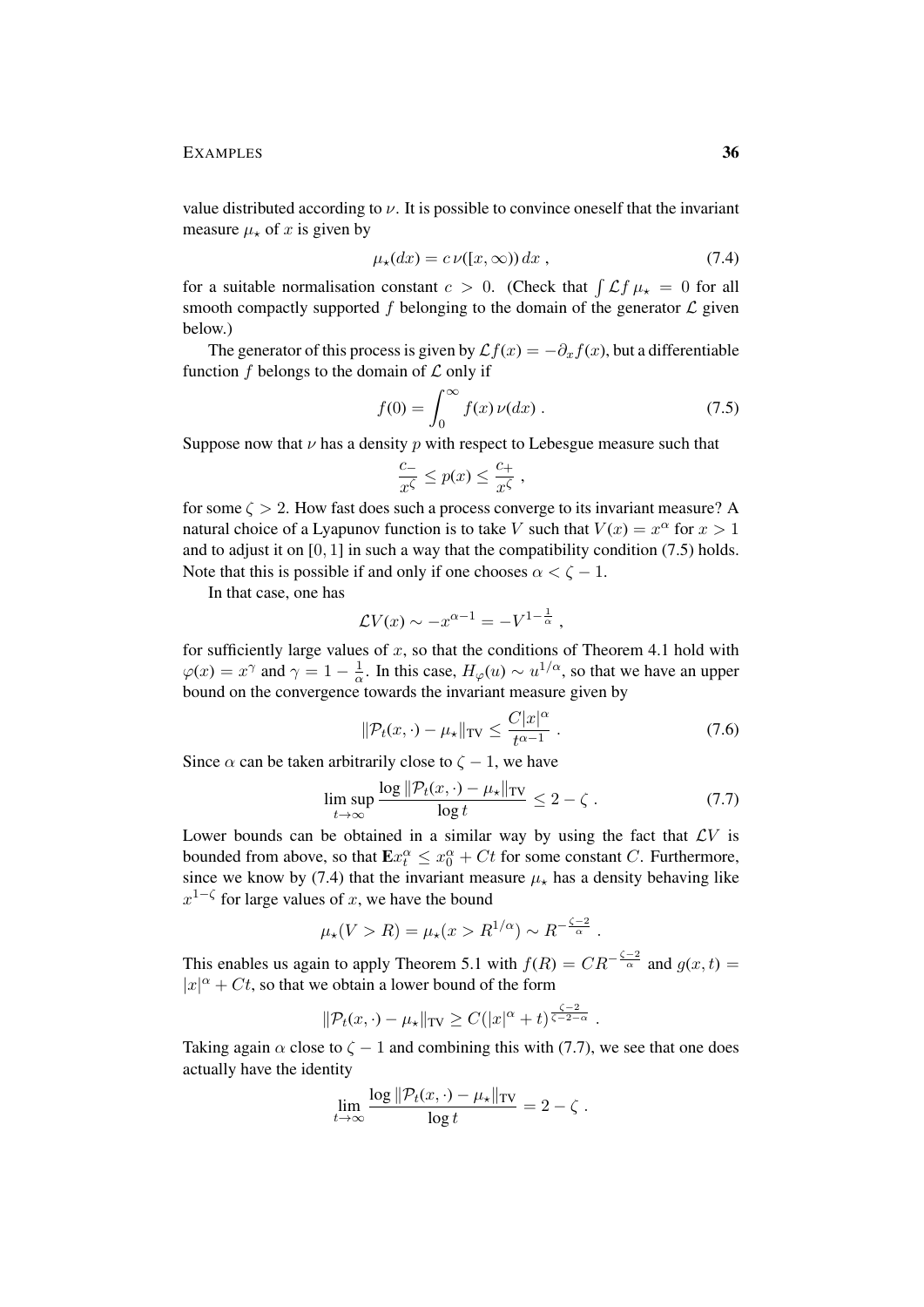value distributed according to  $\nu$ . It is possible to convince oneself that the invariant measure  $\mu_{\star}$  of x is given by

$$
\mu_{\star}(dx) = c \nu([x,\infty)) dx , \qquad (7.4)
$$

for a suitable normalisation constant  $c > 0$ . (Check that  $\int \mathcal{L} f \mu_{\star} = 0$  for all smooth compactly supported f belonging to the domain of the generator  $\mathcal L$  given below.)

The generator of this process is given by  $\mathcal{L}f(x) = -\partial_x f(x)$ , but a differentiable function  $f$  belongs to the domain of  $\mathcal L$  only if

$$
f(0) = \int_0^\infty f(x)\,\nu(dx) \,. \tag{7.5}
$$

Suppose now that  $\nu$  has a density  $p$  with respect to Lebesgue measure such that

$$
\frac{c_-}{x^{\zeta}} \le p(x) \le \frac{c_+}{x^{\zeta}} ,
$$

for some  $\zeta > 2$ . How fast does such a process converge to its invariant measure? A natural choice of a Lyapunov function is to take V such that  $V(x) = x^{\alpha}$  for  $x > 1$ and to adjust it on [0, 1] in such a way that the compatibility condition (7.5) holds. Note that this is possible if and only if one chooses  $\alpha < \zeta - 1$ .

In that case, one has

$$
\mathcal{L}V(x) \sim -x^{\alpha-1} = -V^{1-\frac{1}{\alpha}},
$$

for sufficiently large values of  $x$ , so that the conditions of Theorem 4.1 hold with  $\varphi(x) = x^{\gamma}$  and  $\gamma = 1 - \frac{1}{\alpha}$  $\frac{1}{\alpha}$ . In this case,  $H_{\varphi}(u) \sim u^{1/\alpha}$ , so that we have an upper bound on the convergence towards the invariant measure given by

$$
\|\mathcal{P}_t(x,\cdot) - \mu_\star\|_{\text{TV}} \le \frac{C|x|^\alpha}{t^{\alpha - 1}} \,. \tag{7.6}
$$

Since  $\alpha$  can be taken arbitrarily close to  $\zeta - 1$ , we have

$$
\limsup_{t \to \infty} \frac{\log \|\mathcal{P}_t(x, \cdot) - \mu_\star\|_{\mathrm{TV}}}{\log t} \le 2 - \zeta \,. \tag{7.7}
$$

Lower bounds can be obtained in a similar way by using the fact that  $\mathcal{L}V$  is bounded from above, so that  $\mathbf{E} x_t^{\alpha} \leq x_0^{\alpha} + Ct$  for some constant C. Furthermore, since we know by (7.4) that the invariant measure  $\mu_{\star}$  has a density behaving like  $x^{1-\zeta}$  for large values of x, we have the bound

$$
\mu_{\star}(V > R) = \mu_{\star}(x > R^{1/\alpha}) \sim R^{-\frac{\zeta - 2}{\alpha}}.
$$

This enables us again to apply Theorem 5.1 with  $f(R) = CR^{-\frac{\zeta-2}{\alpha}}$  and  $g(x,t) =$  $|x|^{\alpha} + Ct$ , so that we obtain a lower bound of the form

$$
\|\mathcal{P}_t(x,\cdot)-\mu_\star\|_{\text{TV}} \geq C(|x|^\alpha+t)^{\frac{\zeta-2}{\zeta-2-\alpha}}.
$$

Taking again  $\alpha$  close to  $\zeta - 1$  and combining this with (7.7), we see that one does actually have the identity

$$
\lim_{t\to\infty}\frac{\log \|\mathcal{P}_t(x,\cdot)-\mu_\star\|_{\mathrm{TV}}}{\log t}=2-\zeta.
$$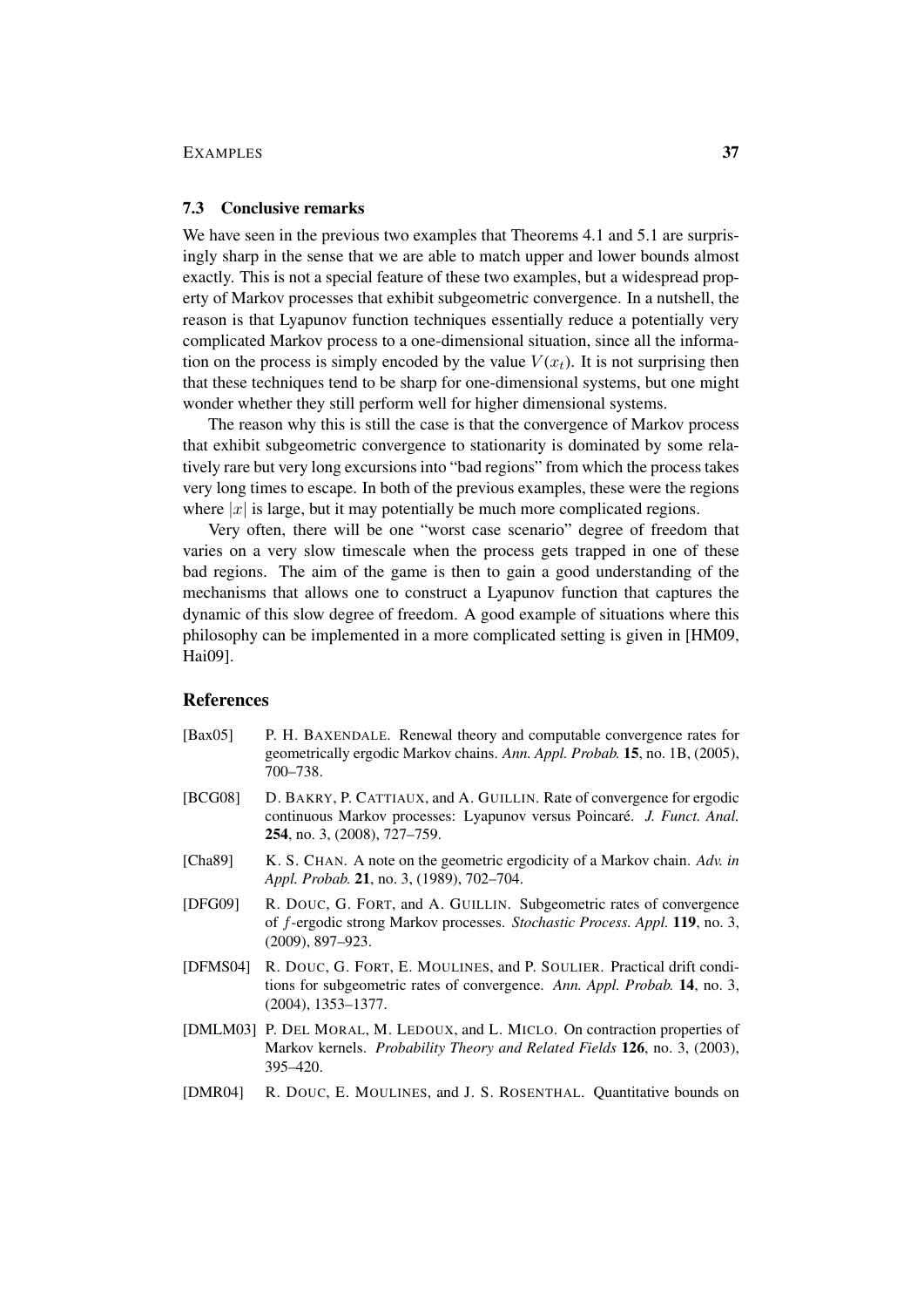#### 7.3 Conclusive remarks

We have seen in the previous two examples that Theorems 4.1 and 5.1 are surprisingly sharp in the sense that we are able to match upper and lower bounds almost exactly. This is not a special feature of these two examples, but a widespread property of Markov processes that exhibit subgeometric convergence. In a nutshell, the reason is that Lyapunov function techniques essentially reduce a potentially very complicated Markov process to a one-dimensional situation, since all the information on the process is simply encoded by the value  $V(x_t)$ . It is not surprising then that these techniques tend to be sharp for one-dimensional systems, but one might wonder whether they still perform well for higher dimensional systems.

The reason why this is still the case is that the convergence of Markov process that exhibit subgeometric convergence to stationarity is dominated by some relatively rare but very long excursions into "bad regions" from which the process takes very long times to escape. In both of the previous examples, these were the regions where  $|x|$  is large, but it may potentially be much more complicated regions.

Very often, there will be one "worst case scenario" degree of freedom that varies on a very slow timescale when the process gets trapped in one of these bad regions. The aim of the game is then to gain a good understanding of the mechanisms that allows one to construct a Lyapunov function that captures the dynamic of this slow degree of freedom. A good example of situations where this philosophy can be implemented in a more complicated setting is given in [HM09, Hai09].

#### References

- [Bax05] P. H. BAXENDALE. Renewal theory and computable convergence rates for geometrically ergodic Markov chains. *Ann. Appl. Probab.* 15, no. 1B, (2005), 700–738.
- [BCG08] D. BAKRY, P. CATTIAUX, and A. GUILLIN. Rate of convergence for ergodic continuous Markov processes: Lyapunov versus Poincaré. J. Funct. Anal. 254, no. 3, (2008), 727–759.
- [Cha89] K. S. CHAN. A note on the geometric ergodicity of a Markov chain. *Adv. in Appl. Probab.* 21, no. 3, (1989), 702–704.
- [DFG09] R. DOUC, G. FORT, and A. GUILLIN. Subgeometric rates of convergence of f-ergodic strong Markov processes. *Stochastic Process. Appl.* 119, no. 3, (2009), 897–923.
- [DFMS04] R. DOUC, G. FORT, E. MOULINES, and P. SOULIER. Practical drift conditions for subgeometric rates of convergence. *Ann. Appl. Probab.* 14, no. 3, (2004), 1353–1377.
- [DMLM03] P. DEL MORAL, M. LEDOUX, and L. MICLO. On contraction properties of Markov kernels. *Probability Theory and Related Fields* 126, no. 3, (2003), 395–420.
- [DMR04] R. DOUC, E. MOULINES, and J. S. ROSENTHAL. Quantitative bounds on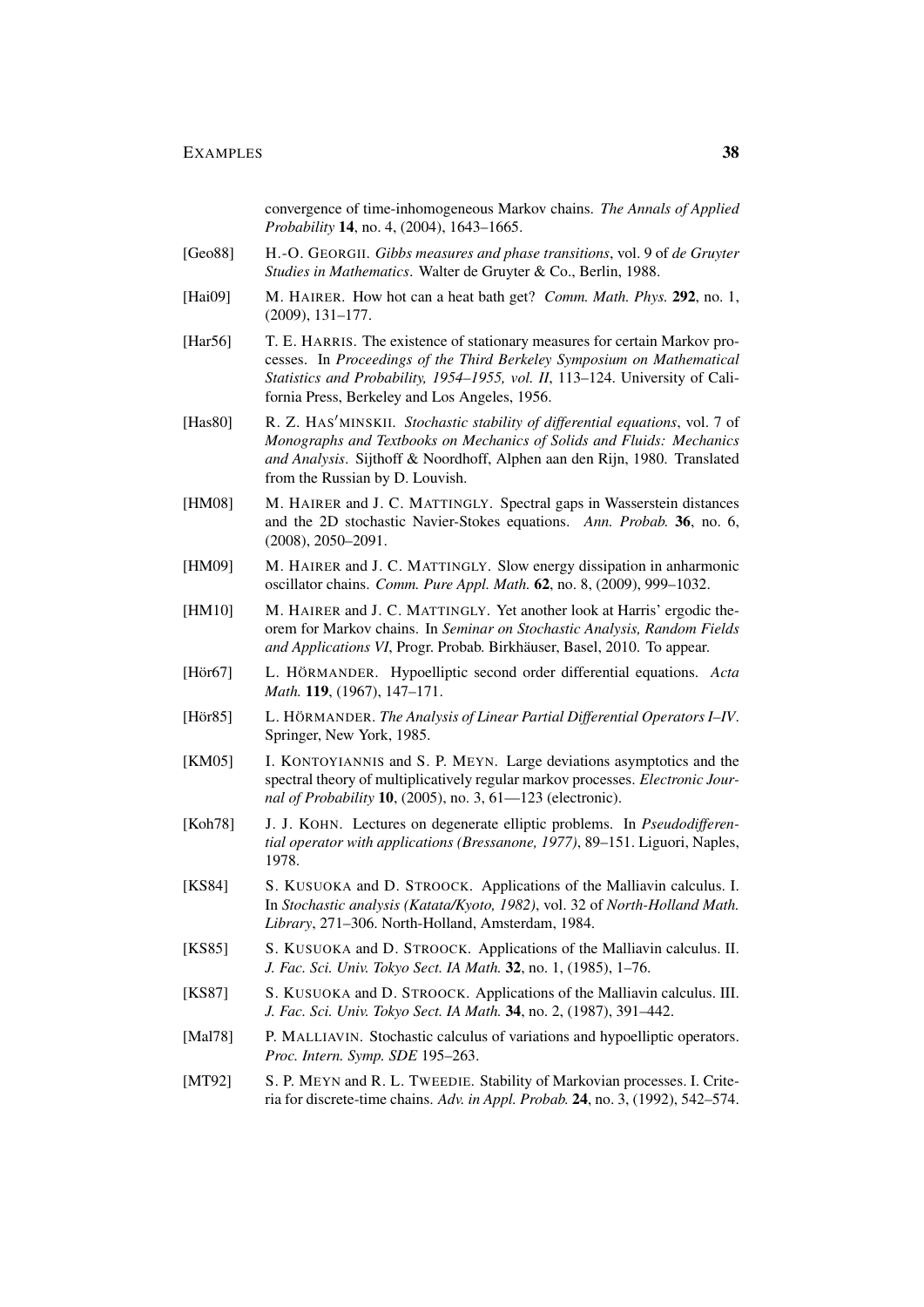convergence of time-inhomogeneous Markov chains. *The Annals of Applied Probability* 14, no. 4, (2004), 1643–1665.

- [Geo88] H.-O. GEORGII. *Gibbs measures and phase transitions*, vol. 9 of *de Gruyter Studies in Mathematics*. Walter de Gruyter & Co., Berlin, 1988.
- [Hai09] M. HAIRER. How hot can a heat bath get? *Comm. Math. Phys.* 292, no. 1, (2009), 131–177.
- [Har56] T. E. HARRIS. The existence of stationary measures for certain Markov processes. In *Proceedings of the Third Berkeley Symposium on Mathematical Statistics and Probability, 1954–1955, vol. II*, 113–124. University of California Press, Berkeley and Los Angeles, 1956.
- [Has80] R. Z. HAS'MINSKII. *Stochastic stability of differential equations*, vol. 7 of *Monographs and Textbooks on Mechanics of Solids and Fluids: Mechanics and Analysis*. Sijthoff & Noordhoff, Alphen aan den Rijn, 1980. Translated from the Russian by D. Louvish.
- [HM08] M. HAIRER and J. C. MATTINGLY. Spectral gaps in Wasserstein distances and the 2D stochastic Navier-Stokes equations. *Ann. Probab.* 36, no. 6, (2008), 2050–2091.
- [HM09] M. HAIRER and J. C. MATTINGLY. Slow energy dissipation in anharmonic oscillator chains. *Comm. Pure Appl. Math.* 62, no. 8, (2009), 999–1032.
- [HM10] M. HAIRER and J. C. MATTINGLY. Yet another look at Harris' ergodic theorem for Markov chains. In *Seminar on Stochastic Analysis, Random Fields and Applications VI*, Progr. Probab. Birkhäuser, Basel, 2010. To appear.
- [Hör67] L. HÖRMANDER. Hypoelliptic second order differential equations. *Acta Math.* 119, (1967), 147–171.
- [Hör85] L. HÖRMANDER. *The Analysis of Linear Partial Differential Operators I–IV.* Springer, New York, 1985.
- [KM05] I. KONTOYIANNIS and S. P. MEYN. Large deviations asymptotics and the spectral theory of multiplicatively regular markov processes. *Electronic Journal of Probability* 10, (2005), no. 3, 61—123 (electronic).
- [Koh78] J. J. KOHN. Lectures on degenerate elliptic problems. In *Pseudodifferential operator with applications (Bressanone, 1977)*, 89–151. Liguori, Naples, 1978.
- [KS84] S. KUSUOKA and D. STROOCK. Applications of the Malliavin calculus. I. In *Stochastic analysis (Katata/Kyoto, 1982)*, vol. 32 of *North-Holland Math. Library*, 271–306. North-Holland, Amsterdam, 1984.
- [KS85] S. KUSUOKA and D. STROOCK. Applications of the Malliavin calculus. II. *J. Fac. Sci. Univ. Tokyo Sect. IA Math.* 32, no. 1, (1985), 1–76.
- [KS87] S. KUSUOKA and D. STROOCK. Applications of the Malliavin calculus. III. *J. Fac. Sci. Univ. Tokyo Sect. IA Math.* 34, no. 2, (1987), 391–442.
- [Mal78] P. MALLIAVIN. Stochastic calculus of variations and hypoelliptic operators. *Proc. Intern. Symp. SDE* 195–263.
- [MT92] S. P. MEYN and R. L. TWEEDIE. Stability of Markovian processes. I. Criteria for discrete-time chains. *Adv. in Appl. Probab.* 24, no. 3, (1992), 542–574.